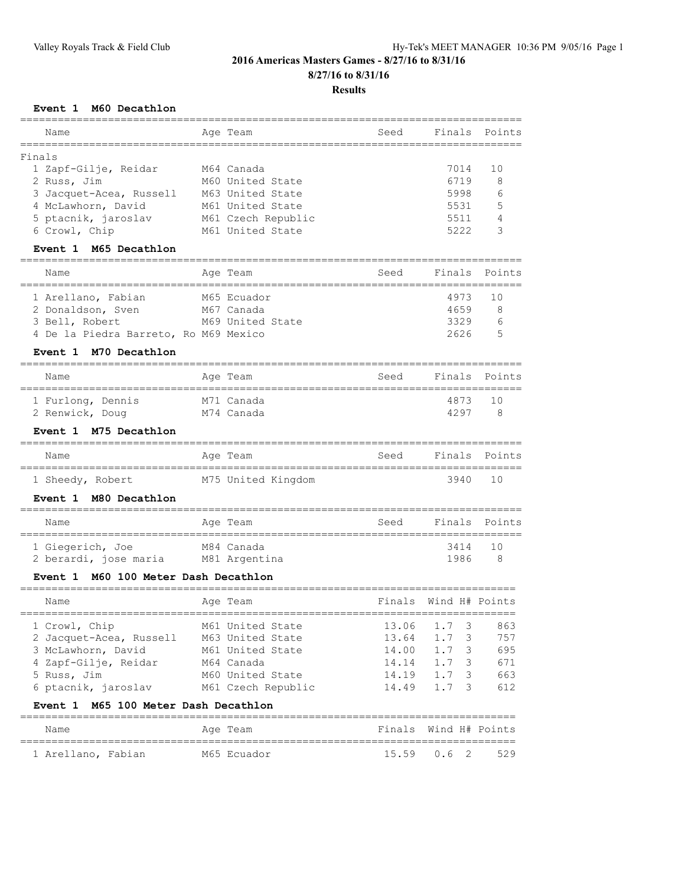### **Results**

### **Event 1 M60 Decathlon**

| Name                                                 |            | Age Team           | Seed   | Finals         | Points |
|------------------------------------------------------|------------|--------------------|--------|----------------|--------|
| Finals                                               |            |                    |        |                |        |
| 1 Zapf-Gilje, Reidar                                 |            | M64 Canada         |        | 7014           | 10     |
| 2 Russ, Jim                                          |            | M60 United State   |        | 6719           | 8      |
| 3 Jacquet-Acea, Russell                              |            | M63 United State   |        | 5998           | 6      |
| 4 McLawhorn, David                                   |            | M61 United State   |        | 5531           | 5      |
| 5 ptacnik, jaroslav                                  |            | M61 Czech Republic |        | 5511           | 4      |
| 6 Crowl, Chip                                        |            | M61 United State   |        | 5222           | 3      |
| Event 1<br>M65 Decathlon<br>_____________________    |            |                    |        |                |        |
| Name<br>=================                            | ========== | Age Team           | Seed   | Finals         | Points |
| 1 Arellano, Fabian                                   |            | M65 Ecuador        |        | 4973           | 10     |
| 2 Donaldson, Sven                                    |            | M67 Canada         |        | 4659           | 8      |
| 3 Bell, Robert                                       |            | M69 United State   |        | 3329           | 6      |
| 4 De la Piedra Barreto, Ro M69 Mexico                |            |                    |        | 2626           | 5      |
| M70 Decathlon<br><b>Event 1</b>                      |            |                    |        |                |        |
| Name                                                 |            | Age Team           | Seed   | Finals         | Points |
| ===============================<br>1 Furlong, Dennis |            | M71 Canada         |        | 4873           | 10     |
| 2 Renwick, Doug<br>M74 Canada                        |            |                    |        | 4297           | 8      |
| M75 Decathlon<br>Event 1                             |            |                    |        |                |        |
| Name                                                 | =========  | Age Team           | Seed   | Finals         | Points |
| 1 Sheedy, Robert                                     |            | M75 United Kingdom |        | 3940           | 10     |
| M80 Decathlon<br><b>Event 1</b>                      |            |                    |        |                |        |
| Name                                                 |            | Age Team           | Seed   | Finals         | Points |
| 1 Giegerich, Joe                                     |            | M84 Canada         |        | 3414           | 10     |
| 2 berardi, jose maria M81 Argentina                  |            |                    |        | 1986           | 8      |
| M60 100 Meter Dash Decathlon<br><b>Event 1</b>       |            |                    |        |                |        |
| Name                                                 |            | Age Team           | Finals | Wind H# Points |        |
| 1 Crowl, Chip                                        |            | M61 United State   | 13.06  | 1.7<br>3       | 863    |
| 2 Jacquet-Acea, Russell                              |            | M63 United State   | 13.64  | 1.7<br>3       | 757    |
| 3 McLawhorn, David                                   |            | M61 United State   | 14.00  | 1.7<br>3       | 695    |
| 4 Zapf-Gilje, Reidar                                 |            | M64 Canada         | 14.14  | 1.7<br>3       | 671    |
| 5 Russ, Jim                                          |            | M60 United State   | 14.19  | 1.7<br>3       | 663    |
| 6 ptacnik, jaroslav                                  |            | M61 Czech Republic | 14.49  | 1.7<br>3       | 612    |
| Event 1 M65 100 Meter Dash Decathlon                 |            |                    |        |                |        |

| Name               |  | Age Team    | Finals Wind H# Points |  |  |
|--------------------|--|-------------|-----------------------|--|--|
|                    |  |             |                       |  |  |
| 1 Arellano, Fabian |  | M65 Ecuador | $15.59$ 0.6 2 529     |  |  |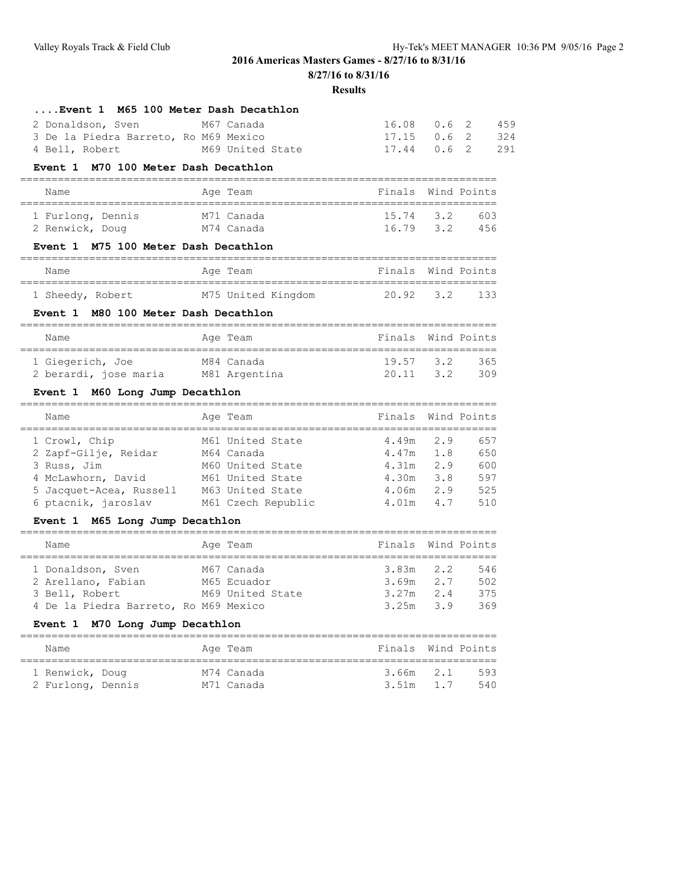**8/27/16 to 8/31/16**

**Results**

| Event 1 M65 100 Meter Dash Decathlon  |                                                   |                             |  |     |
|---------------------------------------|---------------------------------------------------|-----------------------------|--|-----|
| 2 Donaldson, Sven M67 Canada          |                                                   | 16.08 0.6 2                 |  | 459 |
| 3 De la Piedra Barreto, Ro M69 Mexico |                                                   | 17.15 0.6 2                 |  | 324 |
| 4 Bell, Robert                        | M69 United State<br>$17.44$ 0.6 2                 |                             |  | 291 |
| Event 1 M70 100 Meter Dash Decathlon  |                                                   |                             |  |     |
| Name                                  | Age Team<br>====================================  | Finals Wind Points          |  |     |
| 1 Furlong, Dennis                     | M71 Canada                                        | 15.74 3.2 603               |  |     |
| 2 Renwick, Doug M74 Canada            |                                                   | 16.79 3.2 456               |  |     |
| Event 1 M75 100 Meter Dash Decathlon  |                                                   |                             |  |     |
| Name                                  | Age Team                                          | Finals Wind Points          |  |     |
| 1 Sheedy, Robert                      | M75 United Kingdom                                | 20.92 3.2 133               |  |     |
| Event 1 M80 100 Meter Dash Decathlon  |                                                   |                             |  |     |
| Name                                  | Finals Wind Points<br>Age Team                    | ,,,,,,,,,,,,,,,,,,,,,,,,,,, |  |     |
| 1 Giegerich, Joe                      | M84 Canada                                        | 19.57 3.2 365               |  |     |
|                                       | 2 berardi, jose maria M81 Argentina 20.11 3.2 309 |                             |  |     |
| Event 1 M60 Long Jump Decathlon       |                                                   |                             |  |     |
| Name<br>=========================     | Finals Wind Points<br>Age Team                    |                             |  |     |
| 1 Crowl, Chip                         | 4.49m 2.9 657<br>M61 United State                 |                             |  |     |
| 2 Zapf-Gilje, Reidar M64 Canada       | 4.47m 1.8 650                                     |                             |  |     |

| 2 Zapf-Gilje, Reidar |                                                                                     |                                                                                              | 650                                                                     |
|----------------------|-------------------------------------------------------------------------------------|----------------------------------------------------------------------------------------------|-------------------------------------------------------------------------|
|                      |                                                                                     |                                                                                              | 600                                                                     |
|                      |                                                                                     |                                                                                              | 597                                                                     |
|                      |                                                                                     |                                                                                              | 525                                                                     |
|                      |                                                                                     |                                                                                              | 510                                                                     |
|                      | 3 Russ, Jim<br>4 McLawhorn, David<br>5 Jacquet-Acea, Russell<br>6 ptacnik, jaroslav | M64 Canada<br>M60 United State<br>M61 United State<br>M63 United State<br>M61 Czech Republic | $4.47m$ 1.8<br>$4.31m$ 2.9<br>$4.30m$ $3.8$<br>$4.06m$ 2.9<br>4.01m 4.7 |

### **Event 1 M65 Long Jump Decathlon**

| Name                                  | Age Team         | Finals Wind Points |     |
|---------------------------------------|------------------|--------------------|-----|
| 1 Donaldson, Sven                     | M67 Canada       | $3.83m$ 2.2        | 546 |
| 2 Arellano, Fabian                    | M65 Ecuador      | $3.69m$ 2.7        | 502 |
| 3 Bell, Robert                        | M69 United State | $3.27m$ 2.4        | 375 |
| 4 De la Piedra Barreto, Ro M69 Mexico |                  | $3.25m$ $3.9$      | 369 |

### **Event 1 M70 Long Jump Decathlon**

| Name                                 |  | Age Team                 | Finals Wind Points     |            |
|--------------------------------------|--|--------------------------|------------------------|------------|
| 1 Renwick, Doug<br>2 Furlong, Dennis |  | M74 Canada<br>M71 Canada | 3.66m 2.1<br>3.51m 1.7 | 593<br>540 |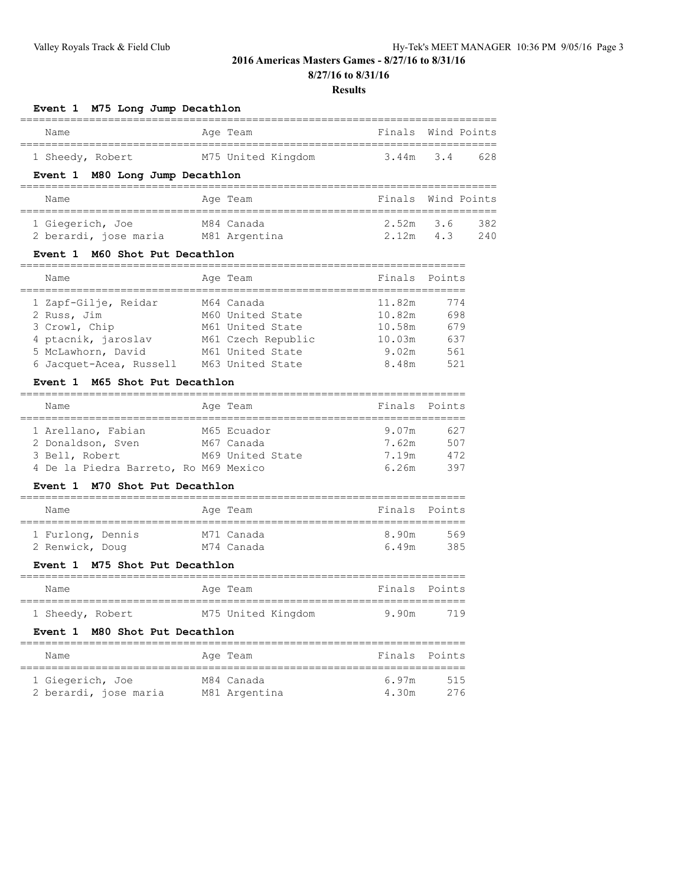**8/27/16 to 8/31/16**

#### **Results**

### **Event 1 M75 Long Jump Decathlon**

| Name             | Age Team           | Finals Wind Points   |
|------------------|--------------------|----------------------|
|                  |                    |                      |
| 1 Sheedy, Robert | M75 United Kingdom | $3.44m$ $3.4$<br>628 |

### **Event 1 M80 Long Jump Decathlon**

| Name                  | Age Team      | Finals Wind Points |     |
|-----------------------|---------------|--------------------|-----|
| 1 Giegerich, Joe      | M84 Canada    | $2.52m$ 3.6        | 382 |
| 2 berardi, jose maria | M81 Argentina | $2.12m$ 4.3        | 240 |

### **Event 1 M60 Shot Put Decathlon**

| Name                                      | Age Team                               | Finals Points    |            |
|-------------------------------------------|----------------------------------------|------------------|------------|
| 1 Zapf-Gilje, Reidar<br>2 Russ, Jim       | M64 Canada<br>M60 United State         | 11.82m<br>10.82m | 774<br>698 |
| 3 Crowl, Chip                             | M61 United State                       | 10.58m           | 679        |
| 4 ptacnik, jaroslav<br>5 McLawhorn, David | M61 Czech Republic<br>M61 United State | 10.03m<br>9.02m  | 637<br>561 |
| 6 Jacquet-Acea, Russell                   | M63 United State                       | 8.48m            | 521        |

### **Event 1 M65 Shot Put Decathlon**

| Name               |  | Finals Points                                                                                      |     |
|--------------------|--|----------------------------------------------------------------------------------------------------|-----|
|                    |  |                                                                                                    |     |
| 1 Arellano, Fabian |  | 9.07m                                                                                              | 627 |
| 2 Donaldson, Sven  |  | 7.62m                                                                                              | 507 |
| 3 Bell, Robert     |  | 7.19m                                                                                              | 472 |
|                    |  | 6.26m                                                                                              | 397 |
|                    |  | Age Team<br>M65 Ecuador<br>M67 Canada<br>M69 United State<br>4 De la Piedra Barreto, Ro M69 Mexico |     |

### **Event 1 M70 Shot Put Decathlon**

| Name                                 |  | Age Team                 | Finals Points |            |
|--------------------------------------|--|--------------------------|---------------|------------|
| 1 Furlong, Dennis<br>2 Renwick, Doug |  | M71 Canada<br>M74 Canada | 8.90m<br>649m | 569<br>385 |

### **Event 1 M75 Shot Put Decathlon**

| Name             |  | Age Team           | Finals Points |     |
|------------------|--|--------------------|---------------|-----|
| 1 Sheedy, Robert |  | M75 United Kingdom | 9.90m         | 719 |

#### **Event 1 M80 Shot Put Decathlon**

| Name                  | Age Team      | Finals Points |     |
|-----------------------|---------------|---------------|-----|
|                       |               |               |     |
| 1 Giegerich, Joe      | M84 Canada    | 697m          | 515 |
| 2 berardi, jose maria | M81 Argentina | 4.30m         | 276 |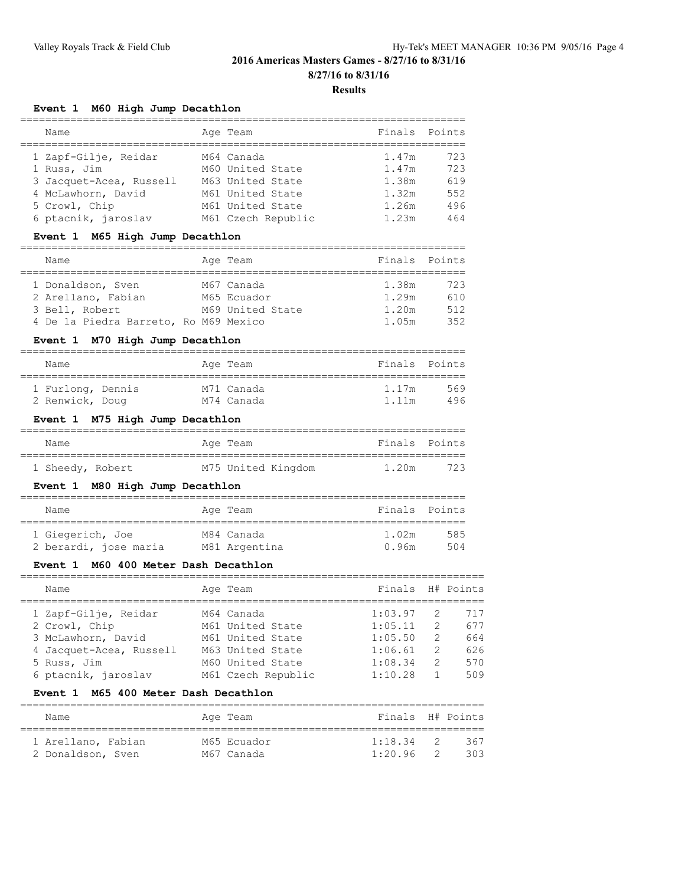#### **Results**

### **Event 1 M60 High Jump Decathlon**

| Name                                                                                                                         | Age Team                                                                                                         | Finals Points                                      |                                        |
|------------------------------------------------------------------------------------------------------------------------------|------------------------------------------------------------------------------------------------------------------|----------------------------------------------------|----------------------------------------|
| 1 Zapf-Gilje, Reidar<br>1 Russ, Jim<br>3 Jacquet-Acea, Russell<br>4 McLawhorn, David<br>5 Crowl, Chip<br>6 ptacnik, jaroslav | M64 Canada<br>M60 United State<br>M63 United State<br>M61 United State<br>M61 United State<br>M61 Czech Republic | 1.47m<br>1.47m<br>1.38m<br>1.32m<br>1.26m<br>1.23m | 723<br>723<br>619<br>552<br>496<br>464 |

### **Event 1 M65 High Jump Decathlon**

| Name                                  |  | Age Team         | Finals Points |     |
|---------------------------------------|--|------------------|---------------|-----|
|                                       |  |                  |               |     |
| 1 Donaldson, Sven                     |  | M67 Canada       | 1.38m         | 723 |
| 2 Arellano, Fabian                    |  | M65 Ecuador      | 1.29m         | 610 |
| 3 Bell, Robert                        |  | M69 United State | 1.20m         | 512 |
| 4 De la Piedra Barreto, Ro M69 Mexico |  |                  | 1.05m         | 352 |

### **Event 1 M70 High Jump Decathlon**

| Name              |  | Age Team   | Finals Points |     |
|-------------------|--|------------|---------------|-----|
| 1 Furlong, Dennis |  | M71 Canada | 1.17m         | 569 |
| 2 Renwick, Doug   |  | M74 Canada | 1.11m         | 496 |

### **Event 1 M75 High Jump Decathlon**

| Name             |  | Age Team           | Finals Points |     |
|------------------|--|--------------------|---------------|-----|
| 1 Sheedy, Robert |  | M75 United Kingdom | 1.20m         | 723 |
|                  |  |                    |               |     |

### **Event 1 M80 High Jump Decathlon**

| Name                  | Age Team      | Finals Points |     |
|-----------------------|---------------|---------------|-----|
| 1 Giegerich, Joe      | M84 Canada    | 1.02m         | 585 |
| 2 berardi, jose maria | M81 Argentina | 0.96m         | 504 |

### **Event 1 M60 400 Meter Dash Decathlon**

| Name                    | Age Team           | Finals H# Points |               |     |
|-------------------------|--------------------|------------------|---------------|-----|
| 1 Zapf-Gilje, Reidar    | M64 Canada         | 1:03.97          | 2             | 717 |
| 2 Crowl, Chip           | M61 United State   | 1:05.11          | $\mathcal{D}$ | 677 |
| 3 McLawhorn, David      | M61 United State   | 1:05.50          | $\mathcal{L}$ | 664 |
| 4 Jacquet-Acea, Russell | M63 United State   | 1:06.61          | $\mathcal{D}$ | 626 |
| 5 Russ, Jim             | M60 United State   | 1:08.34          | $\mathcal{L}$ | 570 |
| 6 ptacnik, jaroslav     | M61 Czech Republic | 1:10.28          |               | 509 |
|                         |                    |                  |               |     |

#### **Event 1 M65 400 Meter Dash Decathlon**

| Name               | Age Team    | Finals H# Points |                |     |
|--------------------|-------------|------------------|----------------|-----|
| 1 Arellano, Fabian | M65 Ecuador | 1:18.34          | $\overline{2}$ | 367 |
| 2 Donaldson, Sven  | M67 Canada  | 1:20.96          | -2.            | 303 |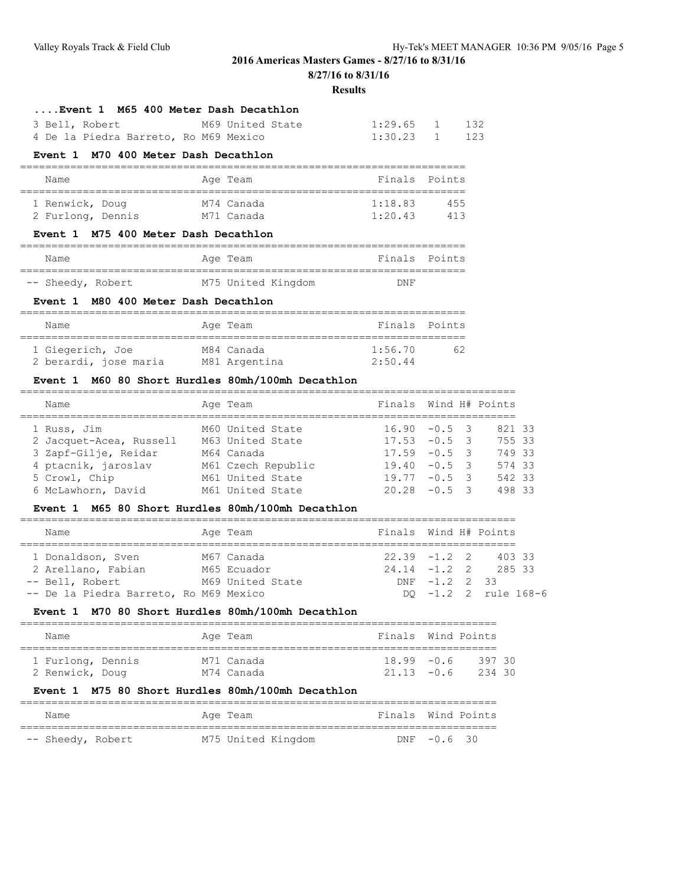===============================================================================

**2016 Americas Masters Games - 8/27/16 to 8/31/16**

**8/27/16 to 8/31/16**

#### **Results**

### **....Event 1 M65 400 Meter Dash Decathlon**

|  | 3 Bell, Robert |                                       | M69 United State | $1:29.65$ 1 132 |  |
|--|----------------|---------------------------------------|------------------|-----------------|--|
|  |                | 4 De la Piedra Barreto, Ro M69 Mexico |                  | $1:30.23$ 1 123 |  |

### **Event 1 M70 400 Meter Dash Decathlon**

| Name              |  |  | Age Team   | Finals Points |     |  |  |  |  |
|-------------------|--|--|------------|---------------|-----|--|--|--|--|
| 1 Renwick, Doug   |  |  | M74 Canada | 1:18.83       | 455 |  |  |  |  |
| 2 Furlong, Dennis |  |  | M71 Canada | 1:20.43       | 413 |  |  |  |  |

### **Event 1 M75 400 Meter Dash Decathlon**

| Name              |  | Age Team           | Finals Points |  |
|-------------------|--|--------------------|---------------|--|
|                   |  |                    |               |  |
| -- Sheedy, Robert |  | M75 United Kingdom | DNF           |  |

### **Event 1 M80 400 Meter Dash Decathlon**

| Name                  | Age Team      | Finals Points |     |
|-----------------------|---------------|---------------|-----|
| 1 Giegerich, Joe      | M84 Canada    | 1:56.70       | 62. |
| 2 berardi, jose maria | M81 Argentina | 2:50.44       |     |

#### **Event 1 M60 80 Short Hurdles 80mh/100mh Decathlon**

| Name                    | Age Team           | Finals Wind H# Points |  |        |  |
|-------------------------|--------------------|-----------------------|--|--------|--|
| 1 Russ, Jim             | M60 United State   | $16.90 - 0.5$ 3       |  | 821 33 |  |
| 2 Jacquet-Acea, Russell | M63 United State   | $17.53 - 0.5$ 3       |  | 755 33 |  |
| 3 Zapf-Gilje, Reidar    | M64 Canada         | $17.59 - 0.5$ 3       |  | 749 33 |  |
| 4 ptacnik, jaroslav     | M61 Czech Republic | $19.40 - 0.5$ 3       |  | 574 33 |  |
| 5 Crowl, Chip           | M61 United State   | $19.77 - 0.5$ 3       |  | 542 33 |  |
| 6 McLawhorn, David      | M61 United State   | $20.28 - 0.5$ 3       |  | 498 33 |  |
|                         |                    |                       |  |        |  |

### **Event 1 M65 80 Short Hurdles 80mh/100mh Decathlon**

| Name                                   | Age Team         | Finals Wind H# Points    |
|----------------------------------------|------------------|--------------------------|
| 1 Donaldson, Sven                      | M67 Canada       | $22.39 -1.2$ 2<br>403 33 |
| 2 Arellano, Fabian                     | M65 Ecuador      | $24.14 -1.2$ 2 285 33    |
| -- Bell, Robert                        | M69 United State | DNF -1.2 2 33            |
| -- De la Piedra Barreto, Ro M69 Mexico |                  | DO -1.2 2 rule 168-6     |

#### **Event 1 M70 80 Short Hurdles 80mh/100mh Decathlon**

| Name                                 |  |  | Age Team                 | Finals Wind Points             |  |                |  |  |  |  |
|--------------------------------------|--|--|--------------------------|--------------------------------|--|----------------|--|--|--|--|
| 1 Furlong, Dennis<br>2 Renwick, Doug |  |  | M71 Canada<br>M74 Canada | $18.99 - 0.6$<br>$21.13 - 0.6$ |  | 39730<br>23430 |  |  |  |  |

### **Event 1 M75 80 Short Hurdles 80mh/100mh Decathlon**

| Name              | Age Team           | Finals Wind Points |             |  |
|-------------------|--------------------|--------------------|-------------|--|
|                   |                    |                    |             |  |
| -- Sheedy, Robert | M75 United Kingdom |                    | DNF -0.6 30 |  |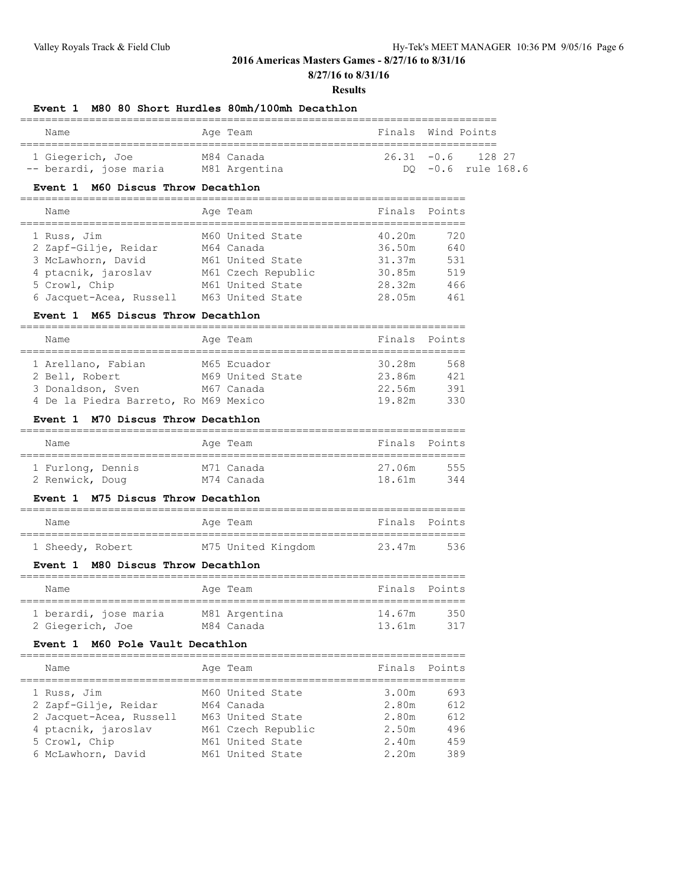**8/27/16 to 8/31/16**

#### **Results**

### **Event 1 M80 80 Short Hurdles 80mh/100mh Decathlon**

| Name                   | Age Team      | Finals Wind Points |  |                      |  |  |  |  |  |  |  |
|------------------------|---------------|--------------------|--|----------------------|--|--|--|--|--|--|--|
| 1 Giegerich, Joe       | M84 Canada    |                    |  | $26.31 - 0.6$ 128 27 |  |  |  |  |  |  |  |
| -- berardi, jose maria | M81 Argentina |                    |  | DO -0.6 rule 168.6   |  |  |  |  |  |  |  |

### **Event 1 M60 Discus Throw Decathlon**

#### =======================================================================

| Name                    | Age Team           | Finals Points |     |
|-------------------------|--------------------|---------------|-----|
| 1 Russ, Jim             | M60 United State   | 40.20m        | 720 |
| 2 Zapf-Gilje, Reidar    | M64 Canada         | 36.50m        | 640 |
| 3 McLawhorn, David      | M61 United State   | 31.37m        | 531 |
| 4 ptacnik, jaroslav     | M61 Czech Republic | 30.85m        | 519 |
| 5 Crowl, Chip           | M61 United State   | 28.32m        | 466 |
| 6 Jacquet-Acea, Russell | M63 United State   | 28.05m        | 461 |

#### **Event 1 M65 Discus Throw Decathlon**

| Name                                  |  |  | Age Team         |        | Finals Points |  |  |  |  |
|---------------------------------------|--|--|------------------|--------|---------------|--|--|--|--|
|                                       |  |  |                  |        |               |  |  |  |  |
| 1 Arellano, Fabian                    |  |  | M65 Ecuador      | 30.28m | 568           |  |  |  |  |
| 2 Bell, Robert                        |  |  | M69 United State | 23.86m | 421           |  |  |  |  |
| 3 Donaldson, Sven                     |  |  | M67 Canada       | 22.56m | 391           |  |  |  |  |
| 4 De la Piedra Barreto, Ro M69 Mexico |  |  |                  | 19.82m | 330           |  |  |  |  |

### **Event 1 M70 Discus Throw Decathlon**

| Name              |  | Age Team   | Finals Points |     |
|-------------------|--|------------|---------------|-----|
|                   |  |            |               |     |
| 1 Furlong, Dennis |  | M71 Canada | 27.06m        | 555 |
| 2 Renwick, Doug   |  | M74 Canada | 18.61m        | 344 |

### **Event 1 M75 Discus Throw Decathlon**

| Name             |  | Age Team           | Finals Points |     |
|------------------|--|--------------------|---------------|-----|
| 1 Sheedy, Robert |  | M75 United Kingdom | 23.47m        | 536 |

### **Event 1 M80 Discus Throw Decathlon**

| Name                  |  | Age Team      | Finals Points |     |  |  |  |  |
|-----------------------|--|---------------|---------------|-----|--|--|--|--|
|                       |  |               |               |     |  |  |  |  |
| 1 berardi, jose maria |  | M81 Argentina | 14.67m        | 350 |  |  |  |  |
| 2 Giegerich, Joe      |  | M84 Canada    | 13.61m        | 317 |  |  |  |  |

### **Event 1 M60 Pole Vault Decathlon**

| Name                    | Age Team           | Finals | Points |
|-------------------------|--------------------|--------|--------|
| 1 Russ, Jim             | M60 United State   | 3.00m  | 693    |
| 2 Zapf-Gilje, Reidar    | M64 Canada         | 2.80m  | 612    |
| 2 Jacquet-Acea, Russell | M63 United State   | 2.80m  | 612    |
| 4 ptacnik, jaroslav     | M61 Czech Republic | 2.50m  | 496    |
| 5 Crowl, Chip           | M61 United State   | 2.40m  | 459    |
| 6 McLawhorn, David      | M61 United State   | 2.20m  | 389    |
|                         |                    |        |        |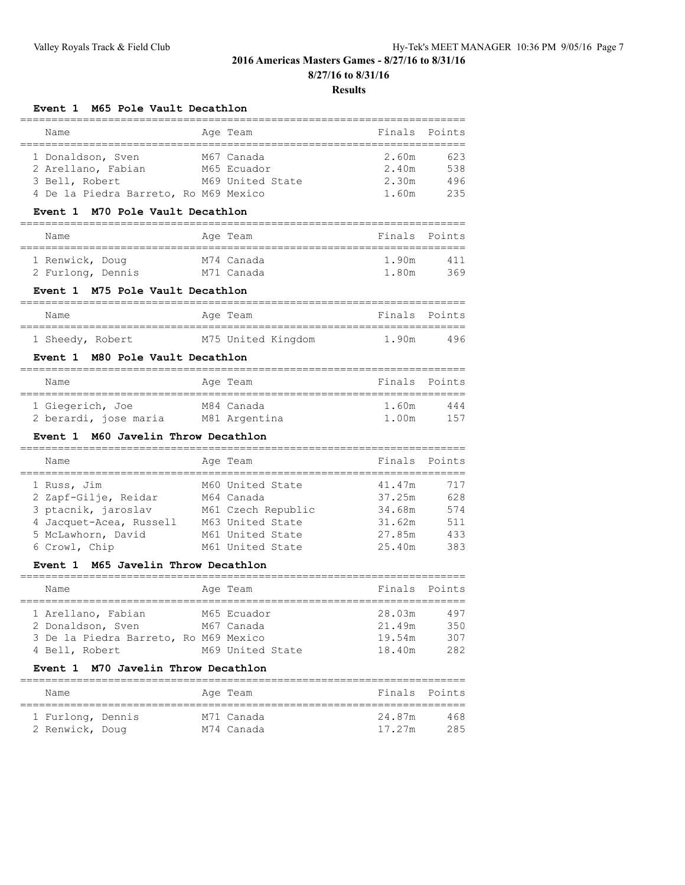# **8/27/16 to 8/31/16**

**Results**

### **Event 1 M65 Pole Vault Decathlon**

| Name                                  |  | Age Team         |       | Finals Points |
|---------------------------------------|--|------------------|-------|---------------|
|                                       |  |                  |       |               |
| 1 Donaldson, Sven                     |  | M67 Canada       | 2.60m | 623           |
| 2 Arellano, Fabian                    |  | M65 Ecuador      | 2.40m | 538           |
| 3 Bell, Robert                        |  | M69 United State | 2.30m | 496           |
| 4 De la Piedra Barreto, Ro M69 Mexico |  |                  | 1.60m | 235           |

#### **Event 1 M70 Pole Vault Decathlon**

| Name              |  | Age Team   | Finals Points |     |
|-------------------|--|------------|---------------|-----|
| 1 Renwick, Doug   |  | M74 Canada | 1.90m         | 411 |
| 2 Furlong, Dennis |  | M71 Canada | 1.80m         | 369 |

### **Event 1 M75 Pole Vault Decathlon**

| Name             |  | Age Team           | Finals Points |     |
|------------------|--|--------------------|---------------|-----|
|                  |  |                    |               |     |
| 1 Sheedy, Robert |  | M75 United Kingdom | 1.90m         | 496 |

### **Event 1 M80 Pole Vault Decathlon**

| Name                  | Age Team      | Finals Points |      |
|-----------------------|---------------|---------------|------|
| 1 Giegerich, Joe      | M84 Canada    | 1.60m         | 444  |
| 2 berardi, jose maria | M81 Argentina | 1.00m         | 1.57 |

### **Event 1 M60 Javelin Throw Decathlon**

| Name                    | Age Team           | Finals Points |     |
|-------------------------|--------------------|---------------|-----|
| 1 Russ, Jim             | M60 United State   | 41.47m        | 717 |
| 2 Zapf-Gilje, Reidar    | M64 Canada         | 37.25m        | 628 |
| 3 ptacnik, jaroslav     | M61 Czech Republic | 34.68m        | 574 |
| 4 Jacquet-Acea, Russell | M63 United State   | 31.62m        | 511 |
| 5 McLawhorn, David      | M61 United State   | 27.85m        | 433 |
| 6 Crowl, Chip           | M61 United State   | 25.40m        | 383 |
|                         |                    |               |     |

### **Event 1 M65 Javelin Throw Decathlon**

| Name               |  |                                                                                                    |               |
|--------------------|--|----------------------------------------------------------------------------------------------------|---------------|
|                    |  |                                                                                                    |               |
| 1 Arellano, Fabian |  | 28.03m                                                                                             | 497           |
| 2 Donaldson, Sven  |  | 21.49m                                                                                             | 350           |
|                    |  | 19.54m                                                                                             | 307           |
| 4 Bell, Robert     |  | 18.40m                                                                                             | 282           |
|                    |  | Age Team<br>M65 Ecuador<br>M67 Canada<br>3 De la Piedra Barreto, Ro M69 Mexico<br>M69 United State | Finals Points |

#### **Event 1 M70 Javelin Throw Decathlon**

| Name                                 |  | Age Team                 | Finals Points    |            |
|--------------------------------------|--|--------------------------|------------------|------------|
| 1 Furlong, Dennis<br>2 Renwick, Doug |  | M71 Canada<br>M74 Canada | 24.87m<br>17.27m | 468<br>285 |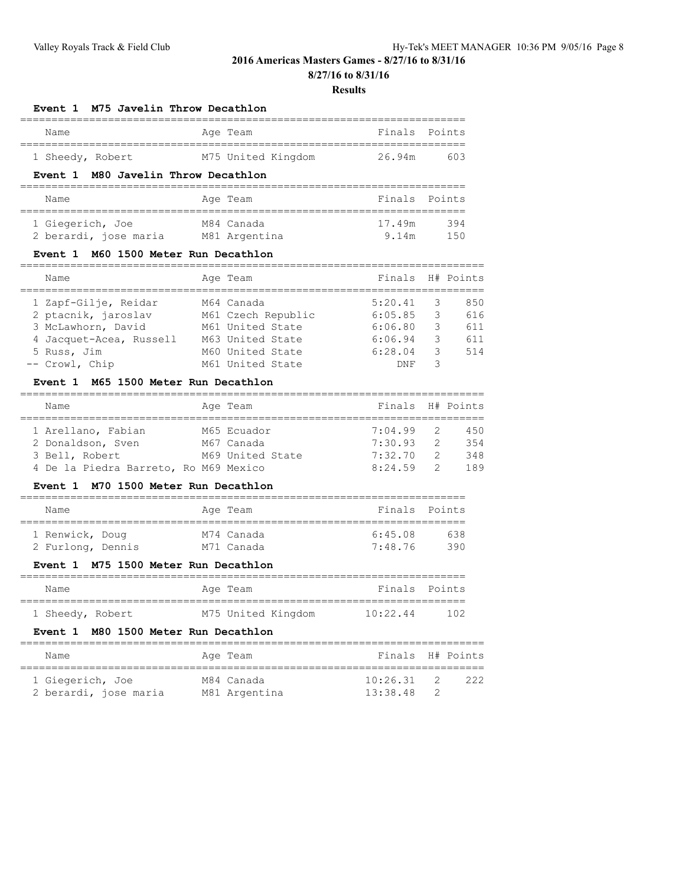**8/27/16 to 8/31/16**

#### **Results**

### **Event 1 M75 Javelin Throw Decathlon**

| Name             |  | Age Team           | Finals Points |     |
|------------------|--|--------------------|---------------|-----|
|                  |  |                    |               |     |
| 1 Sheedy, Robert |  | M75 United Kingdom | 26.94m        | 603 |

### **Event 1 M80 Javelin Throw Decathlon**

| Name                  | Age Team      | Finals Points |      |
|-----------------------|---------------|---------------|------|
| 1 Giegerich, Joe      | M84 Canada    | 17.49m        | 394  |
| 2 berardi, jose maria | M81 Argentina | 9 14m         | 1.50 |

### **Event 1 M60 1500 Meter Run Decathlon**

| Name                    | Age Team           | Finals H# Points |   |     |
|-------------------------|--------------------|------------------|---|-----|
| 1 Zapf-Gilje, Reidar    | M64 Canada         | 5:20.41          |   | 850 |
| 2 ptacnik, jaroslav     | M61 Czech Republic | 6:05.85          | 3 | 616 |
| 3 McLawhorn, David      | M61 United State   | 6:06.80          | 3 | 611 |
| 4 Jacquet-Acea, Russell | M63 United State   | 6:06.94          | 3 | 611 |
| 5 Russ, Jim             | M60 United State   | 6:28.04          | 3 | 514 |
| -- Crowl, Chip          | M61 United State   | <b>DNF</b>       |   |     |

### **Event 1 M65 1500 Meter Run Decathlon**

| Name                                  | Age Team         | Finals H# Points |               |     |
|---------------------------------------|------------------|------------------|---------------|-----|
|                                       |                  |                  |               |     |
| 1 Arellano, Fabian                    | M65 Ecuador      | 7:04.99          | -2            | 450 |
| 2 Donaldson, Sven                     | M67 Canada       | 7:30.93          | 2             | 354 |
| 3 Bell, Robert                        | M69 United State | 7:32.70          | $\mathcal{P}$ | 348 |
| 4 De la Piedra Barreto, Ro M69 Mexico |                  | 8:24.59          |               | 189 |

### **Event 1 M70 1500 Meter Run Decathlon**

| Name              |  | Age Team   | Finals Points |      |
|-------------------|--|------------|---------------|------|
|                   |  |            |               |      |
| 1 Renwick, Doug   |  | M74 Canada | 6:45.08       | 638. |
| 2 Furlong, Dennis |  | M71 Canada | 7:48.76       | 390. |

### **Event 1 M75 1500 Meter Run Decathlon**

| Name             |  | Age Team           | Finals Points |     |
|------------------|--|--------------------|---------------|-----|
| 1 Sheedy, Robert |  | M75 United Kingdom | 10:22.44      | 102 |

#### **Event 1 M80 1500 Meter Run Decathlon**

| Name                  | Age Team      | Finals H# Points |                |     |
|-----------------------|---------------|------------------|----------------|-----|
| 1 Giegerich, Joe      | M84 Canada    | 10:26.31         | $\overline{2}$ | 222 |
| 2 berardi, jose maria | M81 Argentina | 13:38.48         |                |     |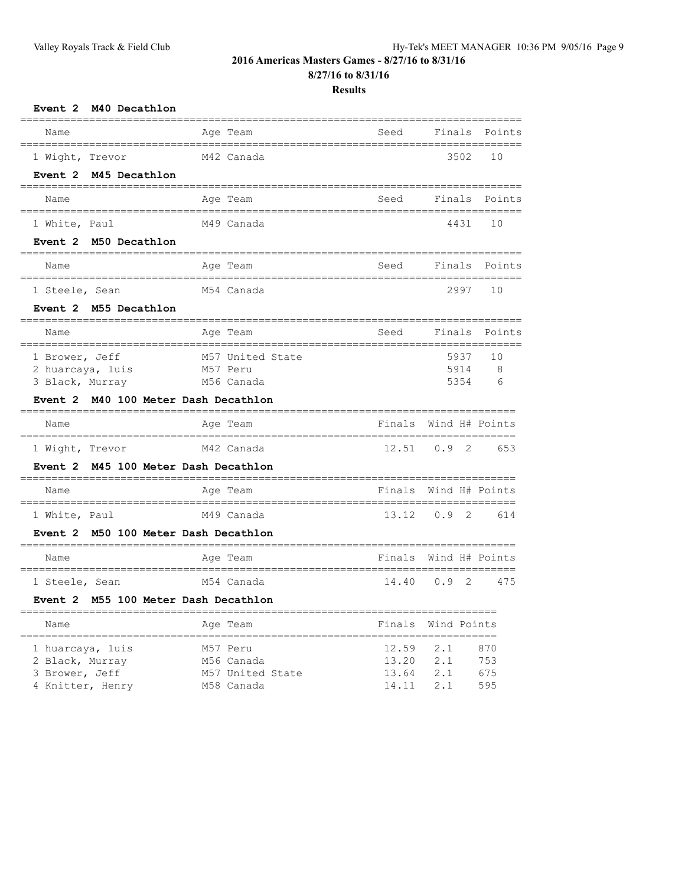**8/27/16 to 8/31/16**

### **Results**

| Event 2 M40 Decathlon                             |                                                   |                                       |                       |            |
|---------------------------------------------------|---------------------------------------------------|---------------------------------------|-----------------------|------------|
| Name                                              | =======<br>Age Team                               | Seed                                  | Finals                | Points     |
| .=================<br>1 Wight, Trevor             | M42 Canada                                        | _____________________________________ | 3502                  | 10         |
| Event 2 M45 Decathlon                             |                                                   |                                       |                       |            |
| Name                                              | Age Team                                          | Seed                                  | Finals                | Points     |
| --------------------------------<br>1 White, Paul | ___________________________________<br>M49 Canada |                                       | 4431                  | 10         |
| Event 2 M50 Decathlon                             |                                                   |                                       |                       |            |
| Name                                              | Age Team                                          | Seed                                  | Finals                | Points     |
| 1 Steele, Sean                                    | M54 Canada                                        |                                       | 2997                  | 10         |
| Event 2 M55 Decathlon                             | ===============                                   |                                       |                       |            |
| Name<br>----------------------                    | Age Team<br>.=============                        | Seed<br>============================= | Finals                | Points     |
| 1 Brower, Jeff                                    | M57 United State                                  |                                       | 5937                  | 10         |
| 2 huarcaya, luis<br>3 Black, Murray               | M57 Peru<br>M56 Canada                            |                                       | 5914<br>5354          | 8<br>6     |
| <b>Event 2</b>                                    | M40 100 Meter Dash Decathlon                      |                                       |                       |            |
| Name                                              | Age Team                                          | Finals                                | Wind H# Points        |            |
| 1 Wight, Trevor                                   | M42 Canada                                        | 12.51                                 | 0.9<br>2              | 653        |
| Event 2                                           | M45 100 Meter Dash Decathlon                      |                                       |                       |            |
| Name<br>-------------------                       | Age Team                                          |                                       | Finals Wind H# Points |            |
| 1 White, Paul                                     | M49 Canada                                        | 13.12                                 | 0.9<br>2              | 614        |
| Event 2 M50 100 Meter Dash Decathlon              |                                                   |                                       |                       |            |
| Name                                              | Age Team                                          | Finals                                | Wind H# Points        |            |
| 1 Steele, Sean                                    |                                                   |                                       |                       |            |
|                                                   | M54 Canada                                        | 14.40                                 | $\mathfrak{D}$<br>0.9 | 475        |
| Event 2 M55 100 Meter Dash Decathlon              |                                                   |                                       |                       |            |
| Name                                              | ===========<br>Age Team                           |                                       | Finals Wind Points    |            |
| 1 huarcaya, luis<br>2 Black, Murray               | M57 Peru<br>M56 Canada                            | 12.59<br>13.20                        | 2.1<br>2.1            | 870<br>753 |

4 Knitter, Henry M58 Canada 14.11 2.1 595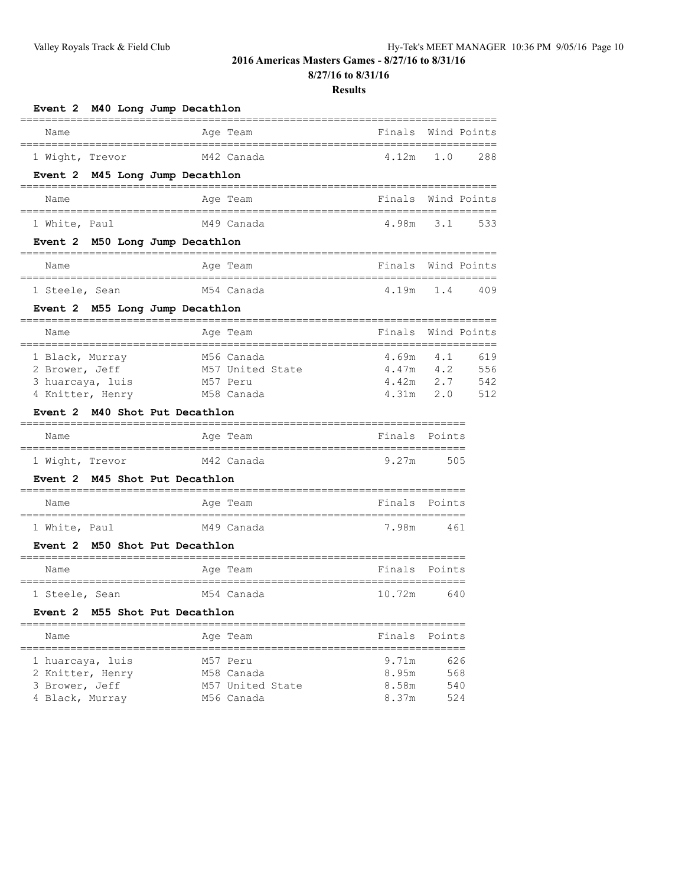**8/27/16 to 8/31/16**

| Event 2 M40 Long Jump Decathlon                                           |                                                          |                                                 |                                           |
|---------------------------------------------------------------------------|----------------------------------------------------------|-------------------------------------------------|-------------------------------------------|
| Name                                                                      | Age Team                                                 | Finals                                          | Wind Points                               |
| 1 Wight, Trevor                                                           | M42 Canada                                               | 4.12m 1.0                                       | 288                                       |
| Event 2 M45 Long Jump Decathlon                                           |                                                          |                                                 |                                           |
| Name                                                                      | Age Team                                                 |                                                 | Finals Wind Points                        |
| 1 White, Paul                                                             | M49 Canada                                               |                                                 | 4.98m 3.1 533                             |
| Event 2 M50 Long Jump Decathlon                                           |                                                          |                                                 |                                           |
| Name                                                                      | Aqe Team                                                 |                                                 | Finals Wind Points                        |
| 1 Steele, Sean                                                            | M54 Canada                                               |                                                 | 4.19m 1.4 409                             |
| Event 2 M55 Long Jump Decathlon                                           |                                                          |                                                 |                                           |
| Name                                                                      | Age Team                                                 |                                                 | Finals Wind Points                        |
| 1 Black, Murray<br>2 Brower, Jeff<br>3 huarcaya, luis<br>4 Knitter, Henry | M56 Canada<br>M57 United State<br>M57 Peru<br>M58 Canada | $4.69m$ $4.1$<br>$4.47m$ $4.2$<br>$4.31m$ $2.0$ | 619<br>556<br>$4.42m$ $2.7$<br>542<br>512 |
| Event 2 M40 Shot Put Decathlon                                            | ----------------------                                   |                                                 |                                           |
| Name                                                                      | Age Team                                                 | Finals Points                                   |                                           |
| 1 Wight, Trevor                                                           | M42 Canada                                               | 9.27m                                           | 505                                       |
| Event 2 M45 Shot Put Decathlon                                            |                                                          |                                                 |                                           |
| Name                                                                      | Aqe Team                                                 | Finals Points                                   |                                           |
| 1 White, Paul                                                             | M49 Canada                                               | 7.98m                                           | 461                                       |
| Event 2 M50 Shot Put Decathlon                                            |                                                          |                                                 |                                           |
| Name                                                                      | Age Team                                                 | Finals                                          | Points                                    |
| 1 Steele, Sean                                                            | M54 Canada                                               | 10.72m                                          | 640                                       |
| Event 2 M55 Shot Put Decathlon                                            |                                                          |                                                 |                                           |
| Name<br>====================================                              | Age Team<br>==================================           | Finals                                          | Points                                    |
| 1 huarcaya, luis<br>2 Knitter, Henry<br>3 Brower, Jeff                    | M57 Peru<br>M58 Canada<br>M57 United State               | 9.71m<br>8.95m<br>8.58m                         | 626<br>568<br>540                         |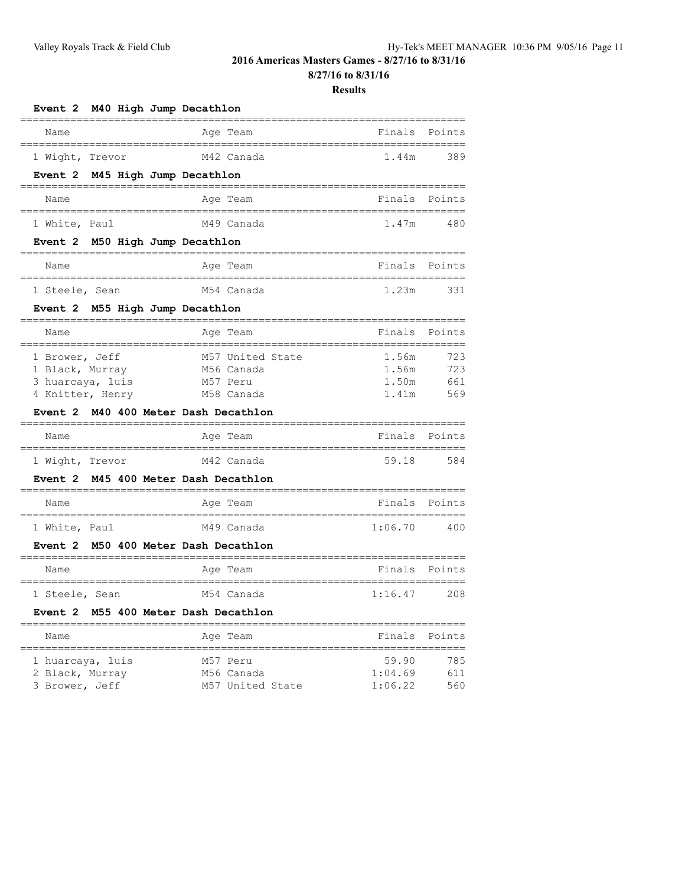**8/27/16 to 8/31/16**

#### **Results**

| Event 2 M40 High Jump Decathlon                                                                                   |                                                          |                                  |                          |
|-------------------------------------------------------------------------------------------------------------------|----------------------------------------------------------|----------------------------------|--------------------------|
| Name<br>================================                                                                          | Age Team<br>-------------------------------              | Finals                           | Points                   |
| 1 Wight, Trevor                                                                                                   | M42 Canada                                               | 1.44m                            | 389                      |
| Event 2 M45 High Jump Decathlon                                                                                   |                                                          |                                  |                          |
| Name                                                                                                              | Age Team                                                 |                                  | Finals Points            |
| ;================================<br>1 White, Paul                                                                | ------------------------------------<br>M49 Canada       | 1.47m                            | 480                      |
| Event 2 M50 High Jump Decathlon                                                                                   |                                                          |                                  |                          |
| Name                                                                                                              | Age Team                                                 | Finals                           | Points                   |
| 1 Steele, Sean                                                                                                    | M54 Canada                                               | 1.23m                            | 331                      |
| Event 2 M55 High Jump Decathlon                                                                                   |                                                          |                                  |                          |
| Name<br>=================================                                                                         | Age Team<br>-----------------------------------          | Finals                           | Points                   |
| 1 Brower, Jeff<br>1 Black, Murray<br>3 huarcaya, luis<br>4 Knitter, Henry<br>Event 2 M40 400 Meter Dash Decathlon | M57 United State<br>M56 Canada<br>M57 Peru<br>M58 Canada | 1.56m<br>1.56m<br>1.50m<br>1.41m | 723<br>723<br>661<br>569 |
| Name                                                                                                              | Age Team                                                 | Finals                           | Points                   |
| 1 Wight, Trevor                                                                                                   | M42 Canada                                               | 59.18                            | 584                      |
| Event 2 M45 400 Meter Dash Decathlon                                                                              | ---------------------------------                        |                                  |                          |
| Name<br>======================================                                                                    | Age Team                                                 | Finals                           | Points                   |
| 1 White, Paul                                                                                                     | .================================<br>M49 Canada          | 1:06.70                          | 400                      |
| Event 2 M50 400 Meter Dash Decathlon                                                                              |                                                          |                                  |                          |
| Name                                                                                                              | Age Team                                                 | Finals Points                    |                          |
| 1 Steele, Sean                                                                                                    | .__________________________________<br>M54 Canada        | 1:16.47                          | 208                      |
| Event 2 M55 400 Meter Dash Decathlon                                                                              |                                                          |                                  |                          |
| Name                                                                                                              | Age Team                                                 | Finals                           | Points                   |
| 1 huarcaya, luis<br>2 Black, Murray                                                                               | M57 Peru<br>M56 Canada                                   | 59.90<br>1:04.69                 | 785<br>611               |

3 Brower, Jeff M57 United State 1:06.22 560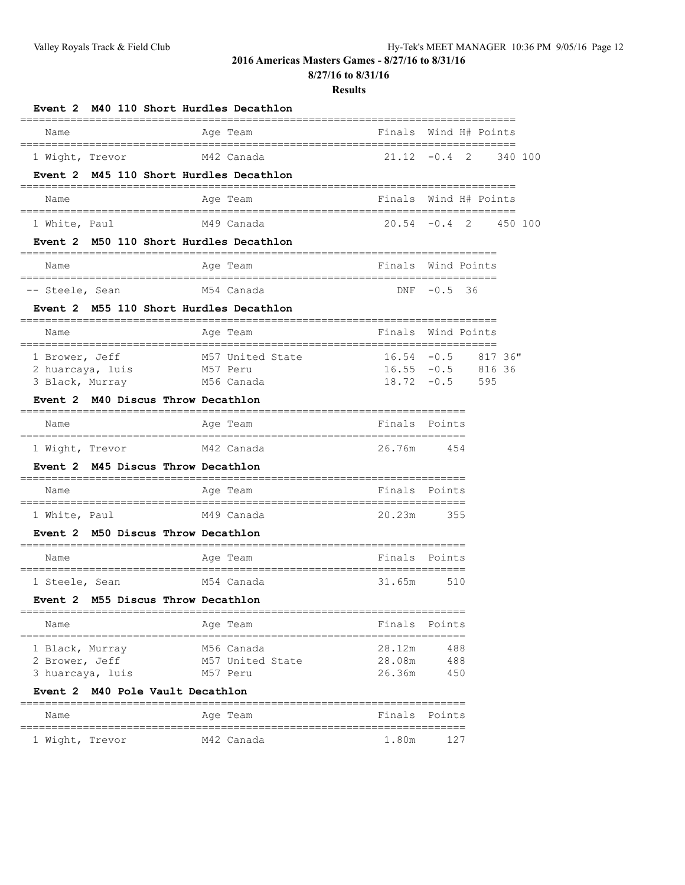**8/27/16 to 8/31/16**

| Event 2                                               | M40 110 Short Hurdles Decathlon<br>============                       |                                     |                                       |                        |
|-------------------------------------------------------|-----------------------------------------------------------------------|-------------------------------------|---------------------------------------|------------------------|
| Name                                                  | Age Team                                                              | :============<br>Finals             |                                       | Wind H# Points         |
| 1 Wight, Trevor                                       | M42 Canada                                                            |                                     | $21.12 - 0.4$ 2                       | 340 100                |
| Event 2                                               | M45 110 Short Hurdles Decathlon                                       |                                     |                                       |                        |
| Name                                                  | Age Team                                                              | ==================                  | Finals Wind H# Points                 |                        |
| 1 White, Paul                                         | M49 Canada                                                            |                                     |                                       | $20.54 -0.4$ 2 450 100 |
| <b>Event 2</b>                                        | M50 110 Short Hurdles Decathlon<br>____________                       | ----------------------------------- |                                       |                        |
| Name                                                  | Age Team                                                              |                                     | Finals Wind Points                    |                        |
| -- Steele, Sean                                       | ======================================<br>=============<br>M54 Canada |                                     | $DNF -0.5 36$                         |                        |
| Event 2 M55 110 Short Hurdles Decathlon               |                                                                       |                                     |                                       |                        |
| Name                                                  | Age Team                                                              |                                     | Finals Wind Points                    |                        |
| 1 Brower, Jeff<br>2 huarcaya, luis                    | M57 United State<br>M57 Peru                                          | $16.54 - 0.5$                       | $16.55 - 0.5$ 816 36<br>$18.72 - 0.5$ | 817 36"                |
| 3 Black, Murray<br>Event 2 M40 Discus Throw Decathlon | M56 Canada                                                            |                                     |                                       | 595                    |
| Name                                                  | Age Team                                                              |                                     | Finals Points                         |                        |
| 1 Wight, Trevor                                       | M42 Canada                                                            | 26.76m                              | 454                                   |                        |
| Event 2 M45 Discus Throw Decathlon                    |                                                                       |                                     |                                       |                        |
| Name                                                  | Age Team                                                              |                                     | Finals Points                         |                        |
| 1 White, Paul                                         | M49 Canada                                                            | 20.23m                              | 355                                   |                        |
| Event 2 M50 Discus Throw Decathlon                    |                                                                       |                                     |                                       |                        |
| Name                                                  | Age Team                                                              |                                     | Finals Points                         |                        |
| 1 Steele, Sean                                        | M54 Canada                                                            | 31.65m                              | 510                                   |                        |
| Event 2 M55 Discus Throw Decathlon                    |                                                                       |                                     |                                       |                        |
| Name                                                  | Age Team                                                              | Finals                              | Points                                |                        |
| 1 Black, Murray<br>2 Brower, Jeff<br>3 huarcaya, luis | M56 Canada<br>M57 United State<br>M57 Peru                            | 28.12m<br>28.08m<br>26.36m          | 488<br>488<br>450                     |                        |
| M40 Pole Vault Decathlon<br>Event 2                   |                                                                       |                                     |                                       |                        |
| Name                                                  | Age Team                                                              | Finals                              | Points                                |                        |
| 1 Wight, Trevor                                       | M42 Canada                                                            | 1.80m                               | 127                                   |                        |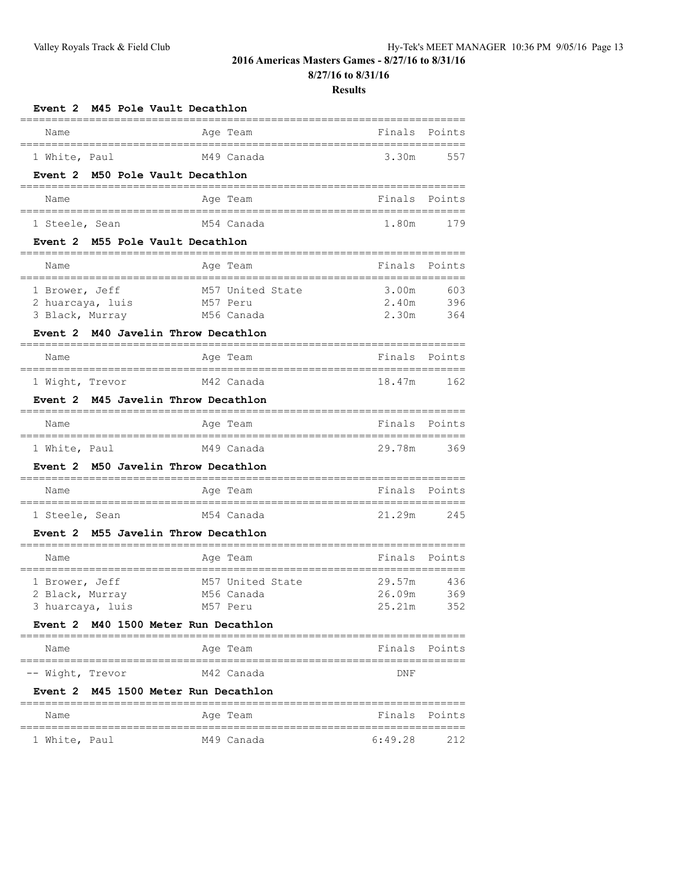**8/27/16 to 8/31/16**

| M45 Pole Vault Decathlon<br><b>Event 2</b>                |                                                          |                                                        |        |
|-----------------------------------------------------------|----------------------------------------------------------|--------------------------------------------------------|--------|
| Name                                                      | Age Team                                                 | Finals                                                 | Points |
| --------------------------------<br>1 White, Paul         | M49 Canada                                               | :=============<br>3.30m                                | 557    |
| Event 2 M50 Pole Vault Decathlon                          |                                                          |                                                        |        |
| --------------<br>Name<br>------------------------------- | ----------------------<br>Age Team<br>.================= | Finals                                                 | Points |
| 1 Steele, Sean                                            | M54 Canada                                               | 1.80m                                                  | 179    |
| Event 2 M55 Pole Vault Decathlon                          | ================                                         |                                                        |        |
| Name                                                      | Age Team                                                 | Finals                                                 | Points |
| 1 Brower, Jeff                                            | M57 United State                                         | 3.00m                                                  | 603    |
| 2 huarcaya, luis                                          | M57 Peru                                                 | 2.40m                                                  | 396    |
| 3 Black, Murray                                           | M56 Canada                                               | 2.30m                                                  | 364    |
| Event 2 M40 Javelin Throw Decathlon                       |                                                          |                                                        |        |
| Name                                                      | Age Team                                                 | Finals                                                 | Points |
| 1 Wight, Trevor                                           | M42 Canada                                               | 18.47m                                                 | 162    |
| Event 2 M45 Javelin Throw Decathlon                       |                                                          |                                                        |        |
| Name                                                      | Age Team                                                 | Finals                                                 | Points |
| 1 White, Paul                                             | M49 Canada                                               | 29.78m                                                 | 369    |
| Event 2 M50 Javelin Throw Decathlon                       |                                                          |                                                        |        |
| Name                                                      | Age Team                                                 | Finals                                                 | Points |
|                                                           |                                                          |                                                        |        |
| 1 Steele, Sean                                            | M54 Canada                                               | 21.29m                                                 | 245    |
| Event 2 M55 Javelin Throw Decathlon                       |                                                          |                                                        |        |
| Name                                                      | Age Team                                                 | Finals                                                 | Points |
| 1 Brower, Jeff                                            | M57 United State                                         | 29.57m                                                 | 436    |
| 2 Black, Murray                                           | M56 Canada                                               | 26.09m                                                 | 369    |
| 3 huarcaya, luis                                          | M57 Peru                                                 | 25.21m                                                 | 352    |
| Event 2 M40 1500 Meter Run Decathlon                      |                                                          |                                                        |        |
| Name                                                      | ==================<br>Age Team                           | =====================================<br>Finals Points |        |
| -- Wight, Trevor                                          | M42 Canada                                               | DNF                                                    |        |
| Event 2 M45 1500 Meter Run Decathlon                      |                                                          |                                                        |        |
| Name                                                      | Age Team                                                 | Finals Points                                          |        |
| 1 White, Paul                                             | M49 Canada                                               | 6:49.28                                                | 212    |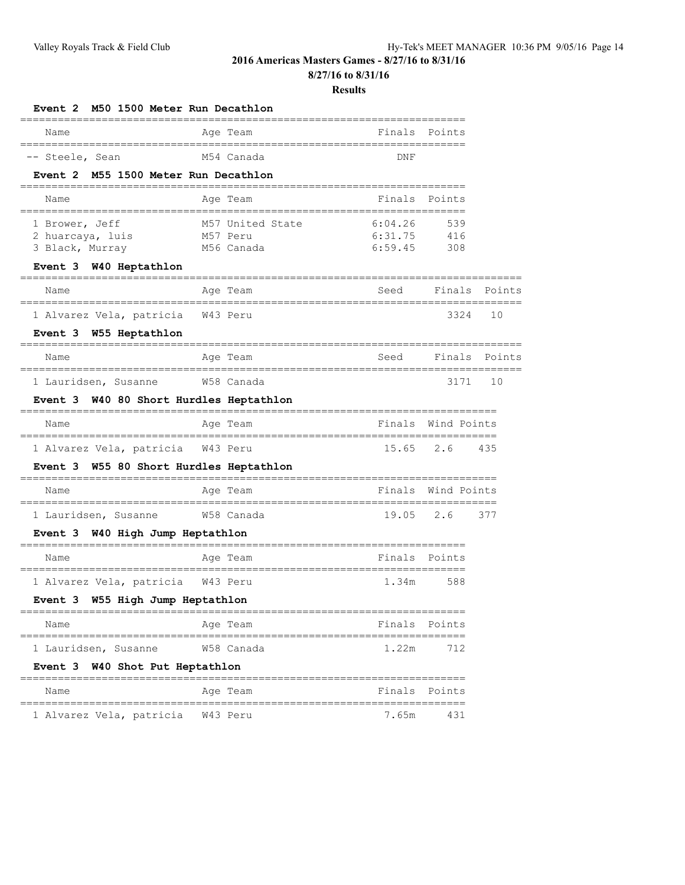**8/27/16 to 8/31/16**

| M50 1500 Meter Run Decathlon<br>Event 2                                                             |                                                                                   |                               |                    |               |
|-----------------------------------------------------------------------------------------------------|-----------------------------------------------------------------------------------|-------------------------------|--------------------|---------------|
| Name                                                                                                | Age Team                                                                          | Finals                        | Points             |               |
| =====================================<br>-- Steele, Sean<br>M55 1500 Meter Run Decathlon<br>Event 2 | -----------------------------------<br>M54 Canada                                 | DNF                           |                    |               |
| Name                                                                                                | Age Team                                                                          | Finals                        | Points             |               |
| _____________________________________<br>1 Brower, Jeff<br>2 huarcaya, luis<br>3 Black, Murray      | -----------------------------------<br>M57 United State<br>M57 Peru<br>M56 Canada | 6:04.26<br>6:31.75<br>6:59.45 | 539<br>416<br>308  |               |
| Event 3 W40 Heptathlon                                                                              |                                                                                   |                               |                    |               |
| Name                                                                                                | Age Team                                                                          | Seed                          | Finals             | Points        |
| 1 Alvarez Vela, patricia<br>Event 3 W55 Heptathlon                                                  | W43 Peru                                                                          |                               | 3324               | 10            |
| Name                                                                                                | Age Team                                                                          | Seed                          |                    | Finals Points |
| 1 Lauridsen, Susanne                                                                                | W58 Canada                                                                        |                               | 3171               | 10            |
| W40 80 Short Hurdles Heptathlon<br>Event 3                                                          |                                                                                   |                               |                    |               |
| Name                                                                                                | Age Team                                                                          |                               | Finals Wind Points |               |
| 1 Alvarez Vela, patricia                                                                            | W43 Peru                                                                          | 15.65                         | 2.6                | 435           |
| W55 80 Short Hurdles Heptathlon<br>Event 3                                                          |                                                                                   |                               |                    |               |
| Name                                                                                                | Age Team                                                                          |                               | Finals Wind Points |               |
| 1 Lauridsen, Susanne<br>Event 3 W40 High Jump Heptathlon                                            | W58 Canada                                                                        | 19.05                         | 2.6                | 377           |
| Name                                                                                                | Age Team                                                                          |                               | Finals Points      |               |
| 1 Alvarez Vela, patricia W43 Peru<br>Event 3 W55 High Jump Heptathlon                               |                                                                                   | 1.34m                         | 588                |               |
| Name                                                                                                | =======<br>Age Team                                                               | Finals                        | Points             |               |
| ===========================<br>1 Lauridsen, Susanne<br>W40 Shot Put Heptathlon<br>Event 3           | W58 Canada                                                                        | 1.22m                         | 712                |               |
| Name                                                                                                | Age Team                                                                          | Finals                        | Points             |               |
| 1 Alvarez Vela, patricia                                                                            | W43 Peru                                                                          | =====<br>7.65m                | 431                |               |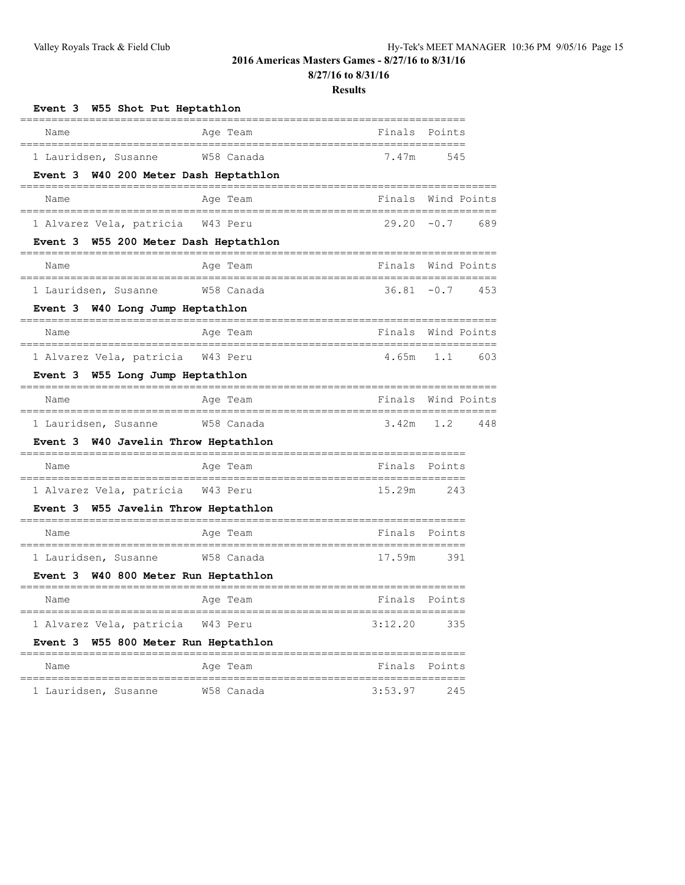**8/27/16 to 8/31/16**

| Event 3 W55 Shot Put Heptathlon                                       |                                                   |                    |               |
|-----------------------------------------------------------------------|---------------------------------------------------|--------------------|---------------|
| Name                                                                  | Age Team                                          | Finals             | Points        |
| 1 Lauridsen, Susanne<br>Event 3 W40 200 Meter Dash Heptathlon         | W58 Canada                                        | 7.47m              | 545           |
| Name                                                                  | Age Team                                          | Finals             | Wind Points   |
| 1 Alvarez Vela, patricia W43 Peru                                     |                                                   | $29.20 - 0.7$      | 689           |
| Event 3 W55 200 Meter Dash Heptathlon                                 |                                                   |                    |               |
| Name                                                                  | Age Team                                          | Finals             | Wind Points   |
| 1 Lauridsen, Susanne<br>Event 3 W40 Long Jump Heptathlon              | W58 Canada                                        | $36.81 - 0.7$      | 453           |
| Name                                                                  | Age Team                                          | Finals             | Wind Points   |
| 1 Alvarez Vela, patricia W43 Peru<br>Event 3 W55 Long Jump Heptathlon | ----------                                        | 4.65m              | 1.1<br>603    |
| Name                                                                  | Age Team                                          | Finals             | Wind Points   |
| 1 Lauridsen, Susanne                                                  | W58 Canada                                        | 3.42m              | 1.2<br>448    |
| W40 Javelin Throw Heptathlon<br>Event 3                               |                                                   |                    |               |
| Name                                                                  | Age Team<br>=========                             | ================== | Finals Points |
| 1 Alvarez Vela, patricia W43 Peru                                     |                                                   | 15.29m             | 243           |
| W55 Javelin Throw Heptathlon<br>Event 3                               |                                                   |                    |               |
| Name                                                                  | Age Team                                          |                    | Finals Points |
| 1 Lauridsen, Susanne<br>W40 800 Meter Run Heptathlon<br>Event 3       | W58 Canada                                        | 17.59m             | 391           |
| Name                                                                  | Age Team                                          | Finals             | Points        |
| 1 Alvarez Vela, patricia<br>Event 3 W55 800 Meter Run Heptathlon      | W43 Peru                                          | 3:12.20            | 335           |
| Name                                                                  | Age Team                                          |                    | Finals Points |
| =================================<br>1 Lauridsen, Susanne             | ===================================<br>W58 Canada | 3:53.97            | 245           |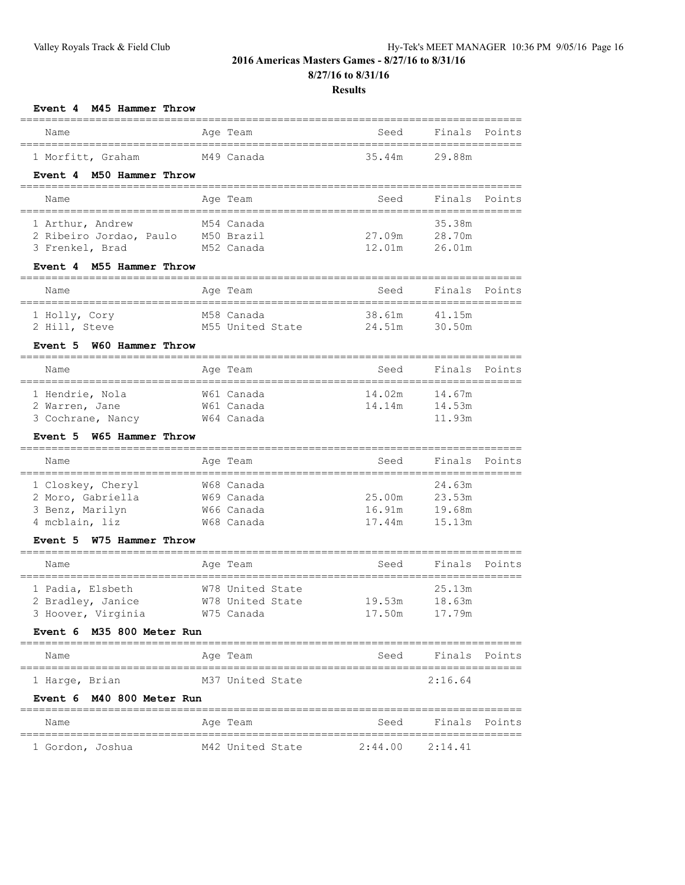| M45 Hammer Throw<br><b>Event 4</b>          |                  |                                          |               |        |
|---------------------------------------------|------------------|------------------------------------------|---------------|--------|
| Name<br>______________________________      | Age Team         | Seed                                     | Finals        | Points |
| 1 Morfitt, Graham                           | M49 Canada       | 35.44m                                   | 29.88m        |        |
| Event 4 M50 Hammer Throw                    |                  |                                          |               |        |
| Name<br>___________________________________ | Age Team         | Seed                                     | Finals        | Points |
| 1 Arthur, Andrew                            | M54 Canada       | ===========================              | 35.38m        |        |
| 2 Ribeiro Jordao, Paulo                     | M50 Brazil       | 27.09m                                   | 28.70m        |        |
| 3 Frenkel, Brad                             | M52 Canada       | 12.01m                                   | 26.01m        |        |
| Event 4 M55 Hammer Throw                    |                  |                                          |               |        |
| Name                                        | Age Team         | Seed                                     | Finals        | Points |
| 1 Holly, Cory                               | M58 Canada       | 38.61m                                   | 41.15m        |        |
| 2 Hill, Steve                               | M55 United State | 24.51m                                   | 30.50m        |        |
| Event 5 W60 Hammer Throw                    |                  |                                          |               |        |
| Name                                        | Age Team         | Seed<br>__________________________       | Finals        | Points |
| 1 Hendrie, Nola                             | W61 Canada       | 14.02m                                   | 14.67m        |        |
| 2 Warren, Jane                              | W61 Canada       | 14.14m                                   | 14.53m        |        |
| 3 Cochrane, Nancy                           | W64 Canada       |                                          | 11.93m        |        |
| W65 Hammer Throw<br>Event 5                 |                  |                                          |               |        |
| Name                                        | Age Team         | Seed<br>________________________________ | Finals        | Points |
| 1 Closkey, Cheryl                           | W68 Canada       |                                          | 24.63m        |        |
| 2 Moro, Gabriella                           | W69 Canada       | 25.00m                                   | 23.53m        |        |
| 3 Benz, Marilyn                             | W66 Canada       | 16.91m                                   | 19.68m        |        |
| 4 mcblain, liz<br>W75 Hammer Throw          | W68 Canada       | 17.44m                                   | 15.13m        |        |
| Event 5                                     |                  |                                          |               |        |
| Name                                        | Age Team         | Seed                                     | Finals        | Points |
| 1 Padia, Elsbeth                            | W78 United State |                                          | 25.13m        |        |
| 2 Bradley, Janice                           | W78 United State | 19.53m                                   | 18.63m        |        |
| 3 Hoover, Virginia                          | W75 Canada       | 17.50m                                   | 17.79m        |        |
| Event 6 M35 800 Meter Run                   |                  |                                          |               |        |
| Name                                        | Age Team         | Seed                                     | Finals Points |        |
| 1 Harge, Brian                              | M37 United State |                                          | 2:16.64       |        |
| Event 6 M40 800 Meter Run                   |                  |                                          |               |        |
| Name                                        | Age Team         | Seed                                     | Finals        | Points |
| 1 Gordon, Joshua                            | M42 United State | 2:44.00                                  | 2:14.41       |        |
|                                             |                  |                                          |               |        |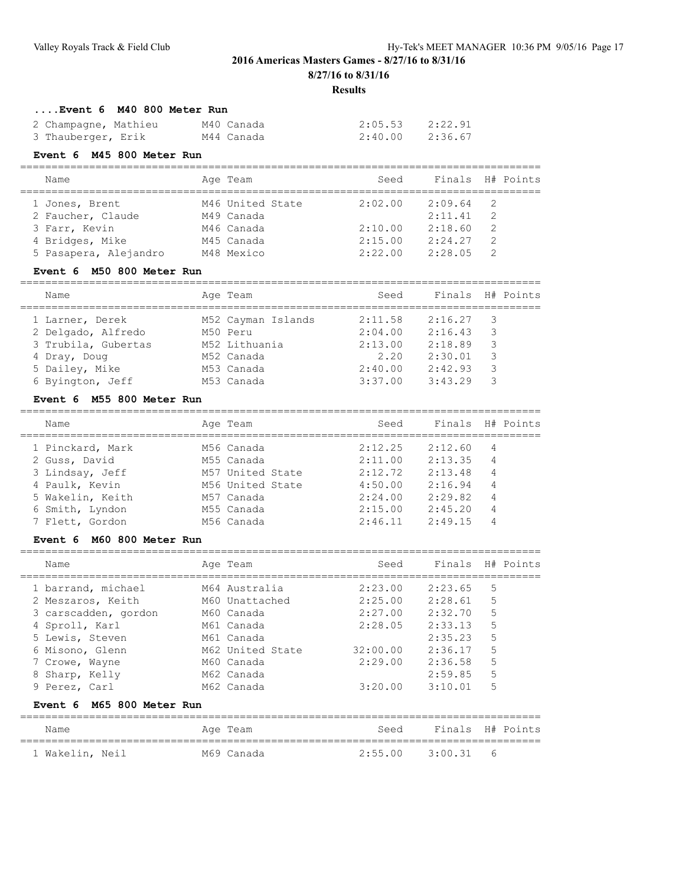**8/27/16 to 8/31/16**

### **Results**

### **....Event 6 M40 800 Meter Run**

| 2 Champagne, Mathieu | M40 Canada | 2:05.53 | 2:22.91 |
|----------------------|------------|---------|---------|
| 3 Thauberger, Erik   | M44 Canada | 2:40.00 | 2:36.67 |

### **Event 6 M45 800 Meter Run**

#### =================================================================================== Seed Finals H# Points

| Name.                 | Ade Team         | beeu    |         | LINGIS H# ROINLS |
|-----------------------|------------------|---------|---------|------------------|
| 1 Jones, Brent        | M46 United State | 2:02.00 | 2:09.64 | - 2              |
| 2 Faucher, Claude     | M49 Canada       |         | 2:11.41 | -2               |
| 3 Farr, Kevin         | M46 Canada       | 2:10.00 | 2:18.60 | $\overline{2}$   |
| 4 Bridges, Mike       | M45 Canada       | 2:15.00 | 2:24.27 | -2               |
| 5 Pasapera, Alejandro | M48 Mexico       | 2:22.00 | 2:28.05 | $\overline{2}$   |
|                       |                  |         |         |                  |

### **Event 6 M50 800 Meter Run**

| Name                | Age Team           | Seed    |         | Finals H# Points |
|---------------------|--------------------|---------|---------|------------------|
| 1 Larner, Derek     | M52 Cayman Islands | 2:11.58 | 2:16.27 | 3                |
| 2 Delgado, Alfredo  | M50 Peru           | 2:04.00 | 2:16.43 | 3                |
| 3 Trubila, Gubertas | M52 Lithuania      | 2:13.00 | 2:18.89 | 3                |
| 4 Dray, Doug        | M52 Canada         | 2.20    | 2:30.01 | 3                |
| 5 Dailey, Mike      | M53 Canada         | 2:40.00 | 2:42.93 | 3                |
| 6 Byington, Jeff    | M53 Canada         | 3:37.00 | 3:43.29 | 3                |
|                     |                    |         |         |                  |

### **Event 6 M55 800 Meter Run**

| Name             | Age Team         | Seed    | Finals  | H# Points |
|------------------|------------------|---------|---------|-----------|
| 1 Pinckard, Mark | M56 Canada       | 2:12.25 | 2:12.60 | 4         |
| 2 Guss, David    | M55 Canada       | 2:11.00 | 2:13.35 | 4         |
| 3 Lindsay, Jeff  | M57 United State | 2:12.72 | 2:13.48 | 4         |
| 4 Paulk, Kevin   | M56 United State | 4:50.00 | 2:16.94 | 4         |
| 5 Wakelin, Keith | M57 Canada       | 2:24.00 | 2:29.82 | 4         |
| 6 Smith, Lyndon  | M55 Canada       | 2:15.00 | 2:45.20 | 4         |
| 7 Flett, Gordon  | M56 Canada       | 2:46.11 | 2:49.15 | 4         |

#### **Event 6 M60 800 Meter Run**

| Name                 | Age Team         | Seed     | Finals  |   | H# Points |
|----------------------|------------------|----------|---------|---|-----------|
| 1 barrand, michael   | M64 Australia    | 2:23.00  | 2:23.65 | 5 |           |
| 2 Meszaros, Keith    | M60 Unattached   | 2:25.00  | 2:28.61 | 5 |           |
| 3 carscadden, gordon | M60 Canada       | 2:27.00  | 2:32.70 | 5 |           |
| 4 Sproll, Karl       | M61 Canada       | 2:28.05  | 2:33.13 | 5 |           |
| 5 Lewis, Steven      | M61 Canada       |          | 2:35.23 | 5 |           |
| 6 Misono, Glenn      | M62 United State | 32:00.00 | 2:36.17 | 5 |           |
| 7 Crowe, Wayne       | M60 Canada       | 2:29.00  | 2:36.58 | 5 |           |
| 8 Sharp, Kelly       | M62 Canada       |          | 2:59.85 | 5 |           |
| 9 Perez, Carl        | M62 Canada       | 3:20.00  | 3:10.01 | 5 |           |
|                      |                  |          |         |   |           |

#### **Event 6 M65 800 Meter Run**

| Name            |  | Age Team   | Seed              | Finals H# Points |  |
|-----------------|--|------------|-------------------|------------------|--|
| 1 Wakelin, Neil |  | M69 Canada | 2:55.00 3:00.31 6 |                  |  |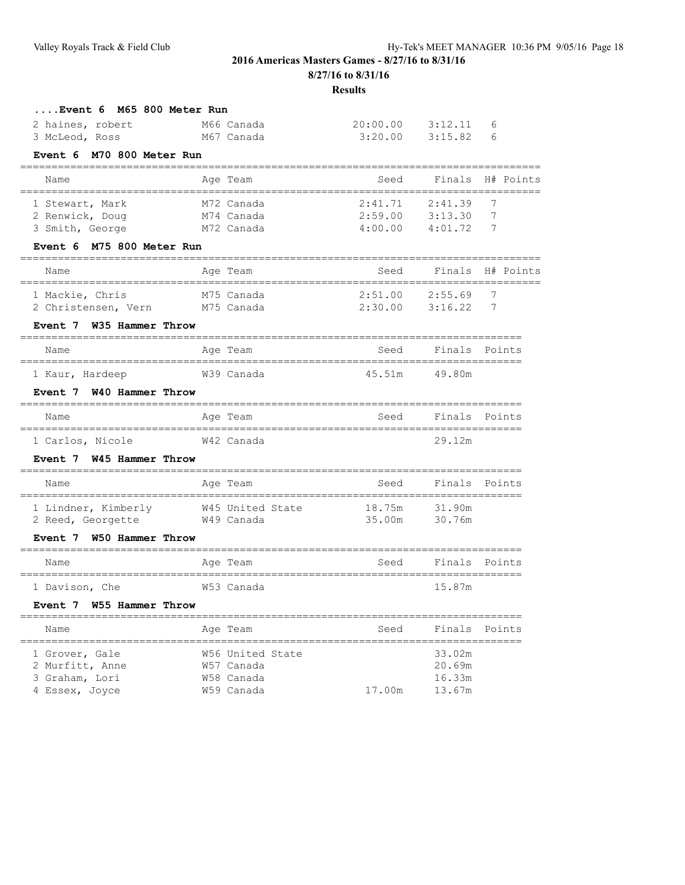**8/27/16 to 8/31/16**

| M66 Canada                           | 20:00.00                     | 3:12.11          | 6             |
|--------------------------------------|------------------------------|------------------|---------------|
| M67 Canada                           | 3:20.00                      | 3:15.82          | 6             |
| M70 800 Meter Run                    |                              |                  |               |
| Age Team                             | Seed                         | Finals           | H# Points     |
| M72 Canada                           | 2:41.71                      | 2:41.39          | 7             |
| M74 Canada                           | 2:59.00                      | 3:13.30          | 7             |
| M72 Canada                           | 4:00.00                      |                  | 7             |
| Event 6 M75 800 Meter Run            |                              |                  |               |
| Age Team                             | Seed                         | Finals           | H# Points     |
| M75 Canada                           | 2:51.00                      | 2:55.69          | 7             |
| M75 Canada                           | 2:30.00                      | 3:16.22          | 7             |
| Event 7 W35 Hammer Throw             |                              |                  |               |
| Age Team                             | Seed                         | Finals           | Points        |
| W39 Canada                           | 45.51m                       | 49.80m           |               |
| Event 7 W40 Hammer Throw             |                              |                  |               |
| Age Team                             | Seed                         | Finals           | Points        |
|                                      |                              |                  |               |
| W42 Canada                           |                              | 29.12m           |               |
| Event 7 W45 Hammer Throw             |                              |                  |               |
| Age Team                             | Seed                         | Finals           | Points        |
| 1 Lindner, Kimberly W45 United State | 18.75m                       | 31.90m           |               |
| W49 Canada                           | 35.00m                       | 30.76m           |               |
| W50 Hammer Throw                     |                              |                  |               |
| Age Team                             | Seed                         | Finals           | Points        |
| W53 Canada                           |                              | 15.87m           |               |
| Event 7 W55 Hammer Throw             |                              |                  |               |
| Age Team                             | Seed                         |                  | Finals Points |
| W56 United State                     |                              | 33.02m           |               |
| W57 Canada                           |                              | 20.69m           |               |
| W58 Canada<br>W59 Canada             | 17.00m                       | 16.33m<br>13.67m |               |
|                                      | ,,,,,,,,,,,,,,,,,,,,,,,,,,,, | ============     | 4:01.72       |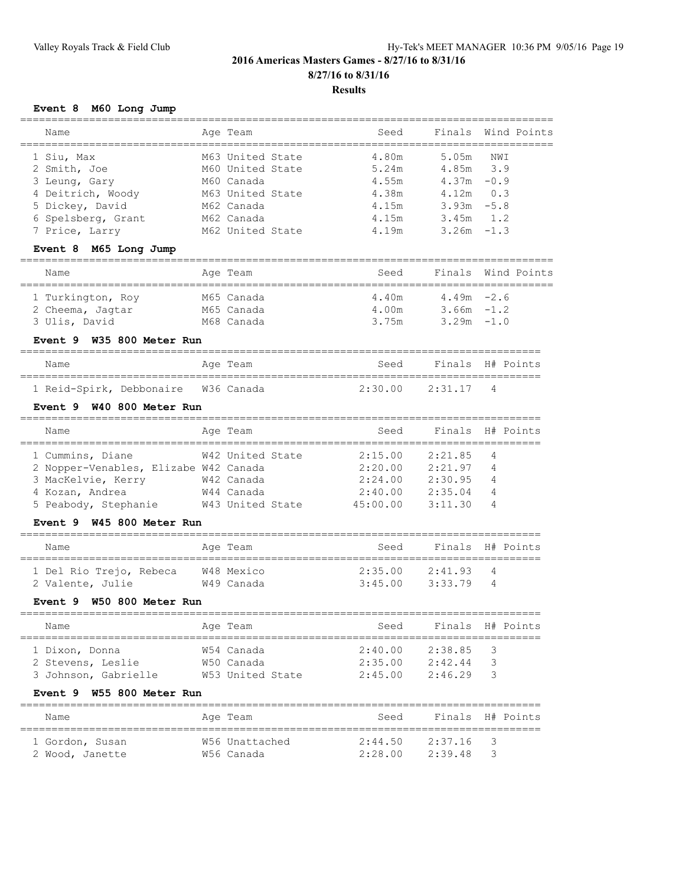### **Event 8 M60 Long Jump**

| Name                                                              | Age Team                             | Seed     | Finals        |        | Wind Points |
|-------------------------------------------------------------------|--------------------------------------|----------|---------------|--------|-------------|
|                                                                   |                                      | 4.80m    | 5.05m         |        |             |
| 1 Siu, Max<br>2 Smith, Joe                                        | M63 United State<br>M60 United State | 5.24m    | 4.85m         | 3.9    | NWI         |
| 3 Leung, Gary                                                     | M60 Canada                           | 4.55m    | $4.37m - 0.9$ |        |             |
| 4 Deitrich, Woody                                                 | M63 United State                     | 4.38m    | 4.12m         | 0.3    |             |
| 5 Dickey, David                                                   | M62 Canada                           | 4.15m    | 3.93m         | $-5.8$ |             |
| 6 Spelsberg, Grant                                                | M62 Canada                           | 4.15m    | 3.45m         |        | 1.2         |
| 7 Price, Larry                                                    | M62 United State                     | 4.19m    | 3.26m         | $-1.3$ |             |
| Event 8 M65 Long Jump                                             |                                      |          |               |        |             |
|                                                                   |                                      |          |               |        |             |
| Name                                                              | Age Team                             | Seed     | Finals        |        | Wind Points |
| 1 Turkington, Roy                                                 | M65 Canada                           | 4.40m    | $4.49m -2.6$  |        |             |
| 2 Cheema, Jagtar                                                  | M65 Canada                           | 4.00m    | $3.66m - 1.2$ |        |             |
| 3 Ulis, David                                                     | M68 Canada                           | 3.75m    | $3.29m -1.0$  |        |             |
| Event 9<br>W35 800 Meter Run                                      |                                      |          |               |        |             |
| Name                                                              | Age Team                             | Seed     | Finals        |        | H# Points   |
| =====================================<br>1 Reid-Spirk, Debbonaire | W36 Canada                           | 2:30.00  | 2:31.17       | 4      |             |
| W40 800 Meter Run<br>Event 9                                      |                                      |          |               |        |             |
| Name                                                              | Age Team                             | Seed     | Finals        |        | H# Points   |
| 1 Cummins, Diane                                                  | W42 United State                     | 2:15.00  | 2:21.85       | 4      |             |
| 2 Nopper-Venables, Elizabe W42 Canada                             |                                      | 2:20.00  | 2:21.97       | 4      |             |
| 3 MacKelvie, Kerry                                                | W42 Canada                           | 2:24.00  | 2:30.95       | 4      |             |
| 4 Kozan, Andrea                                                   | W44 Canada                           | 2:40.00  | 2:35.04       | 4      |             |
| 5 Peabody, Stephanie M43 United State                             |                                      | 45:00.00 | 3:11.30       | 4      |             |
| W45 800 Meter Run<br>Event 9                                      |                                      |          |               |        |             |
|                                                                   |                                      |          |               |        |             |
| Name                                                              | Age Team                             | Seed     | Finals        |        | H# Points   |
| 1 Del Rio Trejo, Rebeca                                           | W48 Mexico                           | 2:35.00  | 2:41.93       | 4      |             |
| 2 Valente, Julie                                                  | W49 Canada                           | 3:45.00  | 3:33.79       | 4      |             |
| W50 800 Meter Run<br>Event 9                                      |                                      |          |               |        |             |
| Name                                                              | Age Team                             | Seed     | Finals        |        | H# Points   |
|                                                                   |                                      |          |               |        |             |
| 1 Dixon, Donna                                                    | W54 Canada                           | 2:40.00  | 2:38.85       | 3      |             |
| 2 Stevens, Leslie                                                 | W50 Canada                           | 2:35.00  | 2:42.44       | 3      |             |
| 3 Johnson, Gabrielle                                              | W53 United State                     | 2:45.00  | 2:46.29       | 3      |             |
| Event 9 W55 800 Meter Run                                         |                                      |          |               |        |             |
| Name                                                              | Age Team                             | Seed     | Finals        |        | H# Points   |
| 1 Gordon, Susan                                                   | W56 Unattached                       | 2:44.50  | 2:37.16       | 3      |             |
| 2 Wood, Janette                                                   | W56 Canada                           | 2:28.00  | 2:39.48       | 3      |             |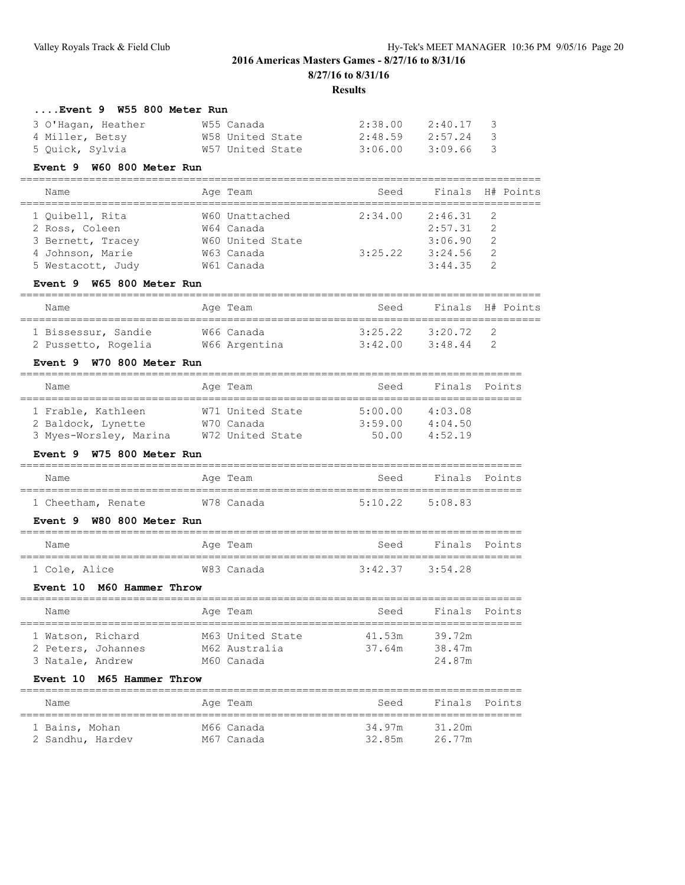**Results**

### **....Event 9 W55 800 Meter Run**

| 3 O'Haqan, Heather | W55 Canada       | 2:38.00 | 2:40.17 3 |  |
|--------------------|------------------|---------|-----------|--|
| 4 Miller, Betsy    | W58 United State | 2:48.59 | 2:57.24 3 |  |
| 5 Quick, Sylvia    | W57 United State | 3:06.00 | 3:09.66 3 |  |

#### **Event 9 W60 800 Meter Run**

| Name              | Age Team         | Seed    |         | Finals H# Points |
|-------------------|------------------|---------|---------|------------------|
|                   |                  |         | 2:46.31 | $\overline{2}$   |
| 1 Ouibell, Rita   | W60 Unattached   | 2:34.00 |         |                  |
| 2 Ross, Coleen    | W64 Canada       |         | 2:57.31 | - 2              |
| 3 Bernett, Tracey | W60 United State |         | 3:06.90 | -2               |
| 4 Johnson, Marie  | W63 Canada       | 3:25.22 | 3:24.56 | -2               |
| 5 Westacott, Judy | W61 Canada       |         | 3:44.35 |                  |

### **Event 9 W65 800 Meter Run**

| Name                | Age Team      | Seed    | Finals H# Points         |  |  |  |  |  |
|---------------------|---------------|---------|--------------------------|--|--|--|--|--|
| 1 Bissessur, Sandie | W66 Canada    | 3:25.22 | 3:20.72<br>$\mathcal{L}$ |  |  |  |  |  |
| 2 Pussetto, Rogelia | W66 Argentina | 3:42.00 | 3:48.44                  |  |  |  |  |  |

#### **Event 9 W70 800 Meter Run**

| Name                                                               | Age Team                                           | Seed                        | Finals Points                 |  |  |  |  |  |  |  |
|--------------------------------------------------------------------|----------------------------------------------------|-----------------------------|-------------------------------|--|--|--|--|--|--|--|
| 1 Frable, Kathleen<br>2 Baldock, Lynette<br>3 Myes-Worsley, Marina | W71 United State<br>W70 Canada<br>W72 United State | 5:00.00<br>3:59.00<br>50.00 | 4:03.08<br>4:04.50<br>4:52.19 |  |  |  |  |  |  |  |

#### **Event 9 W75 800 Meter Run**

| Name               |  | Age Team   | Seed                | Finals Points |  |
|--------------------|--|------------|---------------------|---------------|--|
|                    |  |            |                     |               |  |
| 1 Cheetham, Renate |  | W78 Canada | $5:10.22$ $5:08.83$ |               |  |

### **Event 9 W80 800 Meter Run**

| Name          | Age Team   | Seed                | Finals Points |  |  |  |  |  |  |  |
|---------------|------------|---------------------|---------------|--|--|--|--|--|--|--|
| 1 Cole, Alice | W83 Canada | $3:42.37$ $3:54.28$ |               |  |  |  |  |  |  |  |

#### **Event 10 M60 Hammer Throw**

| Name               |  |  | Aqe Team         | Seed   |        | Finals Points |  |  |  |  |
|--------------------|--|--|------------------|--------|--------|---------------|--|--|--|--|
|                    |  |  |                  |        |        |               |  |  |  |  |
| 1 Watson, Richard  |  |  | M63 United State | 41.53m | 39.72m |               |  |  |  |  |
| 2 Peters, Johannes |  |  | M62 Australia    | 37.64m | 38.47m |               |  |  |  |  |
| 3 Natale, Andrew   |  |  | M60 Canada       |        | 24.87m |               |  |  |  |  |

#### **Event 10 M65 Hammer Throw**

| Name             | Age Team   | Seed   | Finals Points |  |
|------------------|------------|--------|---------------|--|
| 1 Bains, Mohan   | M66 Canada | 34.97m | 31.20m        |  |
| 2 Sandhu, Hardev | M67 Canada | 32.85m | 26.77m        |  |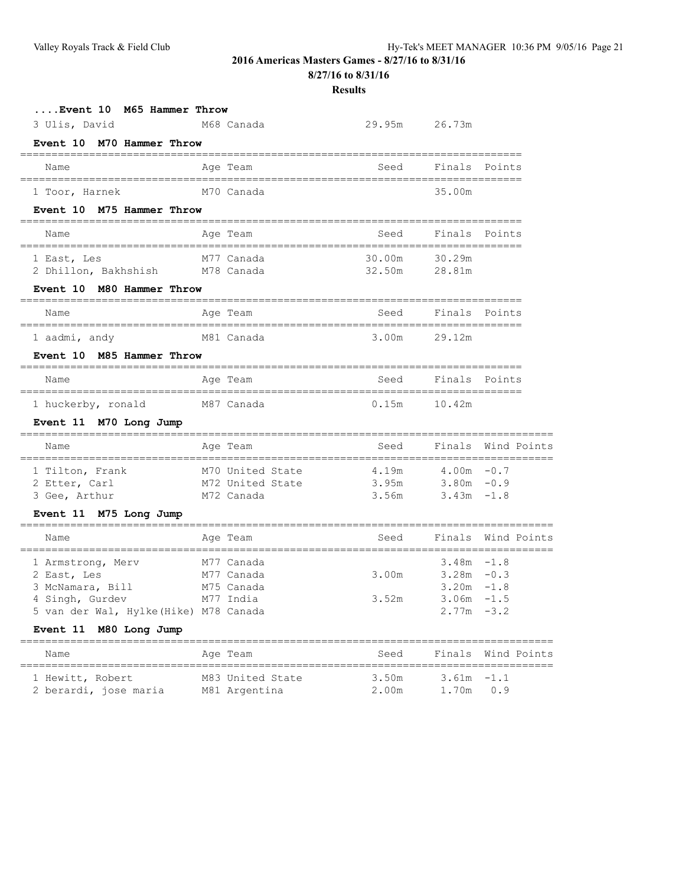**8/27/16 to 8/31/16**

| M65 Hammer Throw<br>Event <b>10</b>                                                                               |                                                     |                                                    |                                                                                   |                    |
|-------------------------------------------------------------------------------------------------------------------|-----------------------------------------------------|----------------------------------------------------|-----------------------------------------------------------------------------------|--------------------|
| 3 Ulis, David                                                                                                     | M68 Canada                                          | 29.95m                                             | 26.73m                                                                            |                    |
| Event 10 M70 Hammer Throw                                                                                         |                                                     |                                                    |                                                                                   |                    |
| Name<br>===================================                                                                       | Age Team                                            | Seed                                               | Finals Points                                                                     |                    |
| 1 Toor, Harnek                                                                                                    | M70 Canada                                          |                                                    | 35.00m                                                                            |                    |
| Event 10 M75 Hammer Throw                                                                                         |                                                     | .============================                      |                                                                                   |                    |
| Name                                                                                                              | Age Team                                            | Seed                                               | Finals Points                                                                     |                    |
| 1 East, Les<br>2 Dhillon, Bakhshish M78 Canada                                                                    | M77 Canada                                          | 30.00m<br>32.50m                                   | 30.29m<br>28.81m                                                                  |                    |
| Event 10 M80 Hammer Throw                                                                                         |                                                     |                                                    |                                                                                   |                    |
| Name                                                                                                              | Age Team                                            | Seed                                               | Finals Points                                                                     |                    |
| ================================<br>1 aadmi, andy                                                                 | M81 Canada                                          | =============================<br>3.00 <sub>m</sub> | =======<br>29.12m                                                                 |                    |
| Event 10 M85 Hammer Throw                                                                                         |                                                     |                                                    |                                                                                   |                    |
| Name<br>====================================                                                                      | Age Team                                            | Seed                                               | Finals Points                                                                     |                    |
| 1 huckerby, ronald                                                                                                | M87 Canada                                          | 0.15m                                              | 10.42m                                                                            |                    |
| Event 11 M70 Long Jump                                                                                            |                                                     |                                                    |                                                                                   |                    |
| Name                                                                                                              | Age Team                                            | Seed                                               |                                                                                   | Finals Wind Points |
| 1 Tilton, Frank<br>2 Etter, Carl<br>3 Gee, Arthur                                                                 | M70 United State<br>M72 United State<br>M72 Canada  | 4.19m<br>3.95m<br>3.56m                            | $4.00m - 0.7$<br>$3.80m - 0.9$<br>$3.43m - 1.8$                                   |                    |
| Event 11 M75 Long Jump                                                                                            | ================                                    |                                                    |                                                                                   |                    |
| Name                                                                                                              | Age Team                                            | Seed                                               |                                                                                   | Finals Wind Points |
| 1 Armstrong, Merv<br>2 East, Les<br>3 McNamara, Bill<br>4 Singh, Gurdev<br>5 van der Wal, Hylke (Hike) M78 Canada | M77 Canada<br>M77 Canada<br>M75 Canada<br>M77 India | 3.00m<br>3.52m                                     | $3.48m - 1.8$<br>$3.28m - 0.3$<br>$3.20m - 1.8$<br>$3.06m - 1.5$<br>$2.77m - 3.2$ |                    |
| Event 11 M80 Long Jump                                                                                            |                                                     |                                                    |                                                                                   |                    |
| Name<br>===========================                                                                               | Age Team                                            | Seed                                               | Finals                                                                            | Wind Points        |
| 1 Hewitt, Robert<br>2 berardi, jose maria                                                                         | M83 United State<br>M81 Argentina                   | 3.50m<br>2.00m                                     | 3.61m<br>1.70m                                                                    | $-1.1$<br>0.9      |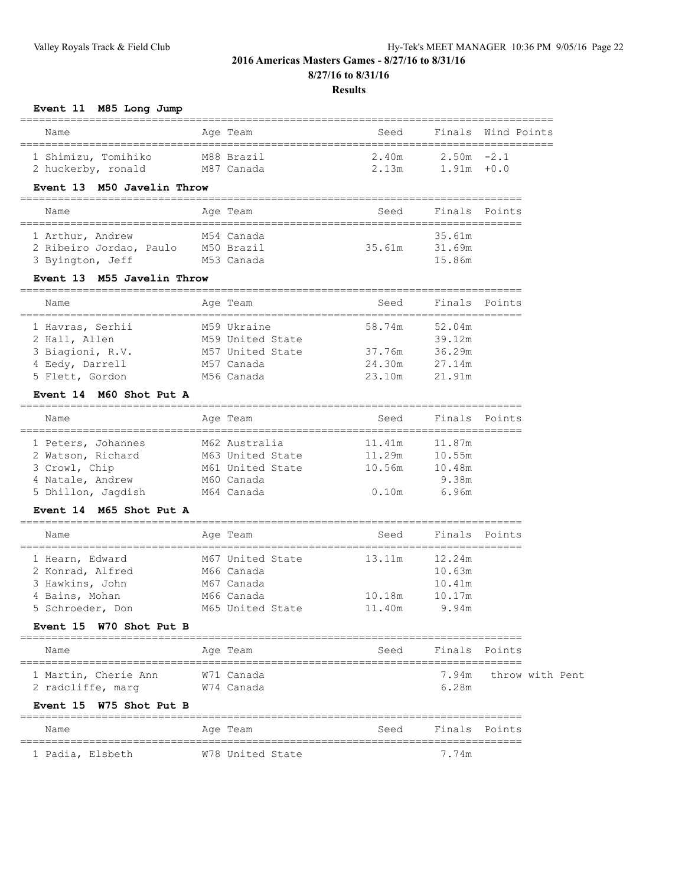#### **Results**

#### **Event 11 M85 Long Jump**

| Name                                      | Age Team                 | Seed           |                                | Finals Wind Points |
|-------------------------------------------|--------------------------|----------------|--------------------------------|--------------------|
| 1 Shimizu, Tomihiko<br>2 huckerby, ronald | M88 Brazil<br>M87 Canada | 2 40m<br>2.13m | $2.50m - 2.1$<br>$1.91m + 0.0$ |                    |

### **Event 13 M50 Javelin Throw**

### ================================================================================ Name **Age Team** Age Team Seed Finals Points ================================================================================ 1 Arthur, Andrew M54 Canada 35.61m 2 Ribeiro Jordao, Paulo M50 Brazil 35.61m 31.69m 3 Byington, Jeff M53 Canada 15.86m

### **Event 13 M55 Javelin Throw**

| Name             | Age Team         | Seed   | Finals Points |
|------------------|------------------|--------|---------------|
|                  | M59 Ukraine      | 58.74m | 52.04m        |
| 1 Havras, Serhii |                  |        |               |
| 2 Hall, Allen    | M59 United State |        | 39.12m        |
| 3 Biagioni, R.V. | M57 United State | 37.76m | 36.29m        |
| 4 Eedy, Darrell  | M57 Canada       | 24.30m | 27.14m        |
| 5 Flett, Gordon  | M56 Canada       | 23.10m | 21.91m        |

#### **Event 14 M60 Shot Put A**

| Name               | Age Team         | Seed   | Finals Points |  |
|--------------------|------------------|--------|---------------|--|
| 1 Peters, Johannes | M62 Australia    | 11.41m | 11.87m        |  |
| 2 Watson, Richard  | M63 United State | 11.29m | 10.55m        |  |
| 3 Crowl, Chip      | M61 United State | 10.56m | 10.48m        |  |
| 4 Natale, Andrew   | M60 Canada       |        | 9.38m         |  |
| 5 Dhillon, Jaqdish | M64 Canada       | 0.10m  | 6.96m         |  |

#### **Event 14 M65 Shot Put A**

| Name             | Age Team         | Seed   | Finals Points |  |
|------------------|------------------|--------|---------------|--|
|                  |                  |        |               |  |
| 1 Hearn, Edward  | M67 United State | 13.11m | 12.24m        |  |
| 2 Konrad, Alfred | M66 Canada       |        | 10.63m        |  |
| 3 Hawkins, John  | M67 Canada       |        | 10.41m        |  |
| 4 Bains, Mohan   | M66 Canada       | 10.18m | 10.17m        |  |
| 5 Schroeder, Don | M65 United State | 11.40m | 9.94m         |  |

### **Event 15 W70 Shot Put B**

| Name                 | Age Team   | Finals Points<br>Seed |
|----------------------|------------|-----------------------|
| 1 Martin, Cherie Ann | W71 Canada | 7.94m throw with Pent |
| 2 radcliffe, marq    | W74 Canada | 6.28m                 |

#### **Event 15 W75 Shot Put B**

| Name |                  | Age Team         | Seed | Finals Points |  |
|------|------------------|------------------|------|---------------|--|
|      | 1 Padia, Elsbeth | W78 United State |      | 7.74m         |  |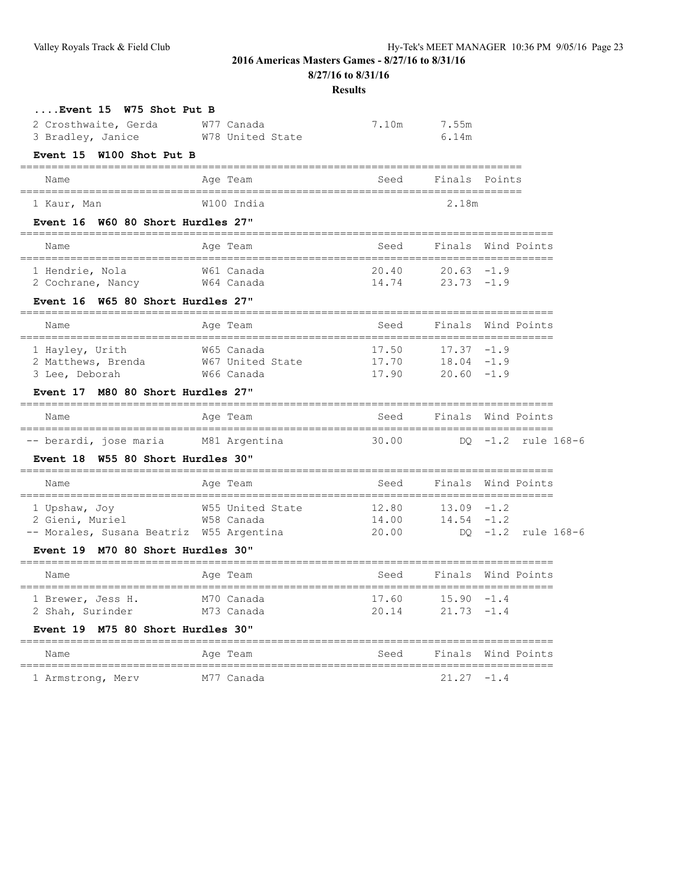**8/27/16 to 8/31/16**

| Event 15 W75 Shot Put B                                                      |                                |                         |                                                          |                         |
|------------------------------------------------------------------------------|--------------------------------|-------------------------|----------------------------------------------------------|-------------------------|
| 2 Crosthwaite, Gerda<br>3 Bradley, Janice                                    | W77 Canada<br>W78 United State |                         | 7.10m 7.55m<br>6.14m                                     |                         |
| Event 15 W100 Shot Put B                                                     |                                |                         |                                                          |                         |
| Name                                                                         | Age Team                       | Seed                    | Finals Points                                            |                         |
| 1 Kaur, Man                                                                  | W100 India                     |                         | 2.18m                                                    |                         |
| Event 16 W60 80 Short Hurdles 27"                                            |                                |                         |                                                          |                         |
| Name                                                                         | Age Team                       | Seed                    |                                                          | Finals Wind Points      |
| 1 Hendrie, Nola<br>2 Cochrane, Nancy 64 Canada                               | W61 Canada                     |                         | $20.40$ $20.63$ $-1.9$<br>$14.74$ 23.73 $-1.9$           |                         |
| Event 16 W65 80 Short Hurdles 27"                                            |                                |                         |                                                          |                         |
| Name                                                                         | Age Team                       | Seed                    |                                                          | Finals Wind Points      |
| 1 Hayley, Urith<br>2 Matthews, Brenda 67 United State<br>3 Lee, Deborah      | W65 Canada<br>W66 Canada       | 17.50<br>17.90          | $17.37 - 1.9$<br>$17.70$ $18.04$ $-1.9$<br>$20.60 - 1.9$ |                         |
| Event 17 M80 80 Short Hurdles 27"                                            |                                |                         |                                                          |                         |
| Name                                                                         | Age Team                       |                         |                                                          | Seed Finals Wind Points |
| -- berardi, jose maria M81 Argentina                                         |                                | 30.00                   |                                                          | DO -1.2 rule 168-6      |
| Event 18 W55 80 Short Hurdles 30"                                            |                                |                         |                                                          |                         |
| Name                                                                         | Age Team                       | Seed                    |                                                          | Finals Wind Points      |
| 1 upsnaw, Joy<br>2 Gieni, Muriel<br>-- Morales, Susana Beatriz W55 Argentina | W55 United State<br>W58 Canada | 12.80<br>14.00<br>20.00 | $13.09 - 1.2$<br>$14.54 - 1.2$                           | DO -1.2 rule 168-6      |
| Event 19 M70 80 Short Hurdles 30"                                            |                                |                         |                                                          |                         |
| Name                                                                         | Age Team                       | Seed                    |                                                          | Finals Wind Points      |
| 1 Brewer, Jess H. M70 Canada 17.60 15.90 -1.4<br>2 Shah, Surinder            | M73 Canada                     | 20.14                   | $21.73 - 1.4$                                            |                         |
| Event 19 M75 80 Short Hurdles 30"                                            |                                |                         |                                                          |                         |
| Name                                                                         | Age Team                       | Seed                    |                                                          | Finals Wind Points      |
| 1 Armstrong, Merv                                                            | M77 Canada                     |                         | 21.27 -1.4                                               |                         |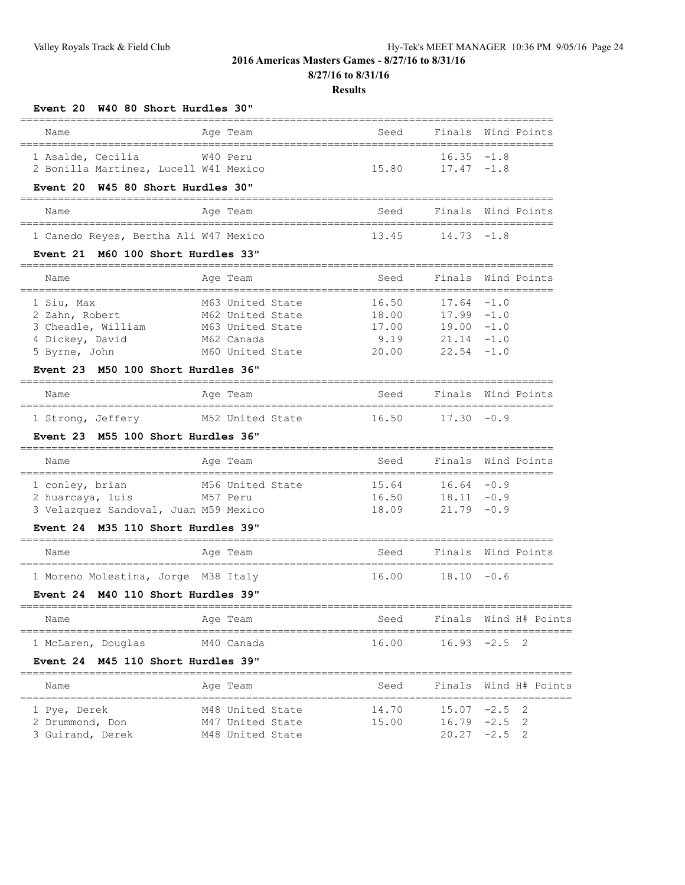**8/27/16 to 8/31/16**

#### **Results**

### **Event 20 W40 80 Short Hurdles 30"**

| Name              |                                       | Age Team | Seed  |               | Finals Wind Points |
|-------------------|---------------------------------------|----------|-------|---------------|--------------------|
| 1 Asalde, Cecilia |                                       | W40 Peru |       | $16.35 - 1.8$ |                    |
|                   | 2 Bonilla Martinez, Lucell W41 Mexico |          | 15 80 | $17.47 - 1.8$ |                    |

#### **Event 20 W45 80 Short Hurdles 30"**

| Name | Age Team                              | Seed  |               | Finals Wind Points |
|------|---------------------------------------|-------|---------------|--------------------|
|      |                                       |       |               |                    |
|      | 1 Canedo Reyes, Bertha Ali W47 Mexico | 13.45 | $14.73 - 1.8$ |                    |

### **Event 21 M60 100 Short Hurdles 33"**

| Name               | Age Team         | Seed  |               | Finals Wind Points |
|--------------------|------------------|-------|---------------|--------------------|
| 1 Siu, Max         | M63 United State | 16.50 | $17.64 - 1.0$ |                    |
| 2 Zahn, Robert     | M62 United State | 18.00 | $17.99 - 1.0$ |                    |
| 3 Cheadle, William | M63 United State | 17.00 | $19.00 - 1.0$ |                    |
| 4 Dickey, David    | M62 Canada       | 9.19  | $21.14 - 1.0$ |                    |
| 5 Byrne, John      | M60 United State | 20.00 | $22.54 - 1.0$ |                    |

### **Event 23 M50 100 Short Hurdles 36"**

| Name              |  | Age Team         | Seed  |               | Finals Wind Points |
|-------------------|--|------------------|-------|---------------|--------------------|
| 1 Strong, Jeffery |  | M52 United State | 16.50 | $17.30 - 0.9$ |                    |

### **Event 23 M55 100 Short Hurdles 36"**

| Name                                  | Age Team         | Seed  |               | Finals Wind Points |
|---------------------------------------|------------------|-------|---------------|--------------------|
| 1 conley, brian                       | M56 United State | 15.64 | $16.64 - 0.9$ |                    |
| 2 huarcaya, luis                      | M57 Peru         | 16.50 | $18.11 - 0.9$ |                    |
| 3 Velazquez Sandoval, Juan M59 Mexico |                  | 18 09 | $21.79 - 0.9$ |                    |

### **Event 24 M35 110 Short Hurdles 39"**

| Name                                | Age Team | Seed  | Finals Wind Points |
|-------------------------------------|----------|-------|--------------------|
| 1 Moreno Molestina, Jorge M38 Italy |          | 16.00 | $18.10 - 0.6$      |

### **Event 24 M40 110 Short Hurdles 39"**

| Name               |  | Age Team   | Seed  | Finals Wind H# Points |  |  |
|--------------------|--|------------|-------|-----------------------|--|--|
| 1 McLaren, Douglas |  | M40 Canada | 16.00 | $16.93 -2.5$ 2        |  |  |

### **Event 24 M45 110 Short Hurdles 39"**

| Name             | Age Team         | Seed  | Finals Wind H# Points |  |
|------------------|------------------|-------|-----------------------|--|
| 1 Pye, Derek     | M48 United State | 14.70 | $15.07 -2.5$ 2        |  |
| 2 Drummond, Don  | M47 United State | 15.00 | $16.79 - 2.5$ 2       |  |
| 3 Guirand, Derek | M48 United State |       | $20.27 -2.5$ 2        |  |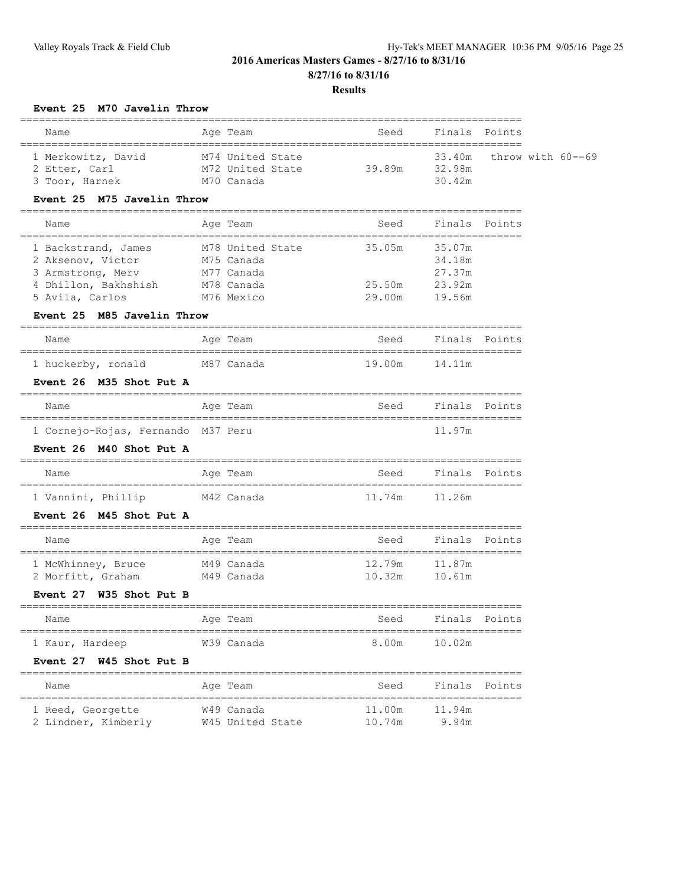#### **Results**

### **Event 25 M70 Javelin Throw**

| Name                                                  | Age Team                                           | Seed   | Finals Points    |                             |
|-------------------------------------------------------|----------------------------------------------------|--------|------------------|-----------------------------|
| 1 Merkowitz, David<br>2 Etter, Carl<br>3 Toor, Harnek | M74 United State<br>M72 United State<br>M70 Canada | 39.89m | 32.98m<br>30.42m | $33.40m$ throw with $60=69$ |

### **Event 25 M75 Javelin Throw**

| Name                 | Age Team         | Seed   | Finals Points |  |
|----------------------|------------------|--------|---------------|--|
| 1 Backstrand, James  | M78 United State | 35.05m | 35.07m        |  |
| 2 Aksenov, Victor    | M75 Canada       |        | 34.18m        |  |
| 3 Armstrong, Merv    | M77 Canada       |        | 27.37m        |  |
| 4 Dhillon, Bakhshish | M78 Canada       | 25.50m | 23.92m        |  |
| 5 Avila, Carlos      | M76 Mexico       | 29.00m | 19.56m        |  |

#### **Event 25 M85 Javelin Throw**

#### ================================================================================ Name Mage Team Age Team Seed Finals Points ================================================================================

| 1 huckerby, ronald | M87 Canada | 19.00m 14.11m |  |
|--------------------|------------|---------------|--|
|                    |            |               |  |

### **Event 26 M35 Shot Put A**

| Name                               |  | Age Team | Seed | Finals Points |  |
|------------------------------------|--|----------|------|---------------|--|
|                                    |  |          |      |               |  |
| 1 Cornejo-Rojas, Fernando M37 Peru |  |          |      | 11.97m        |  |

### **Event 26 M40 Shot Put A**

| Name               | Age Team   | Seed   | Finals Points |
|--------------------|------------|--------|---------------|
|                    |            |        |               |
| 1 Vannini, Phillip | M42 Canada | 11.74m | 11.26m        |

### **Event 26 M45 Shot Put A**

| Name                                    | Age Team                 | Seed             | Finals Points    |
|-----------------------------------------|--------------------------|------------------|------------------|
| 1 McWhinney, Bruce<br>2 Morfitt, Graham | M49 Canada<br>M49 Canada | 12.79m<br>10.32m | 11.87m<br>10.61m |

### **Event 27 W35 Shot Put B**

| Name            | Age Team   | Seed  | Finals Points |  |
|-----------------|------------|-------|---------------|--|
| 1 Kaur, Hardeep | W39 Canada | 8.00m | 10.02m        |  |

#### **Event 27 W45 Shot Put B**

| Name                | Age Team         | Seed   | Finals Points |  |
|---------------------|------------------|--------|---------------|--|
| 1 Reed, Georgette   | W49 Canada       | 11.00m | 11.94m        |  |
| 2 Lindner, Kimberly | W45 United State | 10.74m | 9.94m         |  |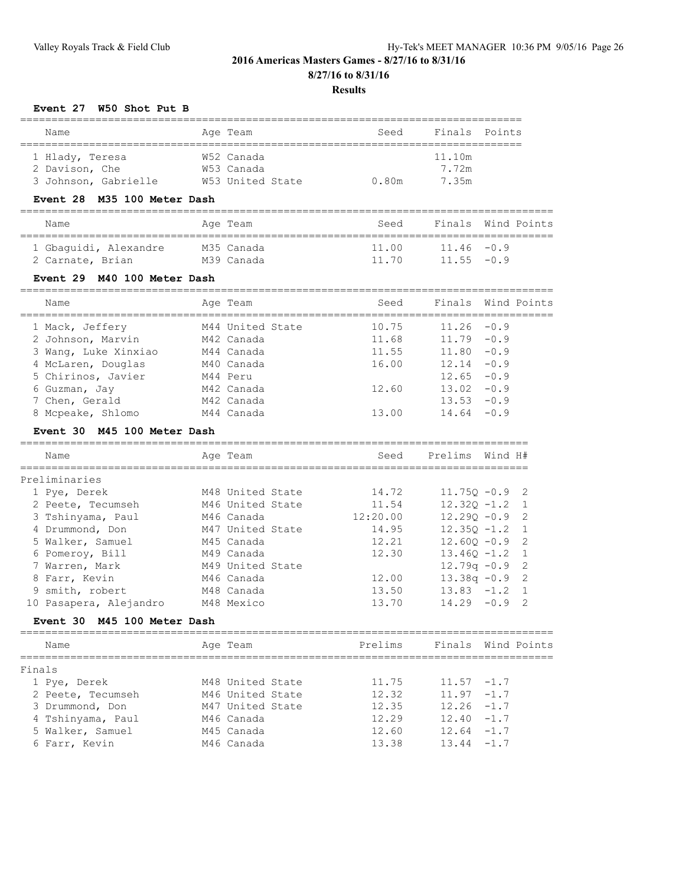**8/27/16 to 8/31/16**

### **Results**

### **Event 27 W50 Shot Put B**

| Name                 | Age Team         | Seed  | Finals Points |  |  |  |  |  |  |
|----------------------|------------------|-------|---------------|--|--|--|--|--|--|
|                      |                  |       |               |  |  |  |  |  |  |
| 1 Hlady, Teresa      | W52 Canada       |       | 11.10m        |  |  |  |  |  |  |
| 2 Davison, Che       | W53 Canada       |       | 7.72m         |  |  |  |  |  |  |
| 3 Johnson, Gabrielle | W53 United State | 0.80m | 7.35m         |  |  |  |  |  |  |

### **Event 28 M35 100 Meter Dash**

| Name                  | Age Team   | Seed  |               | Finals Wind Points |
|-----------------------|------------|-------|---------------|--------------------|
| 1 Gbaquidi, Alexandre | M35 Canada | 11.00 | $11.46 - 0.9$ |                    |
| 2 Carnate, Brian      | M39 Canada | 11.70 | $11.55 - 0.9$ |                    |

### **Event 29 M40 100 Meter Dash**

| Name                 | Age Team         | Seed  |               | Finals Wind Points |
|----------------------|------------------|-------|---------------|--------------------|
| 1 Mack, Jeffery      | M44 United State | 10.75 | $11.26 - 0.9$ |                    |
| 2 Johnson, Marvin    | M42 Canada       | 11.68 | $11.79 - 0.9$ |                    |
| 3 Wang, Luke Xinxiao | M44 Canada       | 11.55 | $11.80 - 0.9$ |                    |
| 4 McLaren, Douglas   | M40 Canada       | 16.00 | $12.14 - 0.9$ |                    |
| 5 Chirinos, Javier   | M44 Peru         |       | $12.65 - 0.9$ |                    |
| 6 Guzman, Jay        | M42 Canada       | 12.60 | $13.02 - 0.9$ |                    |
| 7 Chen, Gerald       | M42 Canada       |       | 13.53         | $-0.9$             |
| 8 Mcpeake, Shlomo    | M44 Canada       | 13.00 | $14.64 - 0.9$ |                    |

### **Event 30 M45 100 Meter Dash**

| Name                   | Age Team         | Seed     | Prelims          | Wind H# |                |
|------------------------|------------------|----------|------------------|---------|----------------|
| Preliminaries          |                  |          |                  |         |                |
| 1 Pye, Derek           | M48 United State | 14.72    | $11.75Q - 0.9$ 2 |         |                |
| 2 Peete, Tecumseh      | M46 United State | 11.54    | $12.320 - 1.2$   |         | $\overline{1}$ |
| 3 Tshinyama, Paul      | M46 Canada       | 12:20.00 | $12,290 -0.9$    |         | $\overline{2}$ |
| 4 Drummond, Don        | M47 United State | 14.95    | $12.350 - 1.2$   |         | $\overline{1}$ |
| 5 Walker, Samuel       | M45 Canada       | 12.21    | $12.600 - 0.9$   |         | $\overline{2}$ |
| 6 Pomerov, Bill        | M49 Canada       | 12.30    | $13.460 - 1.2$   |         | $\overline{1}$ |
| 7 Warren, Mark         | M49 United State |          | $12.79q - 0.9$ 2 |         |                |
| 8 Farr, Kevin          | M46 Canada       | 12.00    | $13.38q - 0.9$ 2 |         |                |
| 9 smith, robert        | M48 Canada       | 13.50    | $13.83 - 1.2$    |         | $\overline{1}$ |
| 10 Pasapera, Aleiandro | M48 Mexico       | 13.70    | 14.29            | $-0.9$  | - 2            |

### **Event 30 M45 100 Meter Dash**

| Name              | Age Team         | Prelims |               | Finals Wind Points |
|-------------------|------------------|---------|---------------|--------------------|
| Finals            |                  |         |               |                    |
| 1 Pye, Derek      | M48 United State | 11.75   | $11.57 - 1.7$ |                    |
| 2 Peete, Tecumseh | M46 United State | 12.32   | $11.97 - 1.7$ |                    |
| 3 Drummond, Don   | M47 United State | 12.35   | $12.26 - 1.7$ |                    |
| 4 Tshinyama, Paul | M46 Canada       | 12.29   | $12.40 - 1.7$ |                    |
| 5 Walker, Samuel  | M45 Canada       | 12.60   | $12.64 - 1.7$ |                    |
| 6 Farr, Kevin     | M46 Canada       | 13.38   | $13.44 - 1.7$ |                    |
|                   |                  |         |               |                    |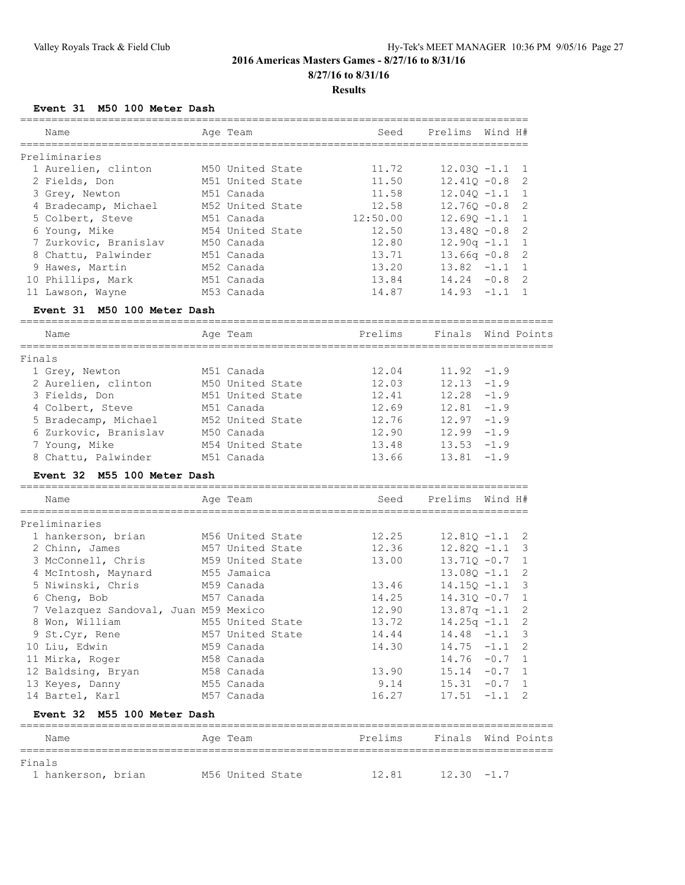#### **Results**

### **Event 31 M50 100 Meter Dash**

| Name                        | Age Team         | Seed     | Prelims Wind H#    |  |
|-----------------------------|------------------|----------|--------------------|--|
| Preliminaries               |                  |          |                    |  |
| 1 Aurelien, clinton         | M50 United State | 11.72    | $12.030 - 1.1$ 1   |  |
| 2 Fields, Don               | M51 United State | 11.50    | $12.410 - 0.8$ 2   |  |
| 3 Grey, Newton              | M51 Canada       | 11.58    | $12.040 - 1.1$ 1   |  |
| 4 Bradecamp, Michael        | M52 United State | 12.58    | $12.760 - 0.8$ 2   |  |
| 5 Colbert, Steve            | M51 Canada       | 12:50.00 | $12.690 -1.1$ 1    |  |
| 6 Young, Mike               | M54 United State | 12.50    | $13.480 - 0.8$ 2   |  |
| 7 Zurkovic, Branislav       | M50 Canada       | 12.80    | $12.90q -1.1$ 1    |  |
| 8 Chattu, Palwinder         | M51 Canada       | 13.71    | $13.66q -0.8$ 2    |  |
| 9 Hawes, Martin             | M52 Canada       | 13.20    | $13.82 -1.1$ 1     |  |
| 10 Phillips, Mark           | M51 Canada       | 13.84    | $14.24 - 0.8$ 2    |  |
| 11 Lawson, Wayne            | M53 Canada       | 14.87    | $14.93 - 1.1$ 1    |  |
| Event 31 M50 100 Meter Dash |                  |          |                    |  |
| Name                        | Age Team         | Prelims  | Finals Wind Points |  |

| Finals                |                  |       |               |
|-----------------------|------------------|-------|---------------|
| 1 Grey, Newton        | M51 Canada       | 12.04 | $11.92 - 1.9$ |
| 2 Aurelien, clinton   | M50 United State | 12.03 | $12.13 - 1.9$ |
| 3 Fields, Don         | M51 United State | 12.41 | $12.28 - 1.9$ |
| 4 Colbert, Steve      | M51 Canada       | 12.69 | $12.81 - 1.9$ |
| 5 Bradecamp, Michael  | M52 United State | 12.76 | $12.97 - 1.9$ |
| 6 Zurkovic, Branislav | M50 Canada       | 12.90 | $12.99 - 1.9$ |
| 7 Young, Mike         | M54 United State | 13.48 | $13.53 - 1.9$ |
| 8 Chattu, Palwinder   | M51 Canada       | 13.66 | $13.81 - 1.9$ |

### **Event 32 M55 100 Meter Dash**

Finals

| Name                                  | Age Team         | Seed                                    | Prelims Wind H#  |                |
|---------------------------------------|------------------|-----------------------------------------|------------------|----------------|
| Preliminaries                         |                  |                                         |                  |                |
| 1 hankerson, brian 56 United State    |                  | 12.25                                   | $12.81Q - 1.1$ 2 |                |
| 2 Chinn, James                        | M57 United State | 12.36                                   | $12.820 - 1.1$ 3 |                |
| 3 McConnell, Chris M59 United State   |                  | 13.00                                   | $13.710 - 0.7$ 1 |                |
| 4 McIntosh, Maynard                   | M55 Jamaica      |                                         | $13.080 - 1.1$ 2 |                |
| 5 Niwinski, Chris                     | M59 Canada       | 13.46                                   | $14.150 - 1.1$ 3 |                |
| 6 Cheng, Bob                          | M57 Canada       | 14.25                                   | $14.310 - 0.7$ 1 |                |
| 7 Velazquez Sandoval, Juan M59 Mexico |                  | 12.90                                   | $13.87q - 1.1$ 2 |                |
| 8 Won, William                        | M55 United State | 13.72                                   | $14.25q - 1.1$   | $\overline{2}$ |
| 9 St.Cyr, Rene                        | M57 United State | 14.44                                   | $14.48 - 1.1$ 3  |                |
| 10 Liu, Edwin                         | M59 Canada       | 14.30                                   | $14.75 - 1.1$    | $\mathcal{P}$  |
| 11 Mirka, Roger                       | M58 Canada       |                                         | $14.76 - 0.7 1$  |                |
| 12 Baldsing, Bryan                    | M58 Canada       | 13.90                                   | $15.14 - 0.7$ 1  |                |
| 13 Keyes, Danny                       | M55 Canada       | 9.14                                    | $15.31 -0.7$ 1   |                |
| 14 Bartel, Karl                       | M57 Canada       | 16.27                                   | $17.51 -1.1$ 2   |                |
| Event 32 M55 100 Meter Dash           |                  |                                         |                  |                |
| Name<br>=======================       | Age Team         | Prelims<br>============================ | Finals           | Wind Points    |

1 hankerson, brian 156 United State 12.81 12.30 -1.7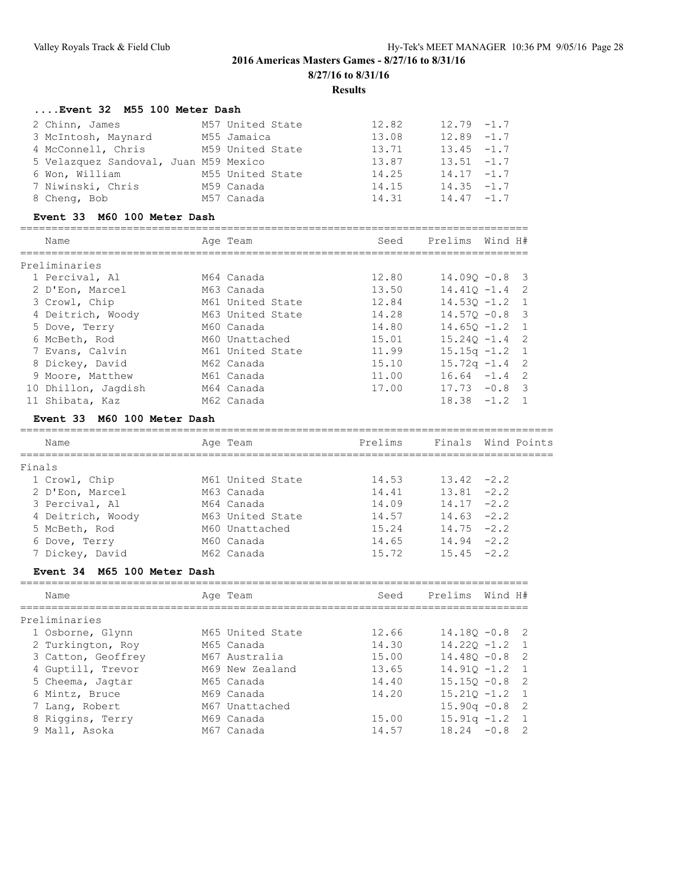### **....Event 32 M55 100 Meter Dash**

| 2 Chinn, James                        | M57 United State | 12.82 | $12.79 - 1.7$ |
|---------------------------------------|------------------|-------|---------------|
| 3 McIntosh, Maynard                   | M55 Jamaica      | 13.08 | $12.89 - 1.7$ |
| 4 McConnell, Chris                    | M59 United State | 13.71 | $13.45 - 1.7$ |
| 5 Velazquez Sandoval, Juan M59 Mexico |                  | 13.87 | $13.51 -1.7$  |
| 6 Won, William                        | M55 United State | 14.25 | $14.17 - 1.7$ |
| 7 Niwinski, Chris                     | M59 Canada       | 14.15 | $14.35 - 1.7$ |
| 8 Cheng, Bob                          | M57 Canada       | 14.31 | $14.47 - 1.7$ |

### **Event 33 M60 100 Meter Dash**

|    | Name              | Age Team         | Seed  | Prelims          | Wind H# |                          |
|----|-------------------|------------------|-------|------------------|---------|--------------------------|
|    | Preliminaries     |                  |       |                  |         |                          |
|    | 1 Percival, Al    | M64 Canada       | 12.80 | $14.090 - 0.8$ 3 |         |                          |
|    | 2 D'Eon, Marcel   | M63 Canada       | 13.50 | $14.410 - 1.4$   |         | - 2                      |
|    | 3 Crowl, Chip     | M61 United State | 12.84 | $14.530 - 1.2$   |         | $\overline{1}$           |
|    | 4 Deitrich, Woody | M63 United State | 14.28 | $14.570 - 0.8$   |         | $\overline{\phantom{a}}$ |
|    | 5 Dove, Terry     | M60 Canada       | 14.80 | $14.650 - 1.2$   |         | $\overline{1}$           |
|    | 6 McBeth, Rod     | M60 Unattached   | 15.01 | $15.240 - 1.4$ 2 |         |                          |
|    | 7 Evans, Calvin   | M61 United State | 11.99 | $15.15q - 1.2$   |         | $\overline{1}$           |
|    | 8 Dickey, David   | M62 Canada       | 15.10 | $15.72q - 1.4$ 2 |         |                          |
|    | 9 Moore, Matthew  | M61 Canada       | 11.00 | $16.64 - 1.4$    |         | $\overline{2}$           |
| 10 | Dhillon, Jaqdish  | M64 Canada       | 17.00 | $17.73 - 0.8$    |         | $\mathcal{R}$            |
| 11 | Shibata, Kaz      | M62 Canada       |       | 18.38            | $-1.2$  |                          |

### **Event 33 M60 100 Meter Dash**

| Name              | Age Team         | Prelims |               | Finals Wind Points |
|-------------------|------------------|---------|---------------|--------------------|
| Finals            |                  |         |               |                    |
| 1 Crowl, Chip     | M61 United State | 14.53   | $13.42 -2.2$  |                    |
| 2 D'Eon, Marcel   | M63 Canada       | 14.41   | $13.81 - 2.2$ |                    |
| 3 Percival, Al    | M64 Canada       | 14.09   | $14.17 - 2.2$ |                    |
| 4 Deitrich, Woody | M63 United State | 14.57   | $14.63 - 2.2$ |                    |
| 5 McBeth, Rod     | M60 Unattached   | 15.24   | $14.75 - 2.2$ |                    |
| 6 Dove, Terry     | M60 Canada       | 14.65   | $14.94 - 2.2$ |                    |
| 7 Dickey, David   | M62 Canada       | 15.72   | $15.45 -2.2$  |                    |
|                   |                  |         |               |                    |

### **Event 34 M65 100 Meter Dash**

| Name               | Age Team         | Seed  | Prelims Wind H#  |  |
|--------------------|------------------|-------|------------------|--|
| Preliminaries      |                  |       |                  |  |
| 1 Osborne, Glynn   | M65 United State | 12.66 | $14.180 - 0.8$ 2 |  |
| 2 Turkington, Roy  | M65 Canada       | 14.30 | $14.220 - 1.2$ 1 |  |
| 3 Catton, Geoffrey | M67 Australia    | 15.00 | $14.480 - 0.8$ 2 |  |
| 4 Guptill, Trevor  | M69 New Zealand  | 13.65 | $14.910 - 1.2$ 1 |  |
| 5 Cheema, Jaqtar   | M65 Canada       | 14.40 | $15.150 - 0.8$ 2 |  |
| 6 Mintz, Bruce     | M69 Canada       | 14.20 | $15.210 - 1.2$ 1 |  |
| 7 Lang, Robert     | M67 Unattached   |       | $15.90q - 0.8$ 2 |  |
| 8 Riggins, Terry   | M69 Canada       | 15.00 | $15.91q - 1.2$ 1 |  |
| 9 Mall, Asoka      | M67 Canada       | 14.57 | $18.24 - 0.8$ 2  |  |
|                    |                  |       |                  |  |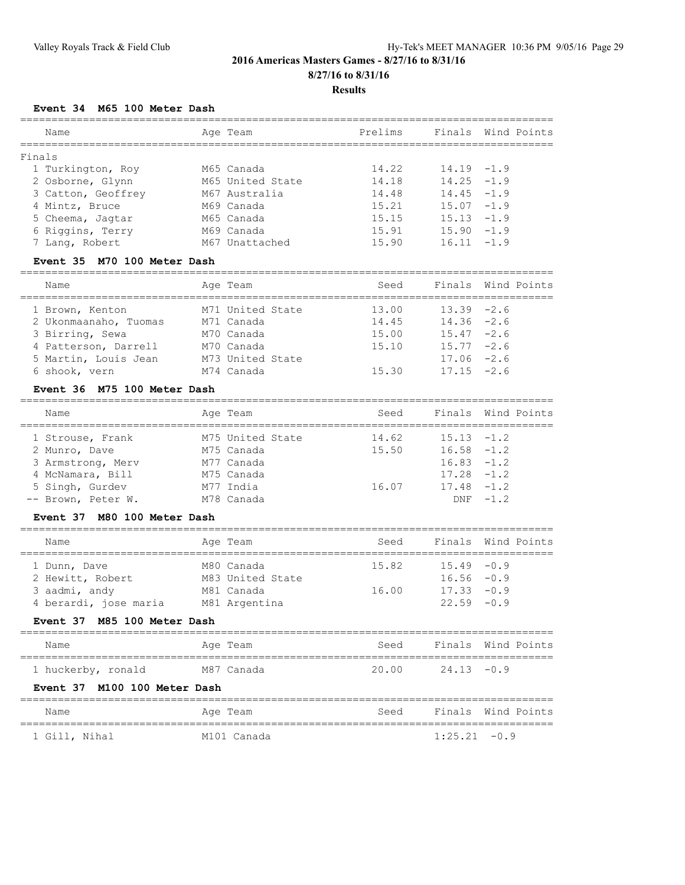### **Results**

### **Event 34 M65 100 Meter Dash**

| Name               | Age Team         | Prelims |               | Finals Wind Points |
|--------------------|------------------|---------|---------------|--------------------|
| Finals             |                  |         |               |                    |
| 1 Turkington, Roy  | M65 Canada       | 14.22   | $14.19 - 1.9$ |                    |
| 2 Osborne, Glynn   | M65 United State | 14.18   | $14.25 - 1.9$ |                    |
| 3 Catton, Geoffrey | M67 Australia    | 14.48   | $14.45 - 1.9$ |                    |
| 4 Mintz, Bruce     | M69 Canada       | 15.21   | $15.07 - 1.9$ |                    |
| 5 Cheema, Jaqtar   | M65 Canada       | 15.15   | $15.13 - 1.9$ |                    |
| 6 Riggins, Terry   | M69 Canada       | 15.91   | $15.90 - 1.9$ |                    |
| 7 Lang, Robert     | M67 Unattached   | 15.90   | $16.11 - 1.9$ |                    |
|                    |                  |         |               |                    |

### **Event 35 M70 100 Meter Dash**

| Name                  | Age Team         | Seed  |               | Finals Wind Points |
|-----------------------|------------------|-------|---------------|--------------------|
| 1 Brown, Kenton       | M71 United State | 13.00 | $13.39 -2.6$  |                    |
| 2 Ukonmaanaho, Tuomas | M71 Canada       | 14.45 | $14.36 - 2.6$ |                    |
| 3 Birring, Sewa       | M70 Canada       | 15.00 | $15.47 -2.6$  |                    |
| 4 Patterson, Darrell  | M70 Canada       | 15.10 | $15.77 - 2.6$ |                    |
| 5 Martin, Louis Jean  | M73 United State |       | $17.06 -2.6$  |                    |
| 6 shook, vern         | M74 Canada       | 15.30 | $17.15 -2.6$  |                    |

### **Event 36 M75 100 Meter Dash**

| Name                                | Age Team                       | Seed           |                                | Finals Wind Points |
|-------------------------------------|--------------------------------|----------------|--------------------------------|--------------------|
| 1 Strouse, Frank                    | M75 United State<br>M75 Canada | 14.62<br>15.50 | $15.13 - 1.2$<br>$16.58 - 1.2$ |                    |
| 2 Munro, Dave<br>3 Armstrong, Merv  | M77 Canada                     |                | $16.83 - 1.2$                  |                    |
| 4 McNamara, Bill<br>5 Singh, Gurdev | M75 Canada<br>M77 India        | 16.07          | $17.28 - 1.2$<br>$17.48 - 1.2$ |                    |
| -- Brown, Peter W.                  | M78 Canada                     |                |                                | $DNF -1.2$         |

=====================================================================================

### **Event 37 M80 100 Meter Dash**

| Name                  | Age Team         | Seed  |               | Finals Wind Points |
|-----------------------|------------------|-------|---------------|--------------------|
| 1 Dunn, Dave          | M80 Canada       | 15.82 | $15.49 - 0.9$ |                    |
| 2 Hewitt, Robert      | M83 United State |       | $16.56 - 0.9$ |                    |
| 3 aadmi, andy         | M81 Canada       | 16.00 | $17.33 - 0.9$ |                    |
| 4 berardi, jose maria | M81 Argentina    |       | $22.59 - 0.9$ |                    |

### **Event 37 M85 100 Meter Dash**

| Name                                                               | Age Team   | Seed  |               | Finals Wind Points |
|--------------------------------------------------------------------|------------|-------|---------------|--------------------|
|                                                                    |            |       |               |                    |
| 1 huckerby, ronald<br>$F_{\text{exact}}$ 27 $M100.100 \text{ MeV}$ | M87 Canada | 20.00 | $24.13 - 0.9$ |                    |

#### **Event 37 M100 100 Meter Dash**

| Name          | Age Team    | Seed |                | Finals Wind Points |
|---------------|-------------|------|----------------|--------------------|
| 1 Gill, Nihal | M101 Canada |      | $1:25.21 -0.9$ |                    |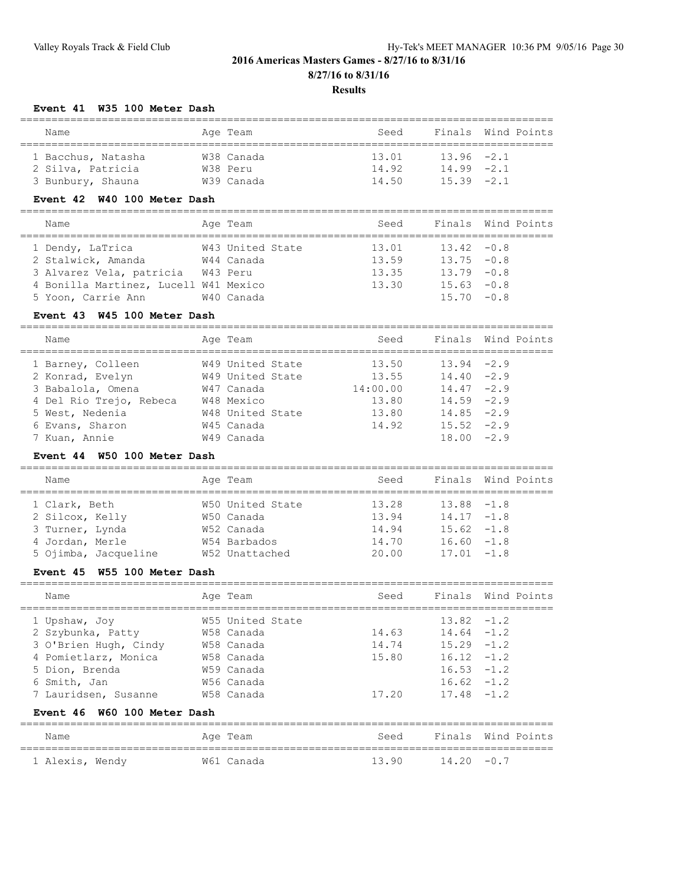#### **Results**

### **Event 41 W35 100 Meter Dash**

| Name               | Age Team   | Seed  |               | Finals Wind Points |  |  |  |  |
|--------------------|------------|-------|---------------|--------------------|--|--|--|--|
|                    |            |       |               |                    |  |  |  |  |
| 1 Bacchus, Natasha | W38 Canada | 13.01 | $13.96 - 2.1$ |                    |  |  |  |  |
| 2 Silva, Patricia  | W38 Peru   | 14 92 | $14.99 - 2.1$ |                    |  |  |  |  |
| 3 Bunbury, Shauna  | W39 Canada | 14.50 | $15.39 - 2.1$ |                    |  |  |  |  |

### **Event 42 W40 100 Meter Dash**

| Name                                  | Age Team         | Seed  |               | Finals Wind Points |
|---------------------------------------|------------------|-------|---------------|--------------------|
| 1 Dendy, LaTrica                      | W43 United State | 13.01 | $13.42 - 0.8$ |                    |
| 2 Stalwick, Amanda                    | W44 Canada       | 13.59 | $13.75 - 0.8$ |                    |
| 3 Alvarez Vela, patricia              | W43 Peru         | 13.35 | $13.79 - 0.8$ |                    |
| 4 Bonilla Martinez, Lucell W41 Mexico |                  | 13.30 | $15.63 - 0.8$ |                    |
| 5 Yoon, Carrie Ann                    | W40 Canada       |       | $15.70 - 0.8$ |                    |
|                                       |                  |       |               |                    |

#### **Event 43 W45 100 Meter Dash**

#### =====================================================================================

| Name                    | Age Team         | Seed     |               | Finals Wind Points |
|-------------------------|------------------|----------|---------------|--------------------|
| 1 Barney, Colleen       | W49 United State | 13.50    | $13.94 -2.9$  |                    |
| 2 Konrad, Evelyn        | W49 United State | 13.55    | $14.40 -2.9$  |                    |
| 3 Babalola, Omena       | W47 Canada       | 14:00.00 | $14.47 - 2.9$ |                    |
| 4 Del Rio Trejo, Rebeca | W48 Mexico       | 13.80    | $14.59 - 2.9$ |                    |
| 5 West, Nedenia         | W48 United State | 13.80    | $14.85 - 2.9$ |                    |
| 6 Evans, Sharon         | W45 Canada       | 14.92    | $15.52 -2.9$  |                    |
| 7 Kuan, Annie           | W49 Canada       |          | $18.00 - 2.9$ |                    |

### **Event 44 W50 100 Meter Dash**

| Name                 | Age Team         | Seed  | Finals Wind Points |  |
|----------------------|------------------|-------|--------------------|--|
| 1 Clark, Beth        | W50 United State | 13.28 | $13.88 - 1.8$      |  |
| 2 Silcox, Kelly      | W50 Canada       | 13.94 | $14.17 - 1.8$      |  |
| 3 Turner, Lynda      | W52 Canada       | 14.94 | $15.62 -1.8$       |  |
| 4 Jordan, Merle      | W54 Barbados     | 14.70 | $16.60 - 1.8$      |  |
| 5 Ojimba, Jacqueline | W52 Unattached   | 20.00 | $17.01 - 1.8$      |  |

### **Event 45 W55 100 Meter Dash**

| Name                                                                                                  | Age Team                                                                 | Seed                    |                                                                                   | Finals Wind Points |
|-------------------------------------------------------------------------------------------------------|--------------------------------------------------------------------------|-------------------------|-----------------------------------------------------------------------------------|--------------------|
| 1 Upshaw, Joy<br>2 Szybunka, Patty<br>3 O'Brien Hugh, Cindy<br>4 Pomietlarz, Monica<br>5 Dion, Brenda | W55 United State<br>W58 Canada<br>W58 Canada<br>W58 Canada<br>W59 Canada | 14.63<br>14.74<br>15.80 | $13.82 - 1.2$<br>$14.64 - 1.2$<br>$15.29 - 1.2$<br>$16.12 - 1.2$<br>$16.53 - 1.2$ |                    |
| 6 Smith, Jan<br>7 Lauridsen, Susanne<br>Event 46 W60 100 Meter Dash                                   | W56 Canada<br>W58 Canada                                                 | 17.20                   | $16.62 - 1.2$<br>$17.48 - 1.2$                                                    |                    |
| Name                                                                                                  | Age Team                                                                 | Seed                    |                                                                                   | Finals Wind Points |

| ------- |       | ----<br>-------- | -----    | -------- |      |  |
|---------|-------|------------------|----------|----------|------|--|
|         |       |                  |          |          |      |  |
| Alexis  | Wendv | W61<br>' Canada  | $\Omega$ | 12 2 O   | $-1$ |  |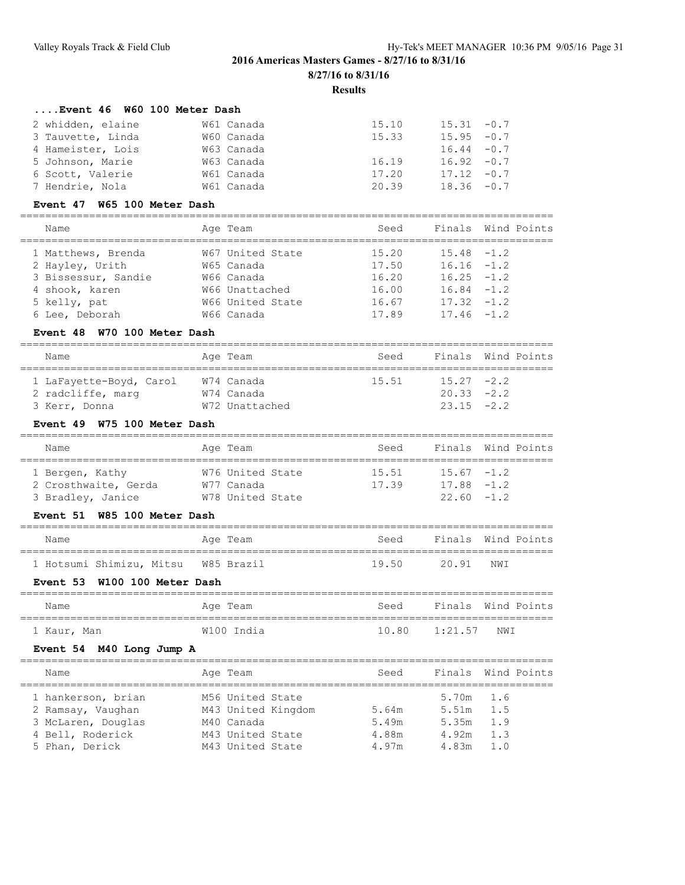### **Results**

### **....Event 46 W60 100 Meter Dash**

| 2 whidden, elaine | W61 Canada | 15.10 | $15.31 - 0.7$ |  |
|-------------------|------------|-------|---------------|--|
| 3 Tauvette, Linda | W60 Canada | 15.33 | $15.95 - 0.7$ |  |
| 4 Hameister, Lois | W63 Canada |       | $16.44 - 0.7$ |  |
| 5 Johnson, Marie  | W63 Canada | 16.19 | $16.92 - 0.7$ |  |
| 6 Scott, Valerie  | W61 Canada | 17.20 | $17.12 - 0.7$ |  |
| 7 Hendrie, Nola   | W61 Canada | 20.39 | $18.36 - 0.7$ |  |

#### **Event 47 W65 100 Meter Dash**

| Name                | Age Team         | Seed  |               | Finals Wind Points |
|---------------------|------------------|-------|---------------|--------------------|
| 1 Matthews, Brenda  | W67 United State | 15.20 | $15.48 - 1.2$ |                    |
| 2 Hayley, Urith     | W65 Canada       | 17.50 | $16.16 - 1.2$ |                    |
| 3 Bissessur, Sandie | W66 Canada       | 16.20 | $16.25 - 1.2$ |                    |
| 4 shook, karen      | W66 Unattached   | 16.00 | $16.84 - 1.2$ |                    |
| 5 kelly, pat        | W66 United State | 16.67 | $17.32 - 1.2$ |                    |
| 6 Lee, Deborah      | W66 Canada       | 17.89 | $17.46 - 1.2$ |                    |
|                     |                  |       |               |                    |

### **Event 48 W70 100 Meter Dash**

| Name                                                          | Age Team                                   | Seed  |                                              | Finals Wind Points |
|---------------------------------------------------------------|--------------------------------------------|-------|----------------------------------------------|--------------------|
| 1 LaFayette-Boyd, Carol<br>2 radcliffe, marg<br>3 Kerr, Donna | W74 Canada<br>W74 Canada<br>W72 Unattached | 15.51 | $15.27 -2.2$<br>$20.33 -2.2$<br>$23.15 -2.2$ |                    |

### **Event 49 W75 100 Meter Dash**

| Name                 | Age Team         | Seed  |               | Finals Wind Points |
|----------------------|------------------|-------|---------------|--------------------|
| 1 Bergen, Kathy      | W76 United State | 15.51 | $15.67 - 1.2$ |                    |
| 2 Crosthwaite, Gerda | W77 Canada       | 17.39 | $17.88 - 1.2$ |                    |
| 3 Bradley, Janice    | W78 United State |       | $22.60 -1.2$  |                    |

### **Event 51 W85 100 Meter Dash**

|  | Name |                                     |  | Age Team | Seed  | Finals Wind Points |     |  |
|--|------|-------------------------------------|--|----------|-------|--------------------|-----|--|
|  |      | 1 Hotsumi Shimizu, Mitsu W85 Brazil |  |          | 19.50 | 20.91              | NWI |  |

### **Event 53 W100 100 Meter Dash**

| Name        | Aqe Team   | Seed          | Finals Wind Points |
|-------------|------------|---------------|--------------------|
| 1 Kaur, Man | W100 India | 10.80 1:21.57 | NWI                |

### **Event 54 M40 Long Jump A**

| Name                                                                                                | Age Team                                                                                     | Seed                             |                                                       | Finals Wind Points |
|-----------------------------------------------------------------------------------------------------|----------------------------------------------------------------------------------------------|----------------------------------|-------------------------------------------------------|--------------------|
| 1 hankerson, brian<br>2 Ramsay, Vaughan<br>3 McLaren, Douglas<br>4 Bell, Roderick<br>5 Phan, Derick | M56 United State<br>M43 United Kingdom<br>M40 Canada<br>M43 United State<br>M43 United State | 5.64m<br>5.49m<br>4.88m<br>4.97m | $5.70m$ 1.6<br>5.51m<br>5.35m<br>4.92m<br>$4.83m$ 1.0 | 1.5<br>1.9<br>1.3  |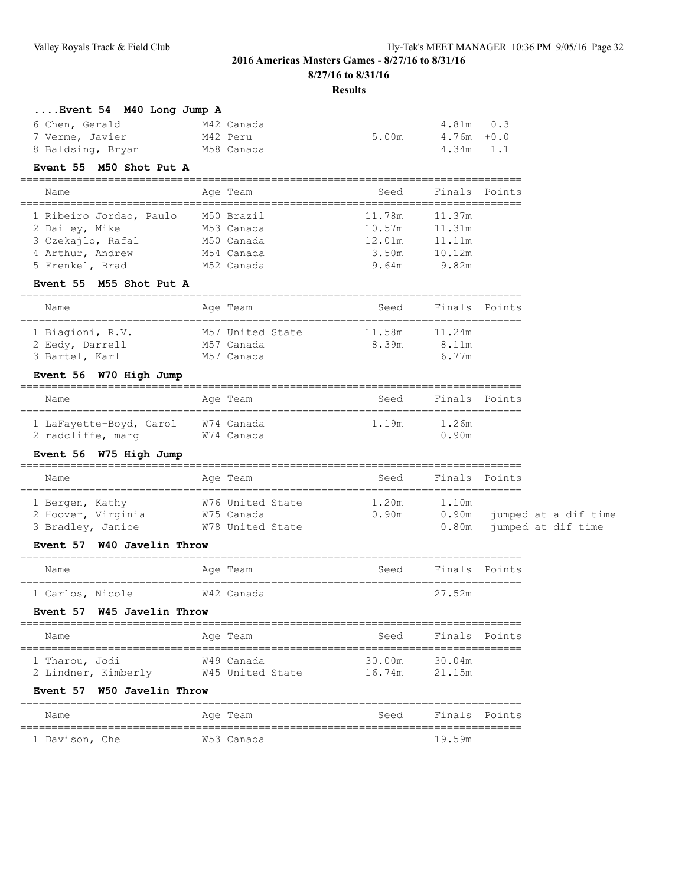#### **Results**

================================================================================

| Event 54 M40 Long Jump A |  |  |  |
|--------------------------|--|--|--|
|--------------------------|--|--|--|

| 6 Chen, Gerald    | M42 Canada |       | 4.81m 0.3  |  |
|-------------------|------------|-------|------------|--|
| 7 Verme, Javier   | M42 Peru   | 5.00m | 4.76m +0.0 |  |
| 8 Baldsing, Bryan | M58 Canada |       | 4.34m 1.1  |  |

#### **Event 55 M50 Shot Put A**

| Name                                | Age Team                 | Seed             | Finals Points    |
|-------------------------------------|--------------------------|------------------|------------------|
| 1 Ribeiro Jordao, Paulo             | M50 Brazil               | 11.78m           | 11.37m           |
| 2 Dailey, Mike<br>3 Czekajlo, Rafal | M53 Canada<br>M50 Canada | 10.57m<br>12.01m | 11.31m<br>11.11m |
| 4 Arthur, Andrew                    | M54 Canada               | 3.50m            | 10.12m           |
| 5 Frenkel, Brad                     | M52 Canada               | 9.64m            | 9.82m            |

### **Event 55 M55 Shot Put A**

| Name                                | Age Team                       | Seed            | Finals Points   |  |  |  |  |
|-------------------------------------|--------------------------------|-----------------|-----------------|--|--|--|--|
| 1 Biagioni, R.V.<br>2 Eedy, Darrell | M57 United State<br>M57 Canada | 11.58m<br>8.39m | 11.24m<br>8.11m |  |  |  |  |
| 3 Bartel, Karl                      | M57 Canada                     |                 | 6.77m           |  |  |  |  |

### **Event 56 W70 High Jump**

| Name                    | Age Team   | Seed  | Finals Points |
|-------------------------|------------|-------|---------------|
| 1 LaFayette-Boyd, Carol | W74 Canada | 1.19m | 1.26m         |
| 2 radcliffe, marg       | W74 Canada |       | 0.90m         |

### **Event 56 W75 High Jump**

| Name                                                       | Age Team                                           | Seed           | Finals Points  |                                                  |
|------------------------------------------------------------|----------------------------------------------------|----------------|----------------|--------------------------------------------------|
| 1 Bergen, Kathy<br>2 Hoover, Virginia<br>3 Bradley, Janice | W76 United State<br>W75 Canada<br>W78 United State | 1.20m<br>0.90m | 1.10m<br>0.90m | jumped at a dif time<br>0.80m jumped at dif time |

#### **Event 57 W40 Javelin Throw**

| Name             | Age Team   | Finals Points<br>Seed |
|------------------|------------|-----------------------|
| 1 Carlos, Nicole | W42 Canada | 27.52m                |
|                  |            |                       |

### **Event 57 W45 Javelin Throw**

| Name                                  | Age Team                       | Seed             | Finals Points    |  |
|---------------------------------------|--------------------------------|------------------|------------------|--|
| 1 Tharou, Jodi<br>2 Lindner, Kimberly | W49 Canada<br>W45 United State | 30.00m<br>16.74m | 30.04m<br>21.15m |  |
| カー・・・トードワー おもの ティー・エミュー 思い・・・・        |                                |                  |                  |  |

#### **Event 57 W50 Javelin Throw**

| Name           |  | Age Team   | Seed | Finals Points |  |
|----------------|--|------------|------|---------------|--|
|                |  |            |      |               |  |
| 1 Davison, Che |  | W53 Canada |      | 19.59m        |  |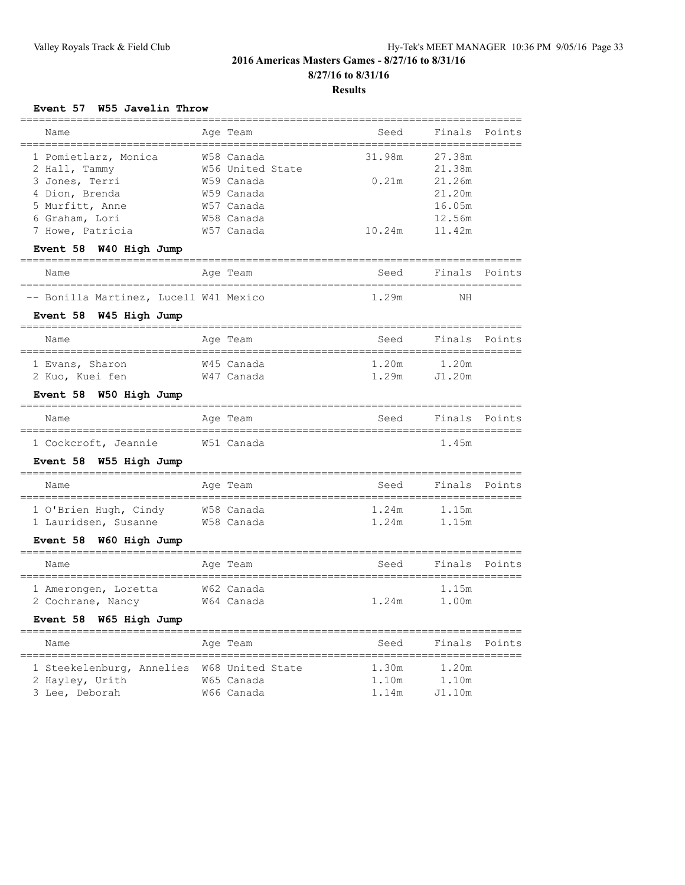### **Results**

### **Event 57 W55 Javelin Throw**

| Name                                                                      | Age Team                                              | Seed                                     | Finals<br>________          | Points |
|---------------------------------------------------------------------------|-------------------------------------------------------|------------------------------------------|-----------------------------|--------|
| 1 Pomietlarz, Monica                                                      | ================<br>===================<br>W58 Canada | 31.98m                                   | 27.38m                      |        |
|                                                                           | W56 United State                                      |                                          | 21.38m                      |        |
| 2 Hall, Tammy                                                             | W59 Canada                                            | 0.21m                                    | 21.26m                      |        |
| 3 Jones, Terri                                                            |                                                       |                                          |                             |        |
| 4 Dion, Brenda                                                            | W59 Canada                                            |                                          | 21.20m                      |        |
| 5 Murfitt, Anne                                                           | W57 Canada                                            |                                          | 16.05m                      |        |
| 6 Graham, Lori                                                            | W58 Canada                                            |                                          | 12.56m                      |        |
| 7 Howe, Patricia                                                          | W57 Canada                                            | 10.24m                                   | 11.42m                      |        |
| Event 58 W40 High Jump                                                    | -----------                                           | -------------                            |                             |        |
| Name                                                                      | Age Team<br>==================                        | Seed<br>==================               | Finals<br>================= | Points |
| -- Bonilla Martinez, Lucell W41 Mexico                                    |                                                       | 1.29m                                    | ΝH                          |        |
| Event 58 W45 High Jump                                                    |                                                       |                                          |                             |        |
| ============================<br>Name<br>================================= | ____________________________________<br>Age Team      | Seed                                     | Finals Points               |        |
| 1 Evans, Sharon                                                           | W45 Canada                                            | 1.20m                                    | 1.20m                       |        |
|                                                                           | W47 Canada                                            | 1.29m                                    | J1.20m                      |        |
| 2 Kuo, Kuei fen                                                           |                                                       |                                          |                             |        |
| Event 58 W50 High Jump                                                    |                                                       | ---------------                          |                             |        |
| Name<br>==================================                                | Age Team<br>=====                                     | Seed                                     | Finals                      | Points |
| 1 Cockcroft, Jeannie                                                      | W51 Canada                                            |                                          | 1.45m                       |        |
| Event 58 W55 High Jump                                                    | -----------------------------------                   |                                          |                             |        |
| Name                                                                      | Age Team                                              | Seed                                     | Finals                      | Points |
| 1 O'Brien Hugh, Cindy                                                     | W58 Canada                                            | 1.24m                                    | 1.15m                       |        |
| 1 Lauridsen, Susanne                                                      | W58 Canada                                            | 1.24m                                    | 1.15m                       |        |
|                                                                           |                                                       |                                          |                             |        |
| Event 58 W60 High Jump                                                    |                                                       |                                          |                             |        |
| Name                                                                      | Age Team                                              | Seed<br>================================ | Finals                      | Points |
| 1 Amerongen, Loretta                                                      | W62 Canada                                            |                                          | 1.15m                       |        |
| 2 Cochrane, Nancy                                                         | W64 Canada                                            | 1.24m                                    | 1.00m                       |        |
|                                                                           |                                                       |                                          |                             |        |
| Event 58 W65 High Jump                                                    |                                                       |                                          |                             |        |
| Name<br>------------<br>----------                                        | Age Team<br>---------                                 | Seed                                     | Finals                      | Points |
| 1 Steekelenburg, Annelies                                                 | W68 United State                                      | 1.30m                                    | 1.20m                       |        |
| 2 Hayley, Urith                                                           |                                                       |                                          |                             |        |
|                                                                           |                                                       |                                          |                             |        |
| 3 Lee, Deborah                                                            | W65 Canada<br>W66 Canada                              | 1.10m<br>1.14m                           | 1.10m<br>J1.10m             |        |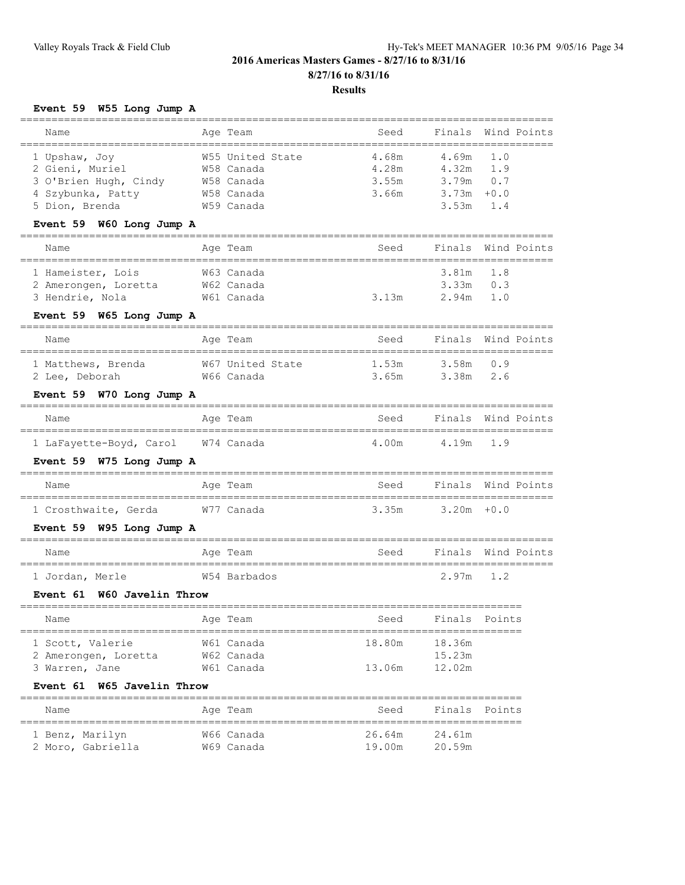# **Event 59 W55 Long Jump A**

| ----------------------------                                                                     |                                                                          |                                  |                                                                     | ============            |
|--------------------------------------------------------------------------------------------------|--------------------------------------------------------------------------|----------------------------------|---------------------------------------------------------------------|-------------------------|
| Name                                                                                             | Age Team                                                                 | Seed                             | Finals                                                              | Wind Points             |
| 1 Upshaw, Joy<br>2 Gieni, Muriel<br>3 O'Brien Hugh, Cindy<br>4 Szybunka, Patty<br>5 Dion, Brenda | W55 United State<br>W58 Canada<br>W58 Canada<br>W58 Canada<br>W59 Canada | 4.68m<br>4.28m<br>3.55m<br>3.66m | 4.69m<br>$4.32m$ 1.9<br>$3.79m$ 0.7<br>$3.73m + 0.0$<br>$3.53m$ 1.4 | 1.0                     |
| Event 59 W60 Long Jump A                                                                         |                                                                          |                                  |                                                                     |                         |
| Name                                                                                             | Age Team                                                                 | Seed                             |                                                                     | Finals Wind Points      |
| 1 Hameister, Lois<br>2 Amerongen, Loretta W62 Canada<br>3 Hendrie, Nola                          | W63 Canada<br>W61 Canada                                                 | 3.13m                            | 3.81m<br>$3.33m$ $0.3$<br>2.94m                                     | 1.8<br>1.0              |
| Event 59 W65 Long Jump A                                                                         |                                                                          |                                  |                                                                     |                         |
| Name                                                                                             | Age Team                                                                 | Seed                             |                                                                     | Finals Wind Points      |
| 1 Matthews, Brenda 667 United State<br>2 Lee, Deborah                                            | W66 Canada                                                               | 1.53m<br>3.65m                   | 3.58m 0.9<br>3.38m                                                  | 2.6                     |
| Event 59 W70 Long Jump A                                                                         |                                                                          |                                  |                                                                     |                         |
| Name                                                                                             | Age Team                                                                 | Seed                             |                                                                     | Finals Wind Points      |
| 1 LaFayette-Boyd, Carol W74 Canada                                                               |                                                                          | 4.00 m4.19 m1.9                  |                                                                     |                         |
| Event 59 W75 Long Jump A                                                                         |                                                                          |                                  |                                                                     |                         |
| Name                                                                                             | Aqe Team                                                                 | Seed                             |                                                                     | Finals Wind Points      |
| 1 Crosthwaite, Gerda W77 Canada                                                                  |                                                                          | $3.35m$ $3.20m$ +0.0             |                                                                     |                         |
| Event 59 W95 Long Jump A                                                                         |                                                                          |                                  |                                                                     |                         |
| Name                                                                                             | Age Team                                                                 |                                  |                                                                     | Seed Finals Wind Points |
| 1 Jordan, Merle                                                                                  | W54 Barbados                                                             |                                  | $2.97m$ 1.2                                                         |                         |
| W60 Javelin Throw<br>Event 61                                                                    |                                                                          |                                  |                                                                     |                         |
| Name                                                                                             | Age Team                                                                 | Seed Finals Points               |                                                                     |                         |
| 1 Scott, Valerie<br>2 Amerongen, Loretta<br>3 Warren, Jane                                       | W61 Canada<br>W62 Canada<br>W61 Canada                                   | 18.80m<br>13.06m                 | 18.36m<br>15.23m<br>12.02m                                          | ===========             |
| <b>W65 Javelin Throw</b><br><b>Event 61</b>                                                      |                                                                          |                                  |                                                                     |                         |
| Name                                                                                             | Age Team                                                                 | Seed                             | Finals                                                              | Points                  |
| 1 Benz, Marilyn<br>2 Moro, Gabriella                                                             | W66 Canada<br>W69 Canada                                                 | 26.64m<br>19.00m                 | 24.61m<br>20.59m                                                    |                         |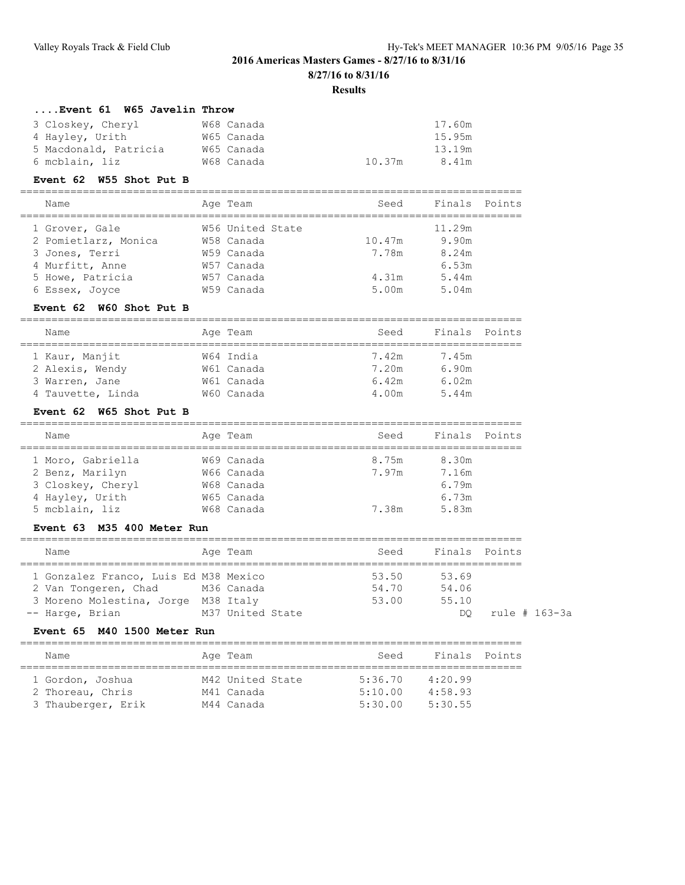#### **Results**

### **....Event 61 W65 Javelin Throw**

|                                                      | 17.60m |
|------------------------------------------------------|--------|
|                                                      | 15.95m |
|                                                      | 13.19m |
| 10.37m                                               | 8.41m  |
| W68 Canada<br>W65 Canada<br>W65 Canada<br>W68 Canada |        |

#### **Event 62 W55 Shot Put B**

#### ================================================================================ name Rinale Point

| Name<br>Aqe leam                   | seea   | Finais Points |  |
|------------------------------------|--------|---------------|--|
| W56 United State<br>1 Grover, Gale |        | 11.29m        |  |
| 2 Pomietlarz, Monica<br>W58 Canada | 10.47m | 9.90m         |  |
| 3 Jones, Terri<br>W59 Canada       | 7.78m  | 8.24m         |  |
| 4 Murfitt, Anne<br>W57 Canada      |        | 6.53m         |  |
| 5 Howe, Patricia<br>W57 Canada     | 4.31m  | 5.44m         |  |
| W59 Canada<br>6 Essex, Joyce       | 5.00m  | 5.04m         |  |

### **Event 62 W60 Shot Put B**

| Name              | Age Team   | Seed  | Finals Points |  |
|-------------------|------------|-------|---------------|--|
|                   |            |       |               |  |
| 1 Kaur, Manjit    | W64 India  | 7.42m | 7.45m         |  |
| 2 Alexis, Wendy   | W61 Canada | 7.20m | 6.90m         |  |
| 3 Warren, Jane    | W61 Canada | 6.42m | 6.02m         |  |
| 4 Tauvette, Linda | W60 Canada | 4.00m | 5.44m         |  |

### **Event 62 W65 Shot Put B**

| Name              | Age Team   | Seed  | Points<br>Finals |
|-------------------|------------|-------|------------------|
|                   |            |       |                  |
| 1 Moro, Gabriella | W69 Canada | 8.75m | 8.30m            |
| 2 Benz, Marilyn   | W66 Canada | 7.97m | 7.16m            |
| 3 Closkey, Cheryl | W68 Canada |       | 6.79m            |
| 4 Hayley, Urith   | W65 Canada |       | 6.73m            |
| 5 mcblain, liz    | W68 Canada | 7.38m | 5.83m            |

#### **Event 63 M35 400 Meter Run**

| Name                                  | Age Team         | Seed  | Finals Points |               |
|---------------------------------------|------------------|-------|---------------|---------------|
| 1 Gonzalez Franco, Luis Ed M38 Mexico |                  | 53.50 | 53.69         |               |
| 2 Van Tongeren, Chad M36 Canada       |                  | 54.70 | 54.06         |               |
| 3 Moreno Molestina, Jorge M38 Italy   |                  | 53.00 | 55.10         |               |
| -- Harge, Brian                       | M37 United State |       | DO.           | rule # 163-3a |

#### **Event 65 M40 1500 Meter Run**

| Name               | Age Team         | Seed    | Finals Points |
|--------------------|------------------|---------|---------------|
|                    |                  |         |               |
| 1 Gordon, Joshua   | M42 United State | 5:36.70 | 4:20.99       |
| 2 Thoreau, Chris   | M41 Canada       | 5:10.00 | 4:58.93       |
| 3 Thauberger, Erik | M44 Canada       | 5:30.00 | 5:30.55       |
|                    |                  |         |               |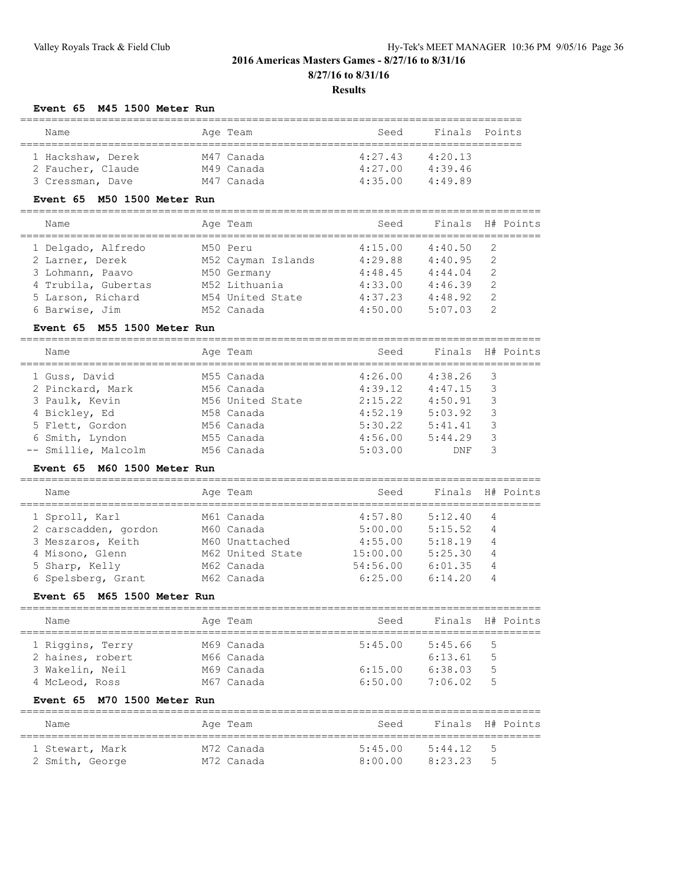### **Event 65 M45 1500 Meter Run**

| Name              | Age Team   | Seed    | Finals Points |
|-------------------|------------|---------|---------------|
|                   |            |         |               |
| 1 Hackshaw, Derek | M47 Canada | 4:27.43 | 4:20.13       |
| 2 Faucher, Claude | M49 Canada | 4:27.00 | 4:39.46       |
| 3 Cressman, Dave  | M47 Canada | 4:35.00 | 4:49.89       |

### **Event 65 M50 1500 Meter Run**

| Name                | Age Team           | Seed    |         | Finals H# Points |
|---------------------|--------------------|---------|---------|------------------|
| 1 Delgado, Alfredo  | M50 Peru           | 4:15.00 | 4:40.50 | - 2              |
| 2 Larner, Derek     | M52 Cayman Islands | 4:29.88 | 4:40.95 | -2               |
| 3 Lohmann, Paavo    | M50 Germany        | 4:48.45 | 4:44.04 | -2               |
| 4 Trubila, Gubertas | M52 Lithuania      | 4:33.00 | 4:46.39 | $\overline{2}$   |
| 5 Larson, Richard   | M54 United State   | 4:37.23 | 4:48.92 | -2               |
| 6 Barwise, Jim      | M52 Canada         | 4:50.00 | 5:07.03 | 2                |
|                     |                    |         |         |                  |

### **Event 65 M55 1500 Meter Run**

| Name                | Age Team         | Seed    | Finals  |                         | H# Points |
|---------------------|------------------|---------|---------|-------------------------|-----------|
| 1 Guss, David       | M55 Canada       | 4:26.00 | 4:38.26 | $\overline{\mathbf{3}}$ |           |
| 2 Pinckard, Mark    | M56 Canada       | 4:39.12 | 4:47.15 | - 3                     |           |
| 3 Paulk, Kevin      | M56 United State | 2:15.22 | 4:50.91 | 3                       |           |
| 4 Bickley, Ed       | M58 Canada       | 4:52.19 | 5:03.92 | 3                       |           |
| 5 Flett, Gordon     | M56 Canada       | 5:30.22 | 5:41.41 | 3                       |           |
| 6 Smith, Lyndon     | M55 Canada       | 4:56.00 | 5:44.29 | 3                       |           |
| -- Smillie, Malcolm | M56 Canada       | 5:03.00 | DNF     | 3                       |           |

### **Event 65 M60 1500 Meter Run**

| Name                 | Age Team         | Seed     | Finals  |                | H# Points |
|----------------------|------------------|----------|---------|----------------|-----------|
| 1 Sproll, Karl       | M61 Canada       | 4:57.80  | 5:12.40 | 4              |           |
| 2 carscadden, gordon | M60 Canada       | 5:00.00  | 5:15.52 | 4              |           |
| 3 Meszaros, Keith    | M60 Unattached   | 4:55.00  | 5:18.19 | 4              |           |
| 4 Misono, Glenn      | M62 United State | 15:00.00 | 5:25.30 | $\overline{4}$ |           |
| 5 Sharp, Kelly       | M62 Canada       | 54:56.00 | 6:01.35 | 4              |           |
| 6 Spelsberg, Grant   | M62 Canada       | 6:25.00  | 6:14.20 |                |           |

### **Event 65 M65 1500 Meter Run**

| Name             | Age Team   | Seed    | Finals H# Points |    |  |
|------------------|------------|---------|------------------|----|--|
| 1 Riggins, Terry | M69 Canada | 5:45.00 | 5:45.66          | -5 |  |
| 2 haines, robert | M66 Canada |         | 6:13.61          | 5  |  |
| 3 Wakelin, Neil  | M69 Canada | 6:15.00 | 6:38.03          | 5  |  |
| 4 McLeod, Ross   | M67 Canada | 6:50.00 | 7:06.02          | 5  |  |

### **Event 65 M70 1500 Meter Run**

| Name            | Age Team   | Seed    | Finals H# Points |     |  |
|-----------------|------------|---------|------------------|-----|--|
| 1 Stewart, Mark | M72 Canada | 5:45.00 | 5:44.12          | -5  |  |
| 2 Smith, George | M72 Canada | 8:00.00 | 8.23.23          | - 5 |  |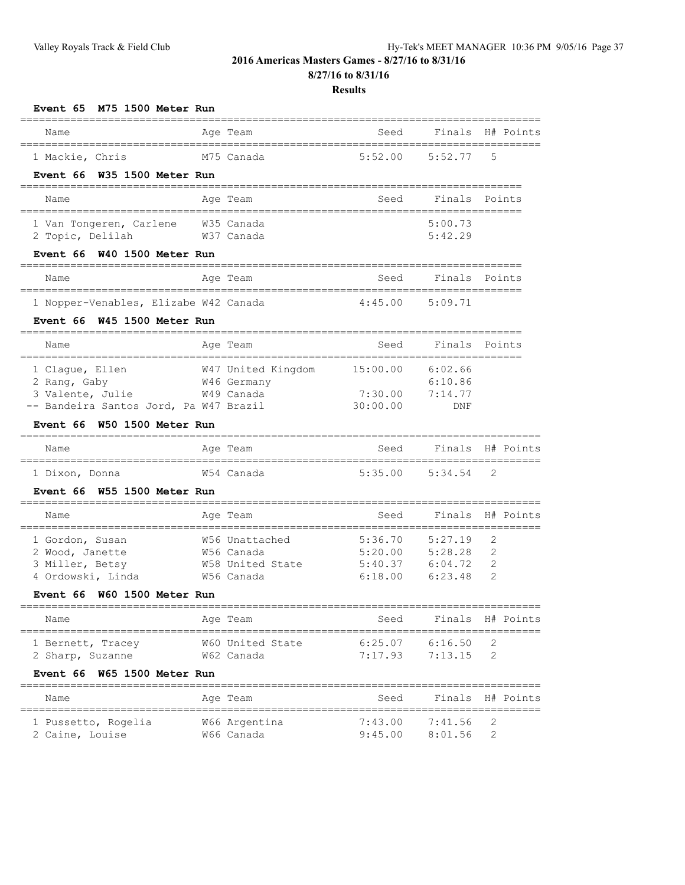**8/27/16 to 8/31/16**

| M75 1500 Meter Run<br>Event 65                                                                                                                         |            |                                                                |                                          |                                          |                                |
|--------------------------------------------------------------------------------------------------------------------------------------------------------|------------|----------------------------------------------------------------|------------------------------------------|------------------------------------------|--------------------------------|
| Name                                                                                                                                                   |            | Age Team                                                       | Seed                                     | Finals                                   | H# Points                      |
| 1 Mackie, Chris<br>Event 66 W35 1500 Meter Run                                                                                                         |            | M75 Canada                                                     | 5:52.00                                  | 5:52.77                                  | 5                              |
| Name                                                                                                                                                   |            | Age Team                                                       | Seed                                     | Finals                                   | Points                         |
| 1 Van Tongeren, Carlene<br>2 Topic, Delilah                                                                                                            | W35 Canada | W37 Canada                                                     |                                          | 5:00.73<br>5:42.29                       |                                |
| Event 66 W40 1500 Meter Run                                                                                                                            |            |                                                                |                                          |                                          |                                |
| Name                                                                                                                                                   |            | Age Team                                                       | Seed                                     | Finals                                   | Points                         |
| 1 Nopper-Venables, Elizabe W42 Canada<br>Event 66 W45 1500 Meter Run                                                                                   |            |                                                                | 4:45.00                                  | 5:09.71                                  |                                |
| Name                                                                                                                                                   |            | Age Team                                                       | Seed                                     | Finals                                   | Points                         |
| ----------------------<br>1 Clague, Ellen<br>2 Rang, Gaby<br>3 Valente, Julie<br>-- Bandeira Santos Jord, Pa W47 Brazil<br>Event 66 W50 1500 Meter Run |            | W47 United Kingdom 15:00.00<br>W46 Germany<br>W49 Canada       | 7:30.00<br>30:00.00                      | 6:02.66<br>6:10.86<br>7:14.77<br>DNF     |                                |
| Name                                                                                                                                                   |            | Age Team                                                       | Seed                                     | Finals                                   | H# Points                      |
| 1 Dixon, Donna<br>Event 66 W55 1500 Meter Run                                                                                                          |            | W54 Canada                                                     | 5:35.00                                  | 5:34.54                                  | 2                              |
| Name                                                                                                                                                   |            | Age Team                                                       | Seed                                     | Finals                                   | H# Points                      |
| 1 Gordon, Susan<br>2 Wood, Janette<br>3 Miller, Betsy<br>4 Ordowski, Linda<br>W60 1500 Meter Run<br><b>Event 66</b>                                    |            | W56 Unattached<br>W56 Canada<br>W58 United State<br>W56 Canada | 5:36.70<br>5:20.00<br>5:40.37<br>6:18.00 | 5:27.19<br>5:28.28<br>6:04.72<br>6:23.48 | ==========<br>2<br>2<br>2<br>2 |
| Name                                                                                                                                                   |            | Age Team                                                       | Seed                                     | Finals                                   | H# Points                      |
| -------------------------<br>1 Bernett, Tracey<br>2 Sharp, Suzanne                                                                                     |            | ============================<br>W60 United State<br>W62 Canada | 6:25.07<br>7:17.93                       | 6:16.50<br>7:13.15                       | ===========<br>2<br>2          |
| Event 66<br>W65 1500 Meter Run<br>Name                                                                                                                 |            | Age Team                                                       | Seed                                     | Finals                                   | H# Points                      |
| ======================<br>1 Pussetto, Rogelia<br>2 Caine, Louise                                                                                       |            | ==============<br>W66 Argentina<br>W66 Canada                  | ===============<br>7:43.00<br>9:45.00    | 7:41.56<br>8:01.56                       | 2<br>$\mathbf{2}$              |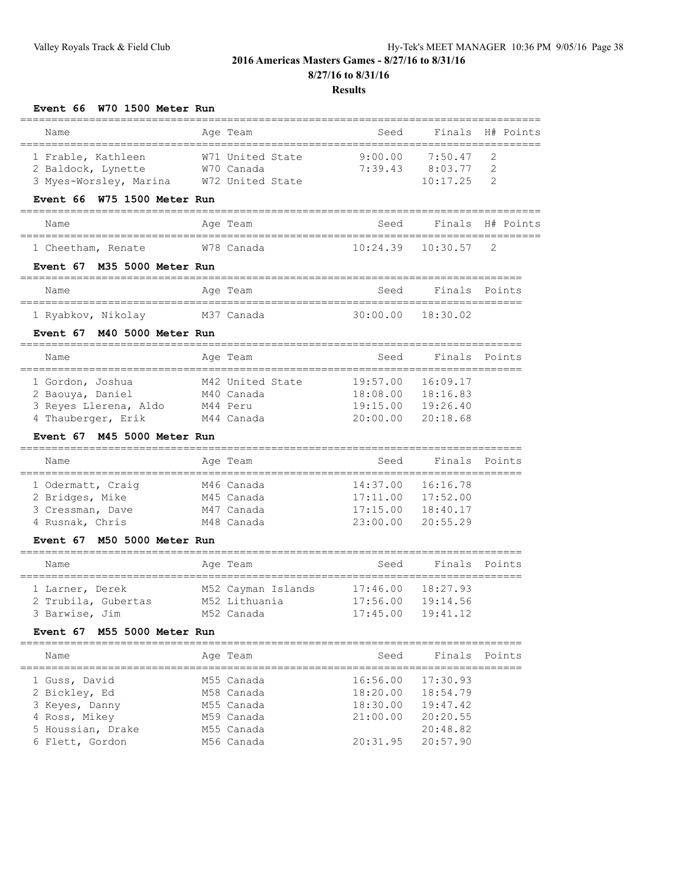| Event 66 W70 1500 Meter Run           |                                        |                                            |                       |                |
|---------------------------------------|----------------------------------------|--------------------------------------------|-----------------------|----------------|
| Name                                  | Age Team                               | Seed                                       | Finals                | H# Points      |
| 1 Frable, Kathleen                    | W71 United State                       | 9:00.00                                    | 7:50.47               | 2              |
| 2 Baldock, Lynette                    | W70 Canada                             | 7:39.43                                    | 8:03.77               | 2              |
| 3 Myes-Worsley, Marina                | W72 United State                       |                                            | 10:17.25              | $\mathfrak{D}$ |
| W75 1500 Meter Run<br>Event 66        |                                        |                                            |                       |                |
| Name                                  | Age Team<br>===============            | Seed                                       | Finals                | H# Points      |
| 1 Cheetham, Renate                    | W78 Canada                             | 10:24.39                                   | 10:30.57              | 2              |
| Event 67 M35 5000 Meter Run           |                                        |                                            |                       |                |
| Name                                  | Age Team<br>_______________________    | Seed<br>=================================  | Finals                | Points         |
| 1 Ryabkov, Nikolay                    | M37 Canada                             | 30:00.00                                   | 18:30.02              |                |
| M40 5000 Meter Run<br><b>Event 67</b> | =================                      |                                            |                       |                |
| Name                                  | Age Team<br>-------------------------- | Seed<br>__________________________________ | Finals                | Points         |
| 1 Gordon, Joshua                      | M42 United State                       | 19:57.00                                   | 16:09.17              |                |
| 2 Baouya, Daniel                      | M40 Canada                             | 18:08.00                                   | 18:16.83              |                |
| 3 Reyes Llerena, Aldo                 | M44 Peru                               | 19:15.00                                   | 19:26.40              |                |
| 4 Thauberger, Erik                    | M44 Canada                             | 20:00.00                                   | 20:18.68              |                |
| Event 67<br>M45 5000 Meter Run        |                                        |                                            |                       |                |
| Name                                  | Age Team                               | Seed<br>================================   | Finals                | Points         |
| 1 Odermatt, Craiq                     | M46 Canada                             | 14:37.00                                   | 16:16.78              |                |
| 2 Bridges, Mike                       | M45 Canada                             | 17:11.00                                   | 17:52.00              |                |
| 3 Cressman, Dave                      | M47 Canada                             | 17:15.00                                   | 18:40.17              |                |
| 4 Rusnak, Chris                       | M48 Canada                             | 23:00.00                                   | 20:55.29              |                |
| Event 67<br>M50 5000 Meter Run        |                                        |                                            |                       |                |
| Name                                  | Age Team                               | Seed                                       | Finals                | Points         |
| 1 Larner, Derek                       | M52 Cayman Islands                     | 17:46.00                                   | 18:27.93              |                |
| 2 Trubila, Gubertas                   | M52 Lithuania                          |                                            | 17:56.00  19:14.56    |                |
| 3 Barwise, Jim                        | M52 Canada                             |                                            | $17:45.00$ $19:41.12$ |                |
| Event 67 M55 5000 Meter Run           |                                        |                                            |                       |                |
| Name                                  | Age Team                               | Seed                                       |                       | Finals Points  |
| 1 Guss, David                         | M55 Canada                             | 16:56.00                                   | 17:30.93              |                |
| 2 Bickley, Ed                         | M58 Canada                             |                                            | 18:20.00 18:54.79     |                |
| 3 Keyes, Danny                        | M55 Canada                             | 18:30.00                                   | 19:47.42              |                |
| 4 Ross, Mikey                         | M59 Canada                             | 21:00.00                                   | 20:20.55              |                |
| 5 Houssian, Drake                     | M55 Canada                             |                                            | 20:48.82              |                |
| 6 Flett, Gordon                       | M56 Canada                             | 20:31.95                                   | 20:57.90              |                |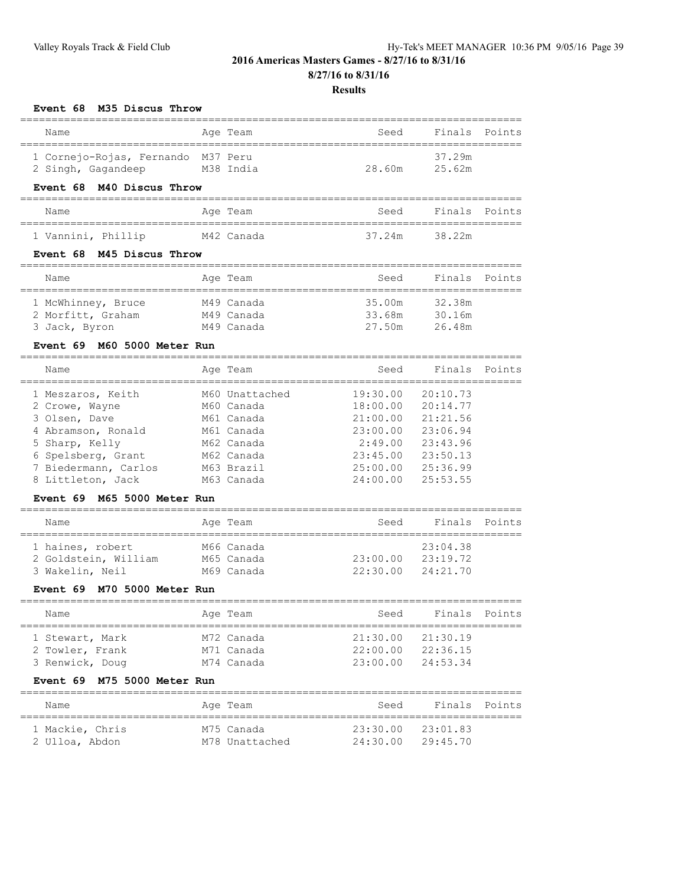**8/27/16 to 8/31/16**

## **Results**

## **Event 68 M35 Discus Throw**

| Name                                       | Age Team                 | Seed                | Finals               | Points |
|--------------------------------------------|--------------------------|---------------------|----------------------|--------|
| 1 Cornejo-Rojas, Fernando M37 Peru         |                          |                     | 37.29m               |        |
| 2 Singh, Gagandeep                         | M38 India                | 28.60m              | 25.62m               |        |
| Event 68 M40 Discus Throw                  |                          |                     |                      |        |
| Name                                       | Age Team                 | Seed                | Finals               | Points |
| 1 Vannini, Phillip                         | M42 Canada               | 37.24m              | 38.22m               |        |
| Event 68 M45 Discus Throw                  |                          |                     |                      |        |
| Name                                       | Age Team                 | Seed                | Finals               | Points |
| 1 McWhinney, Bruce                         | M49 Canada               | 35.00m              | 32.38m               |        |
| 2 Morfitt, Graham                          | M49 Canada               | 33.68m              | 30.16m               |        |
| 3 Jack, Byron                              | M49 Canada               | 27.50m              | 26.48m               |        |
| M60 5000 Meter Run<br>Event 69             |                          |                     |                      |        |
| Name                                       | Age Team                 | Seed                | Finals               | Points |
| 1 Meszaros, Keith                          | M60 Unattached           | 19:30.00            | 20:10.73             |        |
| 2 Crowe, Wayne                             | M60 Canada               | 18:00.00            | 20:14.77             |        |
| 3 Olsen, Dave                              | M61 Canada               | 21:00.00            | 21:21.56             |        |
| 4 Abramson, Ronald                         | M61 Canada               | 23:00.00            | 23:06.94             |        |
| 5 Sharp, Kelly                             | M62 Canada<br>M62 Canada | 2:49.00<br>23:45.00 | 23:43.96<br>23:50.13 |        |
| 6 Spelsberg, Grant<br>7 Biedermann, Carlos | M63 Brazil               | 25:00.00            | 25:36.99             |        |
| 8 Littleton, Jack                          | M63 Canada               | 24:00.00            | 25:53.55             |        |
| M65 5000 Meter Run<br>Event 69             |                          |                     |                      |        |
| Name                                       | Age Team                 | Seed                | Finals               | Points |
|                                            |                          |                     |                      |        |
| 1 haines, robert                           | M66 Canada               |                     | 23:04.38             |        |
| 2 Goldstein, William                       | M65 Canada               | 23:00.00            | 23:19.72             |        |
| 3 Wakelin, Neil                            | M69 Canada               | 22:30.00            | 24:21.70             |        |
| M70 5000 Meter Run<br><b>Event 69</b>      |                          |                     |                      |        |
| Name                                       | Age Team                 | Seed                | Finals               | Points |
| 1 Stewart, Mark                            | M72 Canada               | 21:30.00            | 21:30.19             |        |
| 2 Towler, Frank                            | M71 Canada               |                     | 22:00.00 22:36.15    |        |
| 3 Renwick, Doug                            | M74 Canada               | 23:00.00            | 24:53.34             |        |
| Event 69 M75 5000 Meter Run                |                          |                     |                      |        |
| Name                                       | Age Team                 | Seed                | Finals               | Points |

================================================================================

 1 Mackie, Chris M75 Canada 23:30.00 23:01.83 2 Ulloa, Abdon M78 Unattached 24:30.00 29:45.70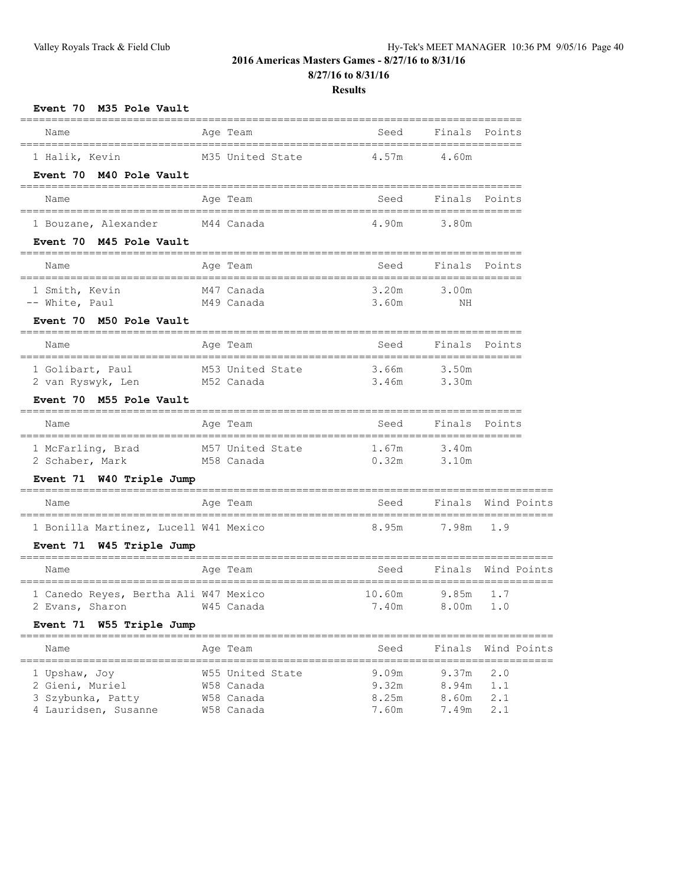## **Results**

| Event 70 M35 Pole Vault                                                              |                                                 |                                             |                         |                    |
|--------------------------------------------------------------------------------------|-------------------------------------------------|---------------------------------------------|-------------------------|--------------------|
| ======<br>==================================<br>Name                                 | Age Team                                        | Seed                                        | Finals                  | Points             |
| ====================================<br>1 Halik, Kevin<br>Event 70 M40 Pole Vault    | M35 United State                                | __________________________________<br>4.57m | 4.60m                   |                    |
| ------------------------------------<br>Name                                         | Age Team                                        | ---------------------------<br>Seed         |                         | Finals Points      |
| 1 Bouzane, Alexander<br>Event 70 M45 Pole Vault                                      | M44 Canada                                      | 4.90m                                       | 3.80m                   |                    |
| Name                                                                                 | Age Team                                        | Seed                                        | Finals Points           |                    |
| 1 Smith, Kevin<br>-- White, Paul<br>Event 70 M50 Pole Vault                          | M47 Canada<br>M49 Canada                        | 3.20m<br>3.60m                              | 3.00m<br>ΝH             |                    |
| Name                                                                                 | Age Team                                        | Seed                                        |                         | Finals Points      |
| 1 Golibart, Paul<br>2 van Ryswyk, Len<br>Event 70 M55 Pole Vault                     | M53 United State<br>M52 Canada                  | 3.66m<br>3.46m                              | 3.50m<br>3.30m          |                    |
| Name                                                                                 | Age Team                                        | Seed                                        |                         | Finals Points      |
| 1 McFarling, Brad<br>2 Schaber, Mark                                                 | M57 United State<br>M58 Canada                  | 1.67m<br>0.32m                              | 3.40m<br>3.10m          |                    |
| Event 71 W40 Triple Jump                                                             | ----------------------------------              |                                             |                         |                    |
| Name                                                                                 | Age Team                                        | Seed                                        | Finals                  | Wind Points        |
| 1 Bonilla Martinez, Lucell W41 Mexico<br>Event 71 W45 Triple Jump                    |                                                 | 8.95m                                       | 7.98m                   | 1.9                |
| Name                                                                                 | ___________________________________<br>Age Team | Seed                                        | Finals                  | Wind Points        |
| 1 Canedo Reyes, Bertha Ali W47 Mexico<br>2 Evans, Sharon<br>Event 71 W55 Triple Jump | W45 Canada                                      | 10.60m<br>7.40m                             | 9.85m<br>8.00m          | 1.7<br>1.0         |
| Name                                                                                 | Age Team                                        | Seed                                        |                         | Finals Wind Points |
| 1 Upshaw, Joy<br>2 Gieni, Muriel<br>3 Szybunka, Patty                                | W55 United State<br>W58 Canada<br>W58 Canada    | 9.09m<br>9.32m<br>8.25m                     | 9.37m<br>8.94m<br>8.60m | 2.0<br>1.1<br>2.1  |

4 Lauridsen, Susanne W58 Canada 7.60m 7.49m 2.1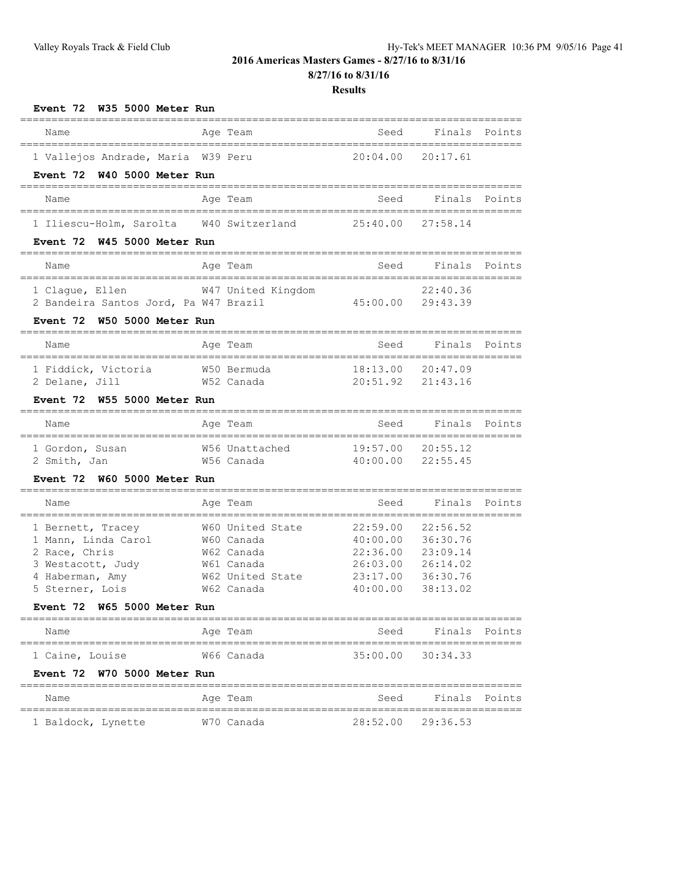**8/27/16 to 8/31/16**

| Event 72 W35 5000 Meter Run                      |                          |                      |                      |        |
|--------------------------------------------------|--------------------------|----------------------|----------------------|--------|
| Name                                             | Age Team                 | Seed                 | Finals               | Points |
| 1 Vallejos Andrade, Maria W39 Peru               |                          | 20:04.00             | 20:17.61             |        |
| Event 72 W40 5000 Meter Run                      |                          |                      |                      |        |
| Name                                             | Age Team                 | Seed                 | Finals Points        |        |
| 1 Iliescu-Holm, Sarolta W40 Switzerland 25:40.00 |                          |                      | 27:58.14             |        |
| Event 72 W45 5000 Meter Run                      |                          |                      |                      |        |
| Name                                             | Age Team                 | Seed                 | Finals               | Points |
| 1 Claque, Ellen                                  | W47 United Kingdom       |                      | 22:40.36             |        |
| 2 Bandeira Santos Jord, Pa W47 Brazil            |                          | 45:00.00 29:43.39    |                      |        |
| Event 72 W50 5000 Meter Run                      |                          |                      |                      |        |
| Name                                             | Age Team                 | Seed                 | Finals Points        |        |
| 1 Fiddick, Victoria                              | W50 Bermuda              | 18:13.00             | 20:47.09             |        |
| W52 Canada<br>2 Delane, Jill                     |                          | 20:51.92             | 21:43.16             |        |
| Event 72 W55 5000 Meter Run                      |                          |                      |                      |        |
| Name                                             | Age Team                 | Seed                 | Finals Points        |        |
| 1 Gordon, Susan                                  | W56 Unattached           | 19:57.00             | 20:55.12             |        |
| W56 Canada<br>2 Smith, Jan                       |                          | 40:00.00             | 22:55.45             |        |
| Event 72 W60 5000 Meter Run                      |                          |                      |                      |        |
| Name                                             | Age Team                 | Seed                 | Finals               | Points |
| 1 Bernett, Tracey                                | W60 United State         | 22:59.00             | 22:56.52             |        |
| 1 Mann, Linda Carol W60 Canada                   |                          | 40:00.00             | 36:30.76             |        |
| 2 Race, Chris<br>3 Westacott, Judy               | W62 Canada<br>W61 Canada | 22:36.00<br>26:03.00 | 23:09.14<br>26:14.02 |        |
| 4 Haberman, Amy                                  | w62 United State         | 23:17.00             | 36:30.76             |        |
| 5 Sterner, Lois                                  | W62 Canada               | 40:00.00             | 38:13.02             |        |
| Event 72 W65 5000 Meter Run                      |                          |                      |                      |        |
| Name                                             | Age Team                 | Seed                 | Finals               | Points |
| 1 Caine, Louise                                  | W66 Canada               | 35:00.00             | 30:34.33             |        |
| Event 72 W70 5000 Meter Run                      |                          |                      |                      |        |
| Name                                             | Age Team                 | Seed                 | Finals               | Points |
| 1 Baldock, Lynette                               | W70 Canada               | 28:52.00             | 29:36.53             |        |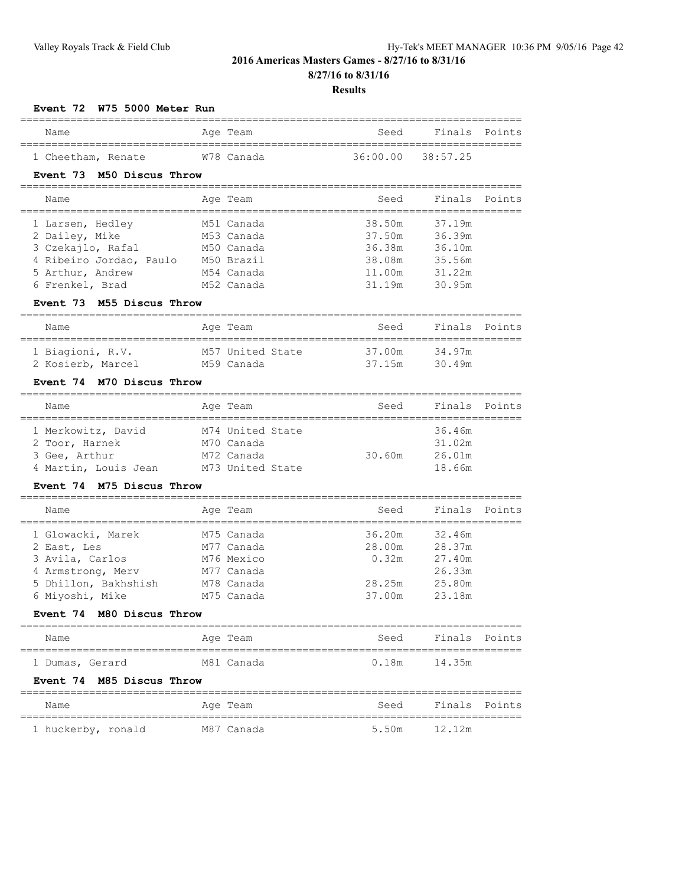## **Results**

================================================================================

#### **Event 72 W75 5000 Meter Run**

| Name               |  |  | Aqe Team   | Seed              | Finals Points |  |  |  |  |
|--------------------|--|--|------------|-------------------|---------------|--|--|--|--|
|                    |  |  |            |                   |               |  |  |  |  |
| 1 Cheetham, Renate |  |  | W78 Canada | 36:00.00 38:57.25 |               |  |  |  |  |

#### **Event 73 M50 Discus Throw**

| Name                    | Age Team   | Seed   | Finals Points |  |
|-------------------------|------------|--------|---------------|--|
| 1 Larsen, Hedley        | M51 Canada | 38.50m | 37.19m        |  |
| 2 Dailey, Mike          | M53 Canada | 37.50m | 36.39m        |  |
| 3 Czekajlo, Rafal       | M50 Canada | 36.38m | 36.10m        |  |
| 4 Ribeiro Jordao, Paulo | M50 Brazil | 38.08m | 35.56m        |  |
| 5 Arthur, Andrew        | M54 Canada | 11.00m | 31.22m        |  |
| 6 Frenkel, Brad         | M52 Canada | 31.19m | 30.95m        |  |

#### **Event 73 M55 Discus Throw**

| Name              | Age Team         | Seed   | Finals Points |  |
|-------------------|------------------|--------|---------------|--|
| 1 Biagioni, R.V.  | M57 United State | 37.00m | 34.97m        |  |
| 2 Kosierb, Marcel | M59 Canada       | 37 15m | 30.49m        |  |

## **Event 74 M70 Discus Throw**

| Name                 | Age Team         | Seed   | Finals Points |
|----------------------|------------------|--------|---------------|
| 1 Merkowitz, David   | M74 United State |        | 36.46m        |
| 2 Toor, Harnek       | M70 Canada       |        | 31.02m        |
| 3 Gee, Arthur        | M72 Canada       | 30.60m | 26.01m        |
| 4 Martin, Louis Jean | M73 United State |        | 18.66m        |

#### **Event 74 M75 Discus Throw**

| Name                 | Age Team   | Seed   | Finals Points |
|----------------------|------------|--------|---------------|
| 1 Glowacki, Marek    | M75 Canada | 36.20m | 32.46m        |
| 2 East, Les          | M77 Canada | 28.00m | 28.37m        |
| 3 Avila, Carlos      | M76 Mexico | 0.32m  | 27.40m        |
| 4 Armstrong, Merv    | M77 Canada |        | 26.33m        |
| 5 Dhillon, Bakhshish | M78 Canada | 28.25m | 25.80m        |
| 6 Miyoshi, Mike      | M75 Canada | 37.00m | 23.18m        |

## **Event 74 M80 Discus Throw**

## ================================================================================

| Name            |  | Age Team   | Seed  | Finals Points |  |
|-----------------|--|------------|-------|---------------|--|
|                 |  |            |       |               |  |
| 1 Dumas, Gerard |  | M81 Canada | 0.18m | 14.35m        |  |

#### **Event 74 M85 Discus Throw**

| Name               | Age Team   | Seed         | Finals Points |  |
|--------------------|------------|--------------|---------------|--|
| 1 huckerby, ronald | M87 Canada | 5.50m 12.12m |               |  |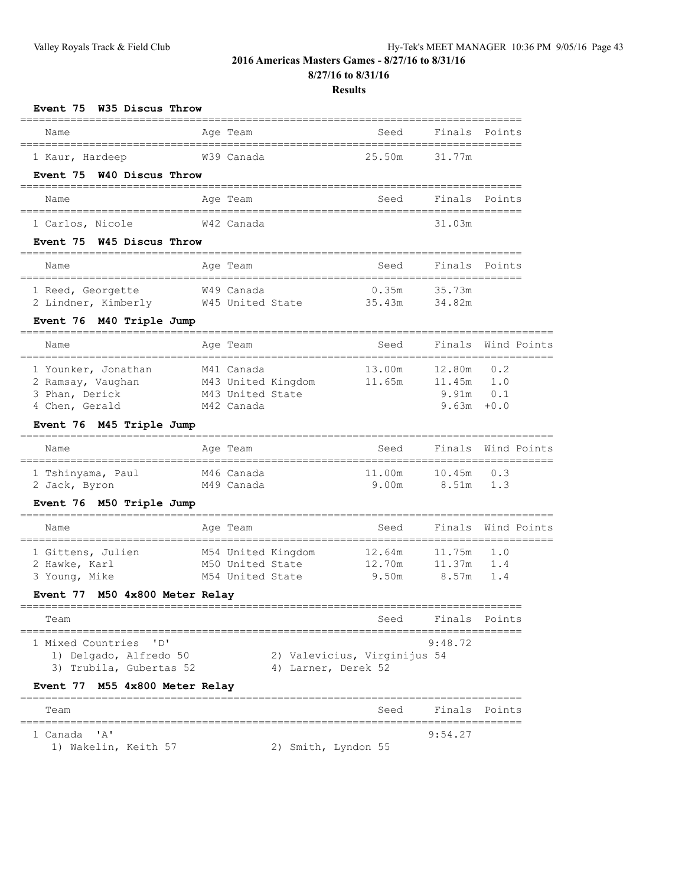## **8/27/16 to 8/31/16**

| Event 75 W35 Discus Throw                                                                                       |                                                                    |                                                     |                                            |                                  |
|-----------------------------------------------------------------------------------------------------------------|--------------------------------------------------------------------|-----------------------------------------------------|--------------------------------------------|----------------------------------|
| Name                                                                                                            | Age Team                                                           | Seed                                                | Finals                                     | Points                           |
| ===================================<br>1 Kaur, Hardeep<br>Event 75 W40 Discus Throw                             | W39 Canada                                                         | 25.50m                                              | 31.77m                                     |                                  |
| Name                                                                                                            | Age Team                                                           | _____________________________<br>Seed               | Finals Points                              |                                  |
| 1 Carlos, Nicole<br>Event 75 W45 Discus Throw                                                                   | W42 Canada                                                         |                                                     | 31.03m                                     |                                  |
| Name                                                                                                            | Age Team                                                           | Seed                                                | Finals Points                              |                                  |
| 1 Reed, Georgette<br>2 Lindner, Kimberly W45 United State<br>Event 76 M40 Triple Jump                           | W49 Canada                                                         | 0.35m<br>35.43m                                     | 35.73m<br>34.82m                           |                                  |
| Name                                                                                                            | Age Team                                                           | Seed                                                |                                            | Finals Wind Points               |
| 1 Younker, Jonathan<br>2 Ramsay, Vaughan<br>3 Phan, Derick<br>4 Chen, Gerald<br>Event 76 M45 Triple Jump        | M41 Canada<br>M43 United Kingdom<br>M43 United State<br>M42 Canada | 13.00m<br>11.65m                                    | 12.80m<br>11.45m<br>9.91m<br>$9.63m + 0.0$ | 0.2<br>1.0<br>0.1                |
| Name                                                                                                            | Age Team<br>===========                                            | Seed                                                | Finals                                     | Wind Points<br>================= |
| 1 Tshinyama, Paul<br>2 Jack, Byron<br>Event 76 M50 Triple Jump                                                  | M46 Canada<br>M49 Canada                                           | 11.00m<br>9.00m                                     | 10.45m<br>8.51m                            | 0.3<br>1.3                       |
| Name                                                                                                            | Age Team<br>==============                                         | Seed<br>-----------------------------------         |                                            | Finals Wind Points               |
| 1 Gittens, Julien<br>2 Hawke, Karl<br>3 Young, Mike<br>Event 77 M50 4x800 Meter Relay                           | M54 United Kingdom<br>M50 United State<br>M54 United State         | 12.64m<br>12.70m<br>9.50m                           | 11.75m<br>11.37m<br>8.57m                  | 1.0<br>1.4<br>1.4                |
| Team                                                                                                            |                                                                    | ___________________________________<br>Seed         | Finals                                     | Points                           |
| 1 Mixed Countries<br>"D"<br>1) Delgado, Alfredo 50<br>3) Trubila, Gubertas 52<br>Event 77 M55 4x800 Meter Relay |                                                                    | 2) Valevicius, Virginijus 54<br>4) Larner, Derek 52 | 9:48.72                                    |                                  |
| Team                                                                                                            | ---------------                                                    | Seed                                                | Finals                                     | Points                           |
| "A"<br>1 Canada<br>1) Wakelin, Keith 57                                                                         |                                                                    | 2) Smith, Lyndon 55                                 | 9:54.27                                    |                                  |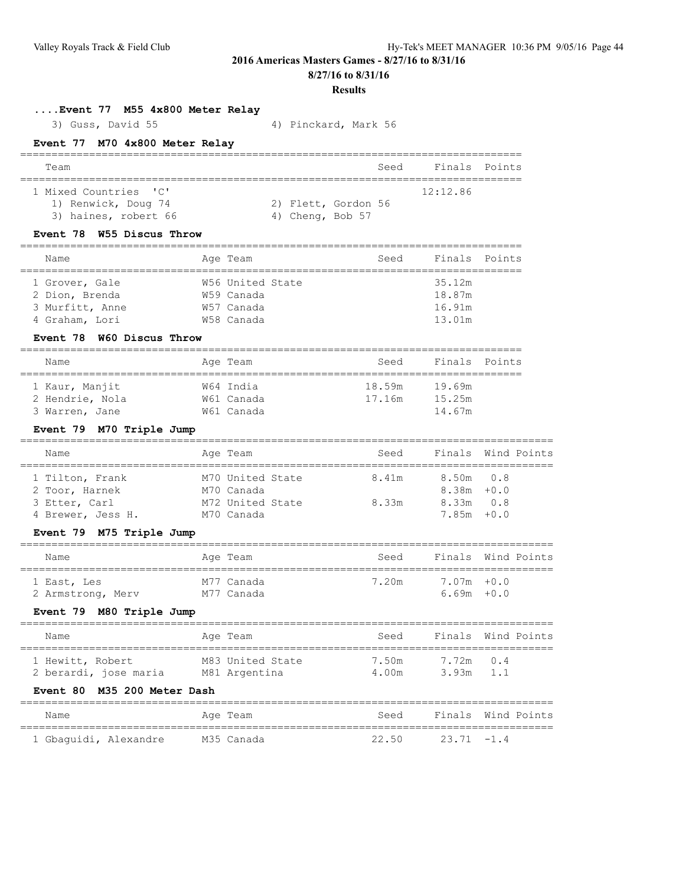**8/27/16 to 8/31/16**

#### **Results**

**....Event 77 M55 4x800 Meter Relay**

3) Guss, David 55 4) Pinckard, Mark 56

## **Event 77 M70 4x800 Meter Relay**

| Team                  |  |                     | Seed | Finals Points |  |
|-----------------------|--|---------------------|------|---------------|--|
|                       |  |                     |      |               |  |
| 1 Mixed Countries 'C' |  |                     |      | 12:12.86      |  |
| 1) Renwick, Doug 74   |  | 2) Flett, Gordon 56 |      |               |  |
| 3) haines, robert 66  |  | 4) Cheng, Bob 57    |      |               |  |

## **Event 78 W55 Discus Throw**

| Name            | Age Team         | Seed | Finals Points |  |
|-----------------|------------------|------|---------------|--|
|                 |                  |      |               |  |
| 1 Grover, Gale  | W56 United State |      | 35.12m        |  |
| 2 Dion, Brenda  | W59 Canada       |      | 18.87m        |  |
| 3 Murfitt, Anne | W57 Canada       |      | 16.91m        |  |
| 4 Graham, Lori  | W58 Canada       |      | 13.01m        |  |

## **Event 78 W60 Discus Throw**

| Name            | Age Team   | Seed   | Finals Points |  |
|-----------------|------------|--------|---------------|--|
|                 |            |        |               |  |
| 1 Kaur, Manjit  | W64 India  | 18.59m | 19.69m        |  |
| 2 Hendrie, Nola | W61 Canada | 17.16m | 15.25m        |  |
| 3 Warren, Jane  | W61 Canada |        | 14.67m        |  |

## **Event 79 M70 Triple Jump**

| Name                                               | Age Team                                           | Seed           |                                             | Finals Wind Points |
|----------------------------------------------------|----------------------------------------------------|----------------|---------------------------------------------|--------------------|
| 1 Tilton, Frank<br>2 Toor, Harnek<br>3 Etter, Carl | M70 United State<br>M70 Canada<br>M72 United State | 8.41m<br>8.33m | 8.50m 0.8<br>$8.38m + 0.0$<br>$8.33m$ $0.8$ |                    |
| 4 Brewer, Jess H.                                  | M70 Canada                                         |                | $7.85m + 0.0$                               |                    |

=====================================================================================

## **Event 79 M75 Triple Jump**

| Name                             | Age Team                 | Seed  |                                | Finals Wind Points |
|----------------------------------|--------------------------|-------|--------------------------------|--------------------|
| 1 East, Les<br>2 Armstrong, Merv | M77 Canada<br>M77 Canada | 7.20m | $7.07m + 0.0$<br>$6.69m + 0.0$ |                    |

## **Event 79 M80 Triple Jump**

| Name                                      | Age Team                          | Seed           |                          | Finals Wind Points |
|-------------------------------------------|-----------------------------------|----------------|--------------------------|--------------------|
| 1 Hewitt, Robert<br>2 berardi, jose maria | M83 United State<br>M81 Argentina | 7.50m<br>4.00m | 7.72m 0.4<br>$3.93m$ 1.1 |                    |

## **Event 80 M35 200 Meter Dash**

| Name                  | Age Team   | Seed  |               | Finals Wind Points |
|-----------------------|------------|-------|---------------|--------------------|
| 1 Gbaquidi, Alexandre | M35 Canada | 22.50 | $23.71 - 1.4$ |                    |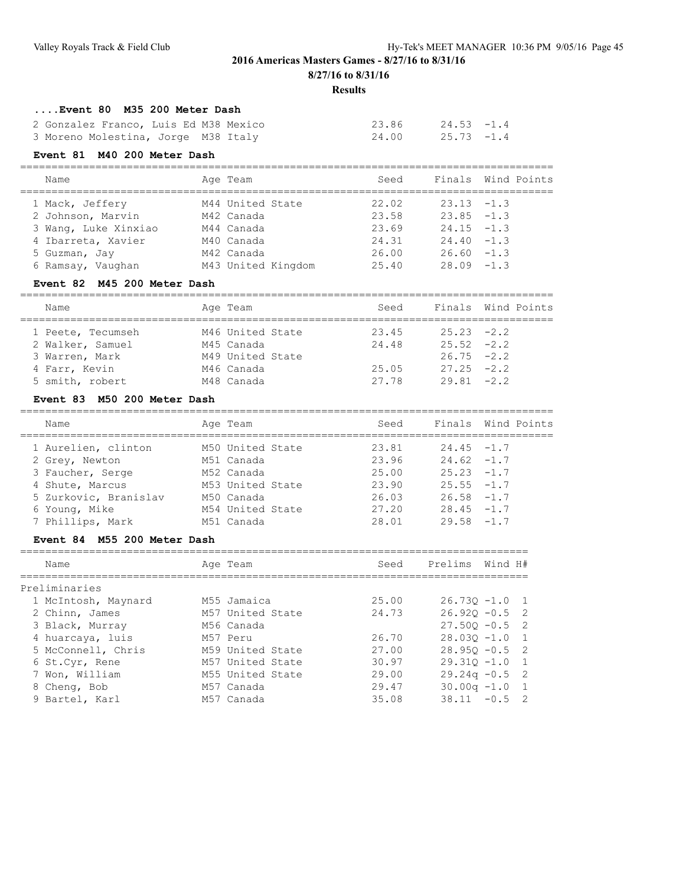**8/27/16 to 8/31/16**

#### **Results**

## **....Event 80 M35 200 Meter Dash**

| 2 Gonzalez Franco, Luis Ed M38 Mexico |  | $23.86$ $24.53$ $-1.4$ |  |
|---------------------------------------|--|------------------------|--|
| 3 Moreno Molestina, Jorge M38 Italy   |  | $24.00$ $25.73$ $-1.4$ |  |

## **Event 81 M40 200 Meter Dash**

| Name                 | Age Team           | Seed  |               | Finals Wind Points |
|----------------------|--------------------|-------|---------------|--------------------|
| 1 Mack, Jeffery      | M44 United State   | 22.02 | $23.13 - 1.3$ |                    |
| 2 Johnson, Marvin    | M42 Canada         | 23.58 | $23.85 -1.3$  |                    |
| 3 Wang, Luke Xinxiao | M44 Canada         | 23.69 | $24.15 - 1.3$ |                    |
| 4 Ibarreta, Xavier   | M40 Canada         | 24.31 | $24.40 -1.3$  |                    |
| 5 Guzman, Jay        | M42 Canada         | 26.00 | $26.60 - 1.3$ |                    |
| 6 Ramsay, Vaughan    | M43 United Kingdom | 25.40 | $28.09 - 1.3$ |                    |

=====================================================================================

## **Event 82 M45 200 Meter Dash**

| Name              | Age Team         | Seed  |               | Finals Wind Points |
|-------------------|------------------|-------|---------------|--------------------|
| 1 Peete, Tecumseh | M46 United State | 23.45 | $25.23 -2.2$  |                    |
| 2 Walker, Samuel  | M45 Canada       | 24.48 | $25.52 -2.2$  |                    |
| 3 Warren, Mark    | M49 United State |       | $26.75 -2.2$  |                    |
| 4 Farr, Kevin     | M46 Canada       | 25.05 | $27.25 -2.2$  |                    |
| 5 smith, robert   | M48 Canada       | 27.78 | $29.81 - 2.2$ |                    |

## **Event 83 M50 200 Meter Dash**

|                                                  | Finals Wind Points |
|--------------------------------------------------|--------------------|
| Seed<br>Age Team<br>Name                         |                    |
| 1 Aurelien, clinton<br>M50 United State<br>23.81 | $24.45 - 1.7$      |
| 23.96<br>M51 Canada<br>2 Grey, Newton            | $24.62 - 1.7$      |
| 3 Faucher, Serge<br>25.00<br>M52 Canada          | $25.23 -1.7$       |
| 23.90<br>M53 United State<br>4 Shute, Marcus     | $25.55 - 1.7$      |
| 5 Zurkovic, Branislav<br>26.03<br>M50 Canada     | $26.58 - 1.7$      |
| 27.20<br>6 Young, Mike<br>M54 United State       | $28.45 - 1.7$      |
| 7 Phillips, Mark<br>28.01<br>M51 Canada          | $29.58 - 1.7$      |

#### **Event 84 M55 200 Meter Dash**

| Name                | Age Team         | Seed  | Prelims          | Wind H# |                |
|---------------------|------------------|-------|------------------|---------|----------------|
| Preliminaries       |                  |       |                  |         |                |
| 1 McIntosh, Maynard | M55 Jamaica      | 25.00 | $26.730 - 1.0$ 1 |         |                |
| 2 Chinn, James      | M57 United State | 24.73 | $26.920 - 0.5$ 2 |         |                |
| 3 Black, Murray     | M56 Canada       |       | $27.500 - 0.5$   |         | - 2            |
| 4 huarcaya, luis    | M57 Peru         | 26.70 | $28.030 - 1.0$   |         | $\overline{1}$ |
| 5 McConnell, Chris  | M59 United State | 27.00 | $28.950 - 0.5$ 2 |         |                |
| 6 St.Cyr, Rene      | M57 United State | 30.97 | $29.310 - 1.0$   |         | $\overline{1}$ |
| 7 Won, William      | M55 United State | 29.00 | $29.24q - 0.5$ 2 |         |                |
| 8 Cheng, Bob        | M57 Canada       | 29.47 | $30.00q -1.0$    |         | $\overline{1}$ |
| 9 Bartel, Karl      | M57 Canada       | 35.08 | $38.11 - 0.5$ 2  |         |                |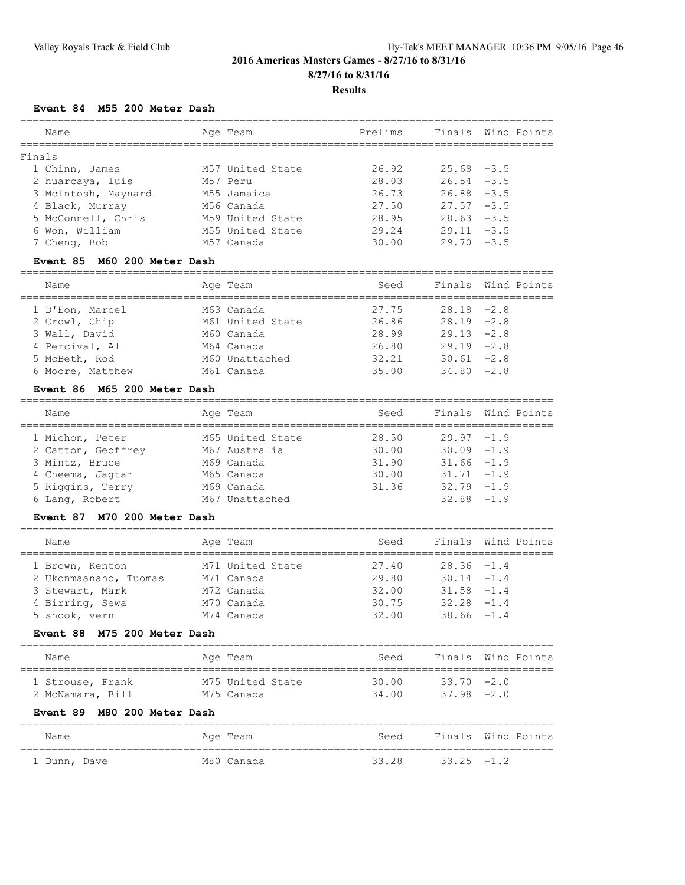**Results**

## **Event 84 M55 200 Meter Dash**

| Name                | Age Team         | Prelims |               | Finals Wind Points |
|---------------------|------------------|---------|---------------|--------------------|
| Finals              |                  |         |               |                    |
| 1 Chinn, James      | M57 United State | 26.92   | $25.68 - 3.5$ |                    |
| 2 huarcaya, luis    | M57 Peru         | 28.03   | $26.54 - 3.5$ |                    |
| 3 McIntosh, Maynard | M55 Jamaica      | 26.73   | $26.88 - 3.5$ |                    |
| 4 Black, Murray     | M56 Canada       | 27.50   | $27.57 - 3.5$ |                    |
| 5 McConnell, Chris  | M59 United State | 28.95   | $28.63 - 3.5$ |                    |
| 6 Won, William      | M55 United State | 29.24   | $29.11 - 3.5$ |                    |
| 7 Cheng, Bob        | M57 Canada       | 30.00   | $29.70 - 3.5$ |                    |
|                     |                  |         |               |                    |

## **Event 85 M60 200 Meter Dash**

| Name             | Age Team         | Seed  |               | Finals Wind Points |
|------------------|------------------|-------|---------------|--------------------|
|                  |                  |       |               |                    |
| 1 D'Eon, Marcel  | M63 Canada       | 27.75 | $28.18 - 2.8$ |                    |
| 2 Crowl, Chip    | M61 United State | 26.86 | $28.19 - 2.8$ |                    |
| 3 Wall, David    | M60 Canada       | 28.99 | $29.13 -2.8$  |                    |
| 4 Percival, Al   | M64 Canada       | 26.80 | $29.19 - 2.8$ |                    |
| 5 McBeth, Rod    | M60 Unattached   | 32.21 | $30.61 - 2.8$ |                    |
| 6 Moore, Matthew | M61 Canada       | 35.00 | $34.80 -2.8$  |                    |

## **Event 86 M65 200 Meter Dash**

| Name               | Age Team         | Seed  |               | Finals Wind Points |
|--------------------|------------------|-------|---------------|--------------------|
| 1 Michon, Peter    | M65 United State | 28.50 | $29.97 - 1.9$ |                    |
| 2 Catton, Geoffrey | M67 Australia    | 30.00 | $30.09 - 1.9$ |                    |
| 3 Mintz, Bruce     | M69 Canada       | 31.90 | $31.66 - 1.9$ |                    |
| 4 Cheema, Jaqtar   | M65 Canada       | 30.00 | $31.71 - 1.9$ |                    |
| 5 Riggins, Terry   | M69 Canada       | 31.36 | $32.79 - 1.9$ |                    |
| 6 Lang, Robert     | M67 Unattached   |       | $32.88 - 1.9$ |                    |
|                    |                  |       |               |                    |

## **Event 87 M70 200 Meter Dash**

| Name                  | Age Team         | Seed  |               | Finals Wind Points |
|-----------------------|------------------|-------|---------------|--------------------|
| 1 Brown, Kenton       | M71 United State | 27.40 | $28.36 - 1.4$ |                    |
| 2 Ukonmaanaho, Tuomas | M71 Canada       | 29.80 | $30.14 - 1.4$ |                    |
| 3 Stewart, Mark       | M72 Canada       | 32.00 | $31.58 - 1.4$ |                    |
| 4 Birring, Sewa       | M70 Canada       | 30.75 | $32.28 - 1.4$ |                    |
| 5 shook, vern         | M74 Canada       | 32.00 | $38.66 - 1.4$ |                    |

## **Event 88 M75 200 Meter Dash**

| Name             | Age Team         | Seed  |               | Finals Wind Points |
|------------------|------------------|-------|---------------|--------------------|
| 1 Strouse, Frank | M75 United State | 30.00 | $33.70 -2.0$  |                    |
| 2 McNamara, Bill | M75 Canada       | 34.00 | $37.98 - 2.0$ |                    |

## **Event 89 M80 200 Meter Dash**

| Name         |  | Age Team   | Seed  |              | Finals Wind Points |
|--------------|--|------------|-------|--------------|--------------------|
| 1 Dunn, Dave |  | M80 Canada | 33.28 | $33.25 -1.2$ |                    |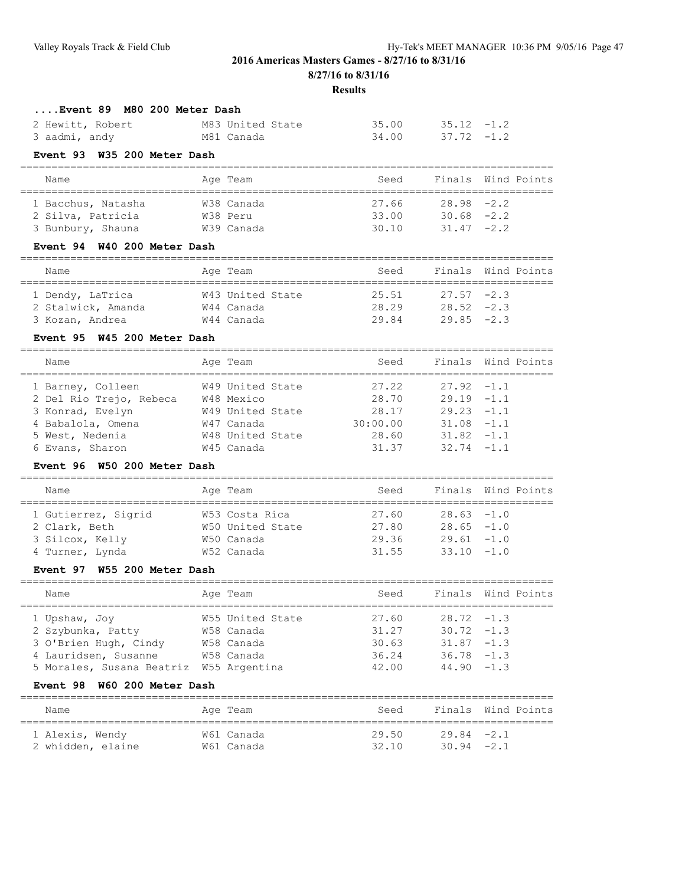| л<br>ı<br>п<br>۰,<br>I<br>۰. |
|------------------------------|
|------------------------------|

| Event 89 M80 200 Meter Dash                            |                          |                    |               |                           |
|--------------------------------------------------------|--------------------------|--------------------|---------------|---------------------------|
| 2 Hewitt, Robert                                       | M83 United State         | 35.00              | $35.12 - 1.2$ |                           |
| 3 aadmi, andy                                          | M81 Canada               | 34.00              | $37.72 - 1.2$ |                           |
| Event 93 W35 200 Meter Dash                            |                          |                    |               |                           |
|                                                        |                          |                    |               |                           |
| Name                                                   | Age Team                 | Seed               |               | Finals Wind Points        |
| 1 Bacchus, Natasha                                     | W38 Canada               | 27.66              | 28.98         | $-2.2$                    |
| 2 Silva, Patricia                                      | W38 Peru                 | 33.00              | $30.68 - 2.2$ |                           |
| 3 Bunbury, Shauna                                      | W39 Canada               | 30.10              | $31.47 -2.2$  |                           |
| Event 94 W40 200 Meter Dash                            |                          |                    |               |                           |
|                                                        |                          |                    |               |                           |
| Name<br>======================                         | Age Team                 | Seed               |               | Finals Wind Points        |
| 1 Dendy, LaTrica                                       | W43 United State         | 25.51              | $27.57 - 2.3$ |                           |
| 2 Stalwick, Amanda                                     | W44 Canada               | 28.29              | $28.52 - 2.3$ |                           |
| 3 Kozan, Andrea                                        | W44 Canada               | 29.84              | $29.85 - 2.3$ |                           |
| Event 95 W45 200 Meter Dash                            |                          |                    |               |                           |
| Name                                                   | Age Team                 | Seed               | Finals        | Wind Points               |
| 1 Barney, Colleen                                      | W49 United State         | 27.22              | 27.92         | $-1.1$                    |
|                                                        |                          | 28.70              | $29.19 - 1.1$ |                           |
| 2 Del Rio Trejo, Rebeca W48 Mexico<br>3 Konrad, Evelyn | W49 United State         | 28.17              | $29.23 -1.1$  |                           |
|                                                        | W47 Canada               | 30:00.00           | $31.08 - 1.1$ |                           |
| 4 Babalola, Omena                                      |                          |                    |               |                           |
| 5 West, Nedenia                                        | W48 United State         | 28.60              | 31.82         | $-1.1$                    |
| 6 Evans, Sharon                                        | W45 Canada               | 31.37              | 32.74         | $-1.1$                    |
| Event 96 W50 200 Meter Dash                            |                          |                    |               |                           |
| Name                                                   | Age Team                 | Seed               |               | Finals Wind Points        |
| 1 Gutierrez, Sigrid                                    | W53 Costa Rica           | :========<br>27.60 | 28.63         | $-1.0$                    |
| 2 Clark, Beth                                          | W50 United State         | 27.80              | $28.65 - 1.0$ |                           |
| 3 Silcox, Kelly                                        | W50 Canada               | 29.36              | $29.61 - 1.0$ |                           |
| 4 Turner, Lynda                                        | W52 Canada               | 31.55              | 33.10         | $-1.0$                    |
| Event 97 W55 200 Meter Dash                            |                          |                    |               |                           |
|                                                        |                          |                    |               |                           |
| Name                                                   | Age Team                 | Seed               | Finals        | Wind Points               |
| 1 Upshaw, Joy                                          | W55 United State         | 27.60              | $28.72 - 1.3$ |                           |
| 2 Szybunka, Patty                                      | W58 Canada               | 31.27              | $30.72 - 1.3$ |                           |
| 3 O'Brien Hugh, Cindy                                  | W58 Canada               | 30.63              | 31.87         | $-1.3$                    |
| 4 Lauridsen, Susanne                                   | W58 Canada               | 36.24              | $36.78 - 1.3$ |                           |
| 5 Morales, Susana Beatriz W55 Argentina                |                          | 42.00              | 44.90         | $-1.3$                    |
| Event 98 W60 200 Meter Dash                            |                          |                    |               |                           |
| Name                                                   | ========<br>Age Team     | Seed               |               | Finals Wind Points        |
|                                                        |                          | 29.50              | 29.84         | :======================== |
| 1 Alexis, Wendy<br>2 whidden, elaine                   | W61 Canada<br>W61 Canada | 32.10              | $30.94 -2.1$  | $-2.1$                    |
|                                                        |                          |                    |               |                           |
|                                                        |                          |                    |               |                           |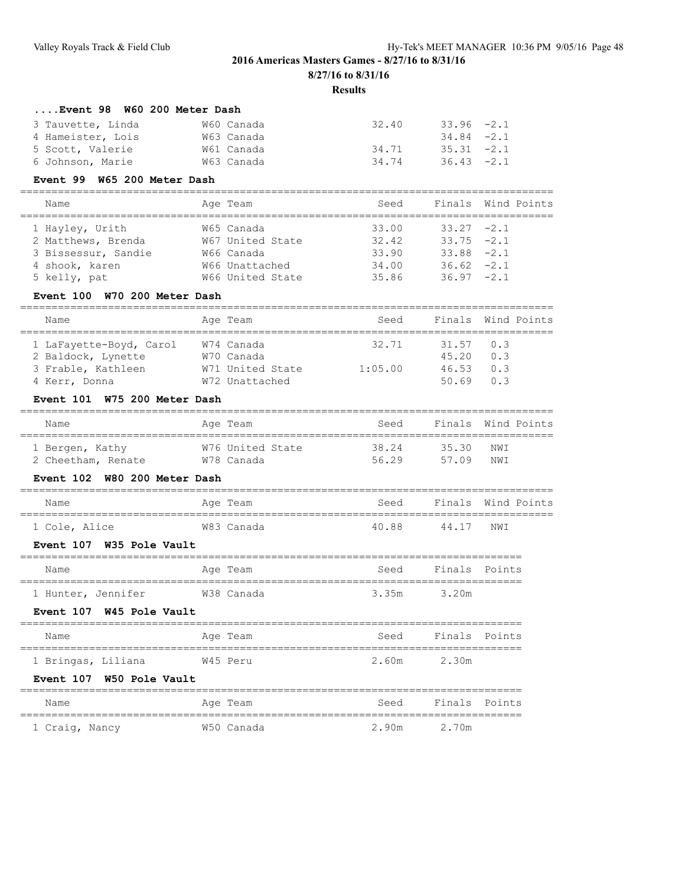## **Results**

=====================================================================================

# **....Event 98 W60 200 Meter Dash**<br>3 Tauvette, Linda M60 Canada

| 3 Tauvette, Linda | W60 Canada | 32.40 | 33.96 -2.1    |  |
|-------------------|------------|-------|---------------|--|
| 4 Hameister, Lois | W63 Canada |       | $34.84 - 2.1$ |  |
| 5 Scott, Valerie  | W61 Canada | 34.71 | $35.31 -2.1$  |  |
| 6 Johnson, Marie  | W63 Canada | 34.74 | $36.43 -2.1$  |  |

#### **Event 99 W65 200 Meter Dash**

| Name                | Age Team         | Seed  |               | Finals Wind Points |
|---------------------|------------------|-------|---------------|--------------------|
| 1 Hayley, Urith     | W65 Canada       | 33.00 | $33.27 -2.1$  |                    |
| 2 Matthews, Brenda  | W67 United State | 32.42 | $33.75 -2.1$  |                    |
| 3 Bissessur, Sandie | W66 Canada       | 33.90 | $33.88 - 2.1$ |                    |
| 4 shook, karen      | W66 Unattached   | 34.00 | $36.62 -2.1$  |                    |
| 5 kelly, pat        | W66 United State | 35.86 | $36.97 -2.1$  |                    |

## **Event 100 W70 200 Meter Dash**

| Name                    | Age Team         | Seed    |             | Finals Wind Points |
|-------------------------|------------------|---------|-------------|--------------------|
| 1 LaFayette-Boyd, Carol | W74 Canada       | 32.71   | $31.57$ 0.3 |                    |
| 2 Baldock, Lynette      | W70 Canada       |         | 45.20       | 0.3                |
| 3 Frable, Kathleen      | W71 United State | 1:05.00 | 46.53       | 0.3                |
| 4 Kerr, Donna           | W72 Unattached   |         | 50 69       | 0 <sup>3</sup>     |

## **Event 101 W75 200 Meter Dash**

| Name               | Age Team         | Seed  |       | Finals Wind Points |
|--------------------|------------------|-------|-------|--------------------|
| 1 Bergen, Kathy    | W76 United State | 38.24 | 35.30 | NWI                |
| 2 Cheetham, Renate | W78 Canada       | 56.29 | 57 09 | NW T               |

#### **Event 102 W80 200 Meter Dash**

| Name          | Age Team   | Seed  | Finals Wind Points |     |  |
|---------------|------------|-------|--------------------|-----|--|
| 1 Cole, Alice | W83 Canada | 40.88 | 44 17              | NWI |  |

#### **Event 107 W35 Pole Vault**

| Name               | Aqe Team   | Seed  | Finals Points |  |  |  |  |  |  |
|--------------------|------------|-------|---------------|--|--|--|--|--|--|
|                    |            |       |               |  |  |  |  |  |  |
| 1 Hunter, Jennifer | W38 Canada | 3.35m | 3.20m         |  |  |  |  |  |  |

## **Event 107 W45 Pole Vault**

| Name               | Age Team | Seed  | Finals Points |
|--------------------|----------|-------|---------------|
|                    |          |       |               |
| 1 Bringas, Liliana | W45 Peru | 2.60m | 2.30m         |

#### **Event 107 W50 Pole Vault**

| Name           |  | Age Team   | Seed  | Finals Points |  |
|----------------|--|------------|-------|---------------|--|
| 1 Craig, Nancy |  | W50 Canada | 2.90m | 2.70m         |  |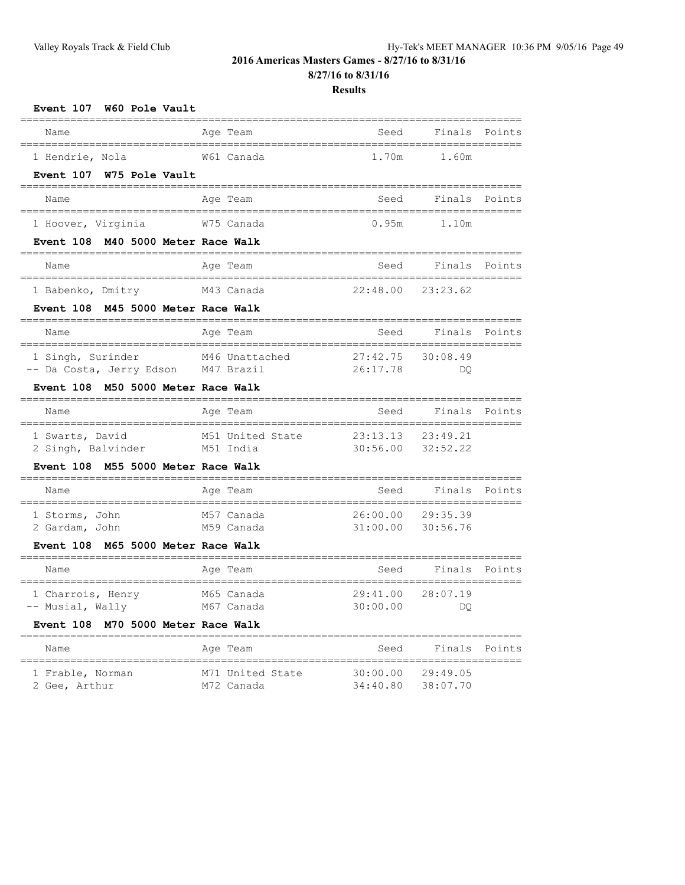**8/27/16 to 8/31/16**

## **Results**

| Event 107 W60 Pole Vault                                                  |                      |                                         |               |                |
|---------------------------------------------------------------------------|----------------------|-----------------------------------------|---------------|----------------|
| Name                                                                      | Age Team             | Seed                                    | Finals        | Points         |
| 1 Hendrie, Nola                                                           | W61 Canada           | 1.70m                                   | 1.60m         |                |
| Event 107 W75 Pole Vault                                                  |                      | -----------------------------           |               |                |
| Name                                                                      | Age Team             | Seed                                    |               | Finals Points  |
| 1 Hoover, Virginia                                                        | W75 Canada           | 0.95m                                   | 1.10m         |                |
| Event 108 M40 5000 Meter Race Walk                                        |                      |                                         |               |                |
| Name                                                                      | Age Team             | Seed                                    |               | Finals Points  |
| 1 Babenko, Dmitry                                                         | M43 Canada           | 22:48.00 23:23.62                       |               |                |
| Event 108 M45 5000 Meter Race Walk                                        |                      |                                         |               |                |
| Name                                                                      | Age Team             | Seed                                    |               | Finals Points  |
| 1 Singh, Surinder                                                         | M46 Unattached       | 27:42.75                                | 30:08.49      |                |
| -- Da Costa, Jerry Edson M47 Brazil<br>Event 108 M50 5000 Meter Race Walk |                      | 26:17.78                                | DO.           |                |
|                                                                           | -------------------- |                                         |               | -------------- |
| Name                                                                      | Age Team             | Seed                                    |               | Finals Points  |
| 1 Swarts, David                                                           | M51 United State     | 23:13.13                                | 23:49.21      |                |
| 2 Singh, Balvinder M51 India<br>Event 108 M55 5000 Meter Race Walk        |                      | 30:56.00                                | 32:52.22      |                |
|                                                                           |                      |                                         |               |                |
| Name                                                                      | Age Team             | Seed                                    |               | Finals Points  |
| 1 Storms, John                                                            | M57 Canada           | 26:00.00 29:35.39                       |               |                |
| 2 Gardam, John<br>Event 108 M65 5000 Meter Race Walk                      | M59 Canada           | 31:00.00                                | 30:56.76      |                |
|                                                                           |                      |                                         |               |                |
| Name<br>=====================================                             | Age Team             | Seed<br>=============================== |               | Finals Points  |
| 1 Charrois, Henry                                                         | M65 Canada           | 29:41.00                                | 28:07.19      |                |
| -- Musial, Wally                                                          | M67 Canada           | 30:00.00                                | DQ.           |                |
| Event 108 M70 5000 Meter Race Walk                                        |                      |                                         |               |                |
| Name<br>-----------------------------------                               | Age Team             | Seed                                    | Finals Points |                |
| 1 Frable, Norman                                                          | M71 United State     | 30:00.00                                | 29:49.05      |                |

2 Gee, Arthur M72 Canada 34:40.80 38:07.70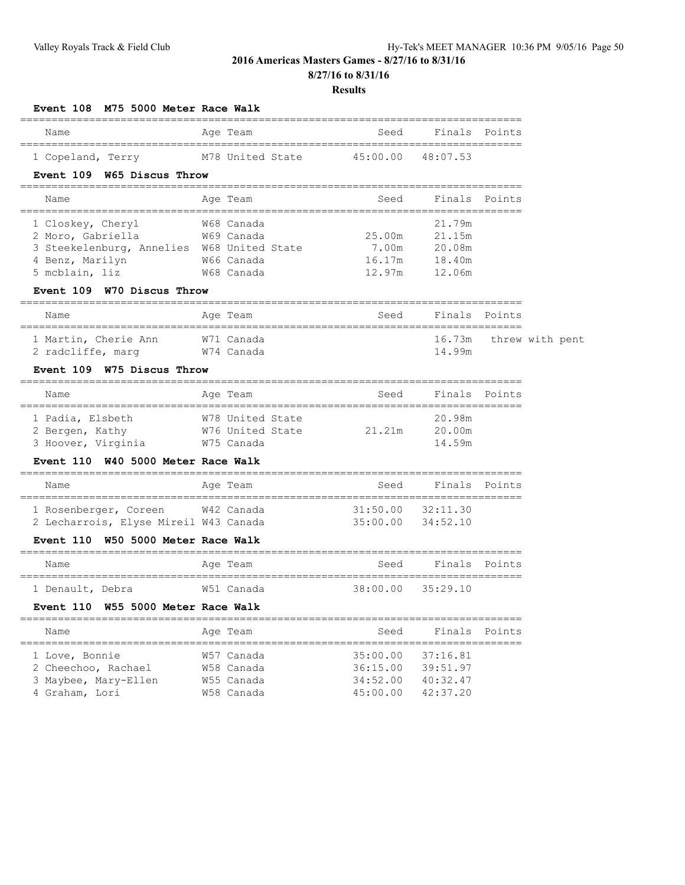**8/27/16 to 8/31/16**

| M75 5000 Meter Race Walk<br>Event 108                   |                                |                                    |                                         |               |                 |
|---------------------------------------------------------|--------------------------------|------------------------------------|-----------------------------------------|---------------|-----------------|
| Name                                                    | Age Team                       | Seed                               | Finals Points                           |               |                 |
| ================================<br>1 Copeland, Terry   | M78 United State               | 45:00.00                           | =========<br>48:07.53                   |               |                 |
| Event 109 W65 Discus Throw                              |                                |                                    |                                         |               |                 |
| Name                                                    | Age Team                       | ________________________<br>Seed   |                                         | Finals Points |                 |
| ==================================<br>1 Closkey, Cheryl | W68 Canada                     | ================================== | 21.79m                                  |               |                 |
| 2 Moro, Gabriella                                       | W69 Canada                     | 25.00m                             | 21.15m                                  |               |                 |
| 3 Steekelenburg, Annelies W68 United State              |                                | 7.00m                              | 20.08m                                  |               |                 |
| 4 Benz, Marilyn                                         | W66 Canada                     | 16.17m                             | 18.40m                                  |               |                 |
| 5 mcblain, liz                                          | W68 Canada                     | 12.97m                             | 12.06m                                  |               |                 |
| Event 109 W70 Discus Throw                              | ==============                 |                                    |                                         |               |                 |
| Name<br>------------------------                        | Age Team<br>------------------ | Seed                               | Finals<br>============================= | Points        |                 |
| 1 Martin, Cherie Ann                                    | W71 Canada                     |                                    | 16.73m                                  |               | threw with pent |
| 2 radcliffe, marg                                       | W74 Canada                     |                                    | 14.99m                                  |               |                 |
| Event 109 W75 Discus Throw                              |                                |                                    |                                         |               |                 |
| Name                                                    | Age Team                       | Seed                               |                                         | Finals Points |                 |
| 1 Padia, Elsbeth                                        | W78 United State               |                                    | 20.98m                                  |               |                 |
| 2 Bergen, Kathy                                         | W76 United State               | 21.21m                             | 20.00m                                  |               |                 |
| 3 Hoover, Virginia                                      | W75 Canada                     |                                    | 14.59m                                  |               |                 |
| Event 110 W40 5000 Meter Race Walk                      |                                |                                    |                                         |               |                 |
| Name                                                    | Age Team                       | Seed                               | Finals                                  | Points        |                 |
| 1 Rosenberger, Coreen                                   | W42 Canada                     | 31:50.00                           | 32:11.30                                |               |                 |
| 2 Lecharrois, Elyse Mireil W43 Canada                   |                                | 35:00.00                           | 34:52.10                                |               |                 |
| Event 110 W50 5000 Meter Race Walk                      |                                |                                    |                                         |               |                 |
| Name                                                    | Age Team                       | Seed                               | Finals                                  | Points        |                 |
| 1 Denault, Debra                                        | W51 Canada                     | 38:00.00                           | 35:29.10                                |               |                 |
| Event 110 W55 5000 Meter Race Walk                      |                                |                                    |                                         |               |                 |
| Name                                                    | Age Team                       | Seed                               | Finals                                  | Points        |                 |
| ==============<br>1 Love, Bonnie                        | W57 Canada                     | 35:00.00                           | 37:16.81                                |               |                 |
| 2 Cheechoo, Rachael                                     | W58 Canada                     | 36:15.00                           | 39:51.97                                |               |                 |
| 3 Maybee, Mary-Ellen                                    | W55 Canada                     | 34:52.00                           | 40:32.47                                |               |                 |
| 4 Graham, Lori                                          | W58 Canada                     | 45:00.00                           | 42:37.20                                |               |                 |
|                                                         |                                |                                    |                                         |               |                 |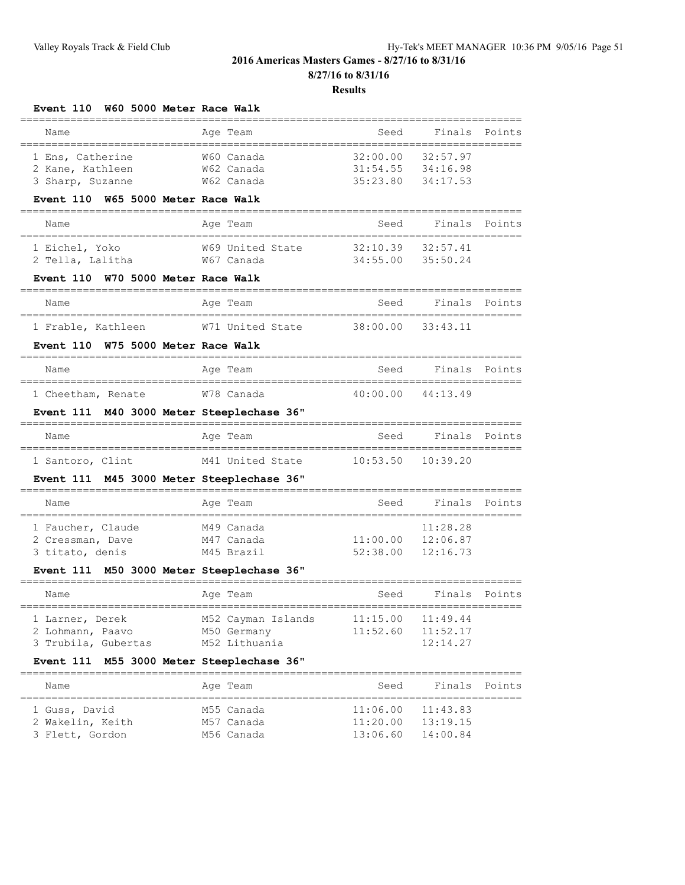#### **Results**

| Event 110 W60 5000 Meter Race Walk                                             |                                                                                                   |                      |                                           |        |
|--------------------------------------------------------------------------------|---------------------------------------------------------------------------------------------------|----------------------|-------------------------------------------|--------|
| Name                                                                           | Age Team                                                                                          | Seed                 | Finals                                    | Points |
| 1 Ens, Catherine<br>2 Kane, Kathleen<br>3 Sharp, Suzanne                       | W60 Canada<br>W62 Canada<br>W62 Canada                                                            | 32:00.00<br>35:23.80 | 32:57.97<br>31:54.55 34:16.98<br>34:17.53 |        |
| Event 110 W65 5000 Meter Race Walk                                             |                                                                                                   |                      |                                           |        |
| Name                                                                           | Age Team                                                                                          | Seed                 | Finals                                    | Points |
| 1 Eichel, Yoko<br>2 Tella, Lalitha<br>Event 110 W70 5000 Meter Race Walk       | W69 United State<br>W67 Canada                                                                    | 32:10.39             | 32:57.41<br>34:55.00 35:50.24             |        |
|                                                                                |                                                                                                   |                      |                                           |        |
| Name                                                                           | Age Team                                                                                          | Seed                 | Finals                                    | Points |
| 1 Frable, Kathleen<br>Event 110 W75 5000 Meter Race Walk                       | W71 United State                                                                                  | 38:00.00             | 33:43.11                                  |        |
| Name                                                                           | Age Team                                                                                          | Seed                 | Finals                                    | Points |
| 1 Cheetham, Renate                                                             | W78 Canada                                                                                        |                      | 40:00.00 44:13.49                         |        |
|                                                                                |                                                                                                   |                      |                                           |        |
| M40 3000 Meter Steeplechase 36"<br><b>Event 111</b>                            |                                                                                                   |                      |                                           |        |
| Name                                                                           | Age Team                                                                                          | Seed                 | Finals                                    | Points |
| 1 Santoro, Clint                                                               | M41 United State                                                                                  | 10:53.50             | 10:39.20                                  |        |
| Event 111                                                                      | M45 3000 Meter Steeplechase 36"                                                                   |                      |                                           |        |
| Name                                                                           | Age Team                                                                                          | Seed                 | Finals                                    | Points |
| 1 Faucher, Claude<br>2 Cressman, Dave<br>3 titato, denis                       | M49 Canada<br>M47 Canada<br>M45 Brazil                                                            | 11:00.00<br>52:38.00 | 11:28.28<br>12:06.87<br>12:16.73          |        |
| Event 111 M50 3000 Meter Steeplechase 36"<br>Name                              |                                                                                                   | Seed                 | Finals                                    | Points |
| 1 Larner, Derek<br>2 Lohmann, Paavo<br>3 Trubila, Gubertas<br><b>Event 111</b> | Age Team<br>M52 Cayman Islands<br>M50 Germany<br>M52 Lithuania<br>M55 3000 Meter Steeplechase 36" | 11:15.00<br>11:52.60 | 11:49.44<br>11:52.17<br>12:14.27          |        |
| Name                                                                           | Age Team                                                                                          | Seed                 | Finals                                    | Points |

 1 Guss, David M55 Canada 11:06.00 11:43.83 2 Wakelin, Keith M57 Canada 11:20.00 13:19.15 3 Flett, Gordon M56 Canada 13:06.60 14:00.84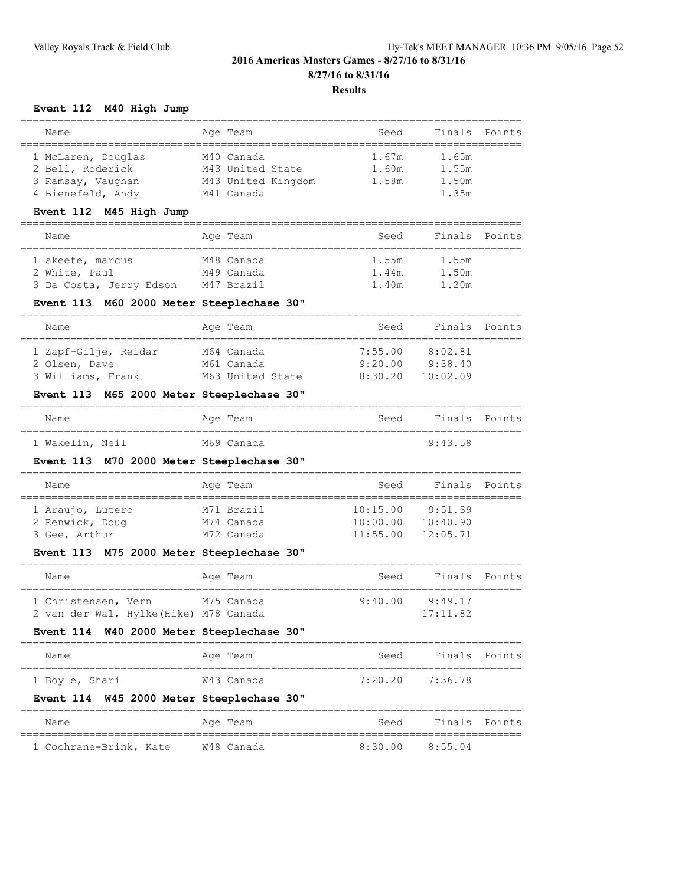## **Event 112 M40 High Jump**

| Name               | Age Team           | Seed  | Finals Points |  |
|--------------------|--------------------|-------|---------------|--|
|                    |                    |       |               |  |
| 1 McLaren, Douglas | M40 Canada         | 1.67m | 1.65m         |  |
| 2 Bell, Roderick   | M43 United State   | 1.60m | 1.55m         |  |
| 3 Ramsay, Vaughan  | M43 United Kingdom | 1.58m | 1.50m         |  |
| 4 Bienefeld, Andy  | M41 Canada         |       | 1.35m         |  |

## **Event 112 M45 High Jump**

| Name                    | Age Team   | Seed  | Finals Points |  |
|-------------------------|------------|-------|---------------|--|
|                         |            |       |               |  |
| 1 skeete, marcus        | M48 Canada | 1.55m | 1.55m         |  |
| 2 White, Paul           | M49 Canada | 1.44m | 1.50m         |  |
| 3 Da Costa, Jerry Edson | M47 Brazil | 1.40m | 1.20m         |  |

#### **Event 113 M60 2000 Meter Steeplechase 30"**

| Name                 | Age Team         | Seed    | Finals Points |  |
|----------------------|------------------|---------|---------------|--|
|                      |                  |         |               |  |
| 1 Zapf-Gilje, Reidar | M64 Canada       | 7:55.00 | 8:02.81       |  |
| 2 Olsen, Dave        | M61 Canada       | 9:20.00 | 9:38.40       |  |
| 3 Williams, Frank    | M63 United State | 8:30.20 | 10:02.09      |  |
|                      |                  |         |               |  |

## **Event 113 M65 2000 Meter Steeplechase 30"**

| Name            | Age Team   | Seed | Finals Points |  |
|-----------------|------------|------|---------------|--|
| 1 Wakelin, Neil | M69 Canada |      | 9:43.58       |  |

## **Event 113 M70 2000 Meter Steeplechase 30"**

| Name             | Age Team   | Seed                  | Finals Points |  |
|------------------|------------|-----------------------|---------------|--|
|                  |            |                       |               |  |
| 1 Araujo, Lutero | M71 Brazil | 10:15.00              | 9:51.39       |  |
| 2 Renwick, Doug  | M74 Canada | 10:00.00              | 10:40.90      |  |
| 3 Gee, Arthur    | M72 Canada | $11:55.00$ $12:05.71$ |               |  |

## **Event 113 M75 2000 Meter Steeplechase 30"**

| Name                                  |  | Age Team   | Seed    | Finals Points |  |
|---------------------------------------|--|------------|---------|---------------|--|
|                                       |  |            |         |               |  |
| 1 Christensen, Vern                   |  | M75 Canada | 9:40.00 | 9:49.17       |  |
| 2 van der Wal, Hylke(Hike) M78 Canada |  |            |         | 17:11.82      |  |

## **Event 114 W40 2000 Meter Steeplechase 30"**

| Name           | Age Team   | Seed            | Finals Points |  |
|----------------|------------|-----------------|---------------|--|
| 1 Boyle, Shari | W43 Canada | 7:20.20 7:36.78 |               |  |

## **Event 114 W45 2000 Meter Steeplechase 30"**

| Name                   | Age Team   | Seed                | Finals Points |  |
|------------------------|------------|---------------------|---------------|--|
| 1 Cochrane-Brink, Kate | W48 Canada | $8:30.00$ $8:55.04$ |               |  |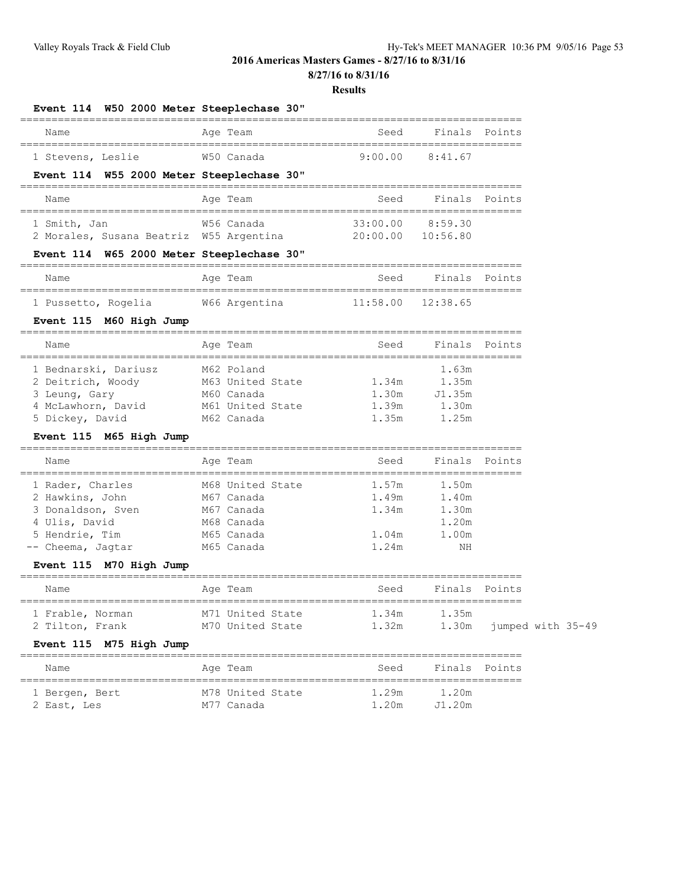**8/27/16 to 8/31/16**

#### **Results**

|              |  |  | Event 114 W50 2000 Meter Steeplechase 30" |                                                                       |  |
|--------------|--|--|-------------------------------------------|-----------------------------------------------------------------------|--|
|              |  |  |                                           |                                                                       |  |
| $\mathbf{A}$ |  |  | $\sim$ $\sim$ $\sim$ $\sim$ $\sim$ $\sim$ | $\alpha$ , and $\alpha$ is the set of $\alpha$ is the set of $\alpha$ |  |

| Name              | Age Team   | Seed            | Finals Points |  |
|-------------------|------------|-----------------|---------------|--|
|                   |            |                 |               |  |
| 1 Stevens, Leslie | W50 Canada | 9:00.00 8:41.67 |               |  |

## **Event 114 W55 2000 Meter Steeplechase 30"**

| Name                                    | Age Team   | Seed                  | Finals Points |  |
|-----------------------------------------|------------|-----------------------|---------------|--|
| 1 Smith, Jan                            | W56 Canada | 33:00.00              | 8.5930        |  |
| 2 Morales, Susana Beatriz W55 Argentina |            | $20:00.00$ $10:56.80$ |               |  |

## **Event 114 W65 2000 Meter Steeplechase 30"**

| Name                |  | Age Team      | Seed                  | Finals Points |  |
|---------------------|--|---------------|-----------------------|---------------|--|
|                     |  |               |                       |               |  |
| 1 Pussetto, Rogelia |  | W66 Argentina | $11:58.00$ $12:38.65$ |               |  |

## **Event 115 M60 High Jump**

| Name                 | Age Team         | Seed  | Finals Points |  |
|----------------------|------------------|-------|---------------|--|
| 1 Bednarski, Dariusz | M62 Poland       |       | 1.63m         |  |
| 2 Deitrich, Woody    | M63 United State | 1.34m | 1.35m         |  |
| 3 Leung, Gary        | M60 Canada       | 1.30m | J1.35m        |  |
| 4 McLawhorn, David   | M61 United State | 1.39m | 1.30m         |  |
| 5 Dickey, David      | M62 Canada       | 1.35m | 1.25m         |  |

## **Event 115 M65 High Jump**

| Name              |  | Age Team         | Seed  | Finals Points |  |
|-------------------|--|------------------|-------|---------------|--|
| 1 Rader, Charles  |  | M68 United State | 1.57m | 1.50m         |  |
| 2 Hawkins, John   |  | M67 Canada       | 1.49m | 1.40m         |  |
| 3 Donaldson, Sven |  | M67 Canada       | 1.34m | 1.30m         |  |
| 4 Ulis, David     |  | M68 Canada       |       | 1.20m         |  |
| 5 Hendrie, Tim    |  | M65 Canada       | 1.04m | 1.00m         |  |
| -- Cheema, Jaqtar |  | M65 Canada       | 1.24m | NΗ            |  |

## **Event 115 M70 High Jump**

| Name             | Age Team         | Seed  | Finals Points |                         |
|------------------|------------------|-------|---------------|-------------------------|
|                  |                  |       |               |                         |
| 1 Frable, Norman | M71 United State | 1.34m | 1.35m         |                         |
| 2 Tilton, Frank  | M70 United State | 1.32m |               | 1.30m jumped with 35-49 |

## **Event 115 M75 High Jump**

| Name                          | Age Team                       | Seed           | Finals Points   |  |  |  |
|-------------------------------|--------------------------------|----------------|-----------------|--|--|--|
| 1 Bergen, Bert<br>2 East, Les | M78 United State<br>M77 Canada | 1.29m<br>1.20m | 1.20m<br>J1.20m |  |  |  |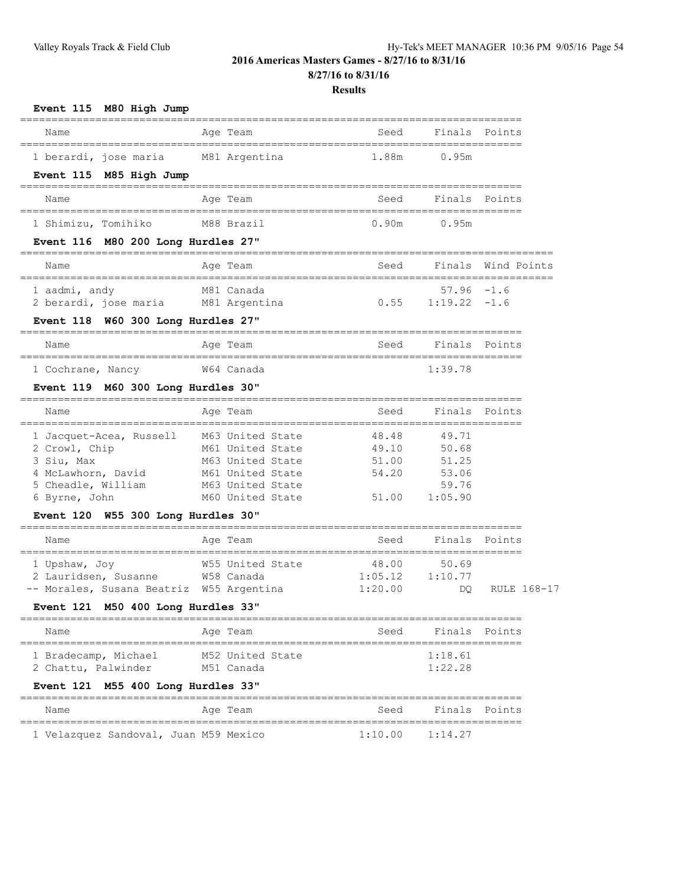**8/27/16 to 8/31/16**

| Event 115 M80 High Jump                                                        | ======                               |                                              |                |                    |  |
|--------------------------------------------------------------------------------|--------------------------------------|----------------------------------------------|----------------|--------------------|--|
| Name                                                                           | Age Team                             | Seed                                         | Finals         | Points             |  |
| 1 berardi, jose maria                                                          | M81 Argentina                        | 1.88m                                        | 0.95m          |                    |  |
| Event 115 M85 High Jump                                                        |                                      |                                              |                |                    |  |
| Name                                                                           | Age Team                             | Seed                                         | Finals         | Points             |  |
| 1 Shimizu, Tomihiko                                                            | M88 Brazil                           | 0.90m                                        | 0.95m          |                    |  |
| Event 116 M80 200 Long Hurdles 27"                                             |                                      |                                              |                |                    |  |
| Name                                                                           | Age Team                             | Seed                                         |                | Finals Wind Points |  |
| 1 aadmi, andy                                                                  | M81 Canada                           |                                              | $57.96 -1.6$   |                    |  |
| 2 berardi, jose maria                                                          | M81 Argentina                        | 0.55                                         | 1:19.22        | -1.6               |  |
| Event 118 W60 300 Long Hurdles 27"                                             |                                      |                                              |                |                    |  |
| Name                                                                           | Age Team                             | Seed                                         | Finals         | Points             |  |
| 1 Cochrane, Nancy                                                              | W64 Canada                           |                                              | 1:39.78        |                    |  |
| Event 119 M60 300 Long Hurdles 30"                                             |                                      |                                              |                |                    |  |
| Name                                                                           | Aqe Team                             | Seed                                         | Finals         | Points             |  |
| 1 Jacquet-Acea, Russell                                                        | M63 United State                     | 48.48                                        | 49.71          |                    |  |
| 2 Crowl, Chip                                                                  | M61 United State                     | 49.10                                        | 50.68          |                    |  |
| 3 Siu, Max<br>4 McLawhorn, David                                               | M63 United State<br>M61 United State | 51.00<br>54.20                               | 51.25<br>53.06 |                    |  |
| 5 Cheadle, William                                                             | M63 United State                     |                                              | 59.76          |                    |  |
| 6 Byrne, John                                                                  | M60 United State                     | 51.00                                        | 1:05.90        |                    |  |
| Event 120 W55 300 Long Hurdles 30"                                             |                                      |                                              |                |                    |  |
| Name                                                                           | Age Team                             | Seed<br>____________________________________ | Finals         | Points             |  |
| 1 Upshaw, Joy                                                                  | W55 United State                     | 48.00                                        | 50.69          |                    |  |
| 2 Lauridsen, Susanne                                                           | W58 Canada                           | 1:05.12                                      | 1:10.77        |                    |  |
| -- Morales, Susana Beatriz W55 Argentina<br>Event 121 M50 400 Long Hurdles 33" |                                      | 1:20.00                                      | DO.            | RULE 168-17        |  |
|                                                                                |                                      |                                              |                |                    |  |
| Name                                                                           | Age Team                             | Seed                                         | Finals         | Points             |  |
| 1 Bradecamp, Michael                                                           | M52 United State                     |                                              | 1:18.61        |                    |  |
| 2 Chattu, Palwinder                                                            | M51 Canada                           |                                              | 1:22.28        |                    |  |
| Event 121 M55 400 Long Hurdles 33"                                             |                                      |                                              |                |                    |  |
| Name                                                                           | Age Team                             | Seed                                         | Finals         | Points             |  |
| 1 Velazquez Sandoval, Juan M59 Mexico                                          |                                      | 1:10.00                                      | 1:14.27        |                    |  |
|                                                                                |                                      |                                              |                |                    |  |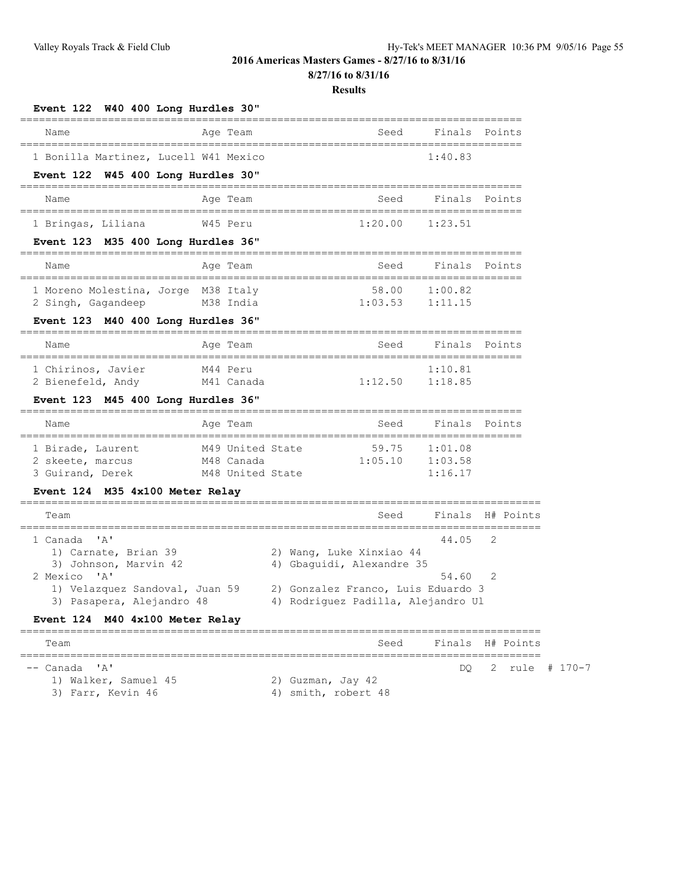**8/27/16 to 8/31/16**

| Finals<br>Name<br>Age Team<br>Seed<br>Points<br>1 Bonilla Martinez, Lucell W41 Mexico<br>1:40.83<br>Event 122 W45 400 Long Hurdles 30"<br>Finals<br>Name<br>Age Team<br>Seed<br>Points<br>1:20.00<br>W45 Peru<br>1:23.51<br>Event 123 M35 400 Long Hurdles 36"<br>========================<br>Finals Points<br>Name<br>Age Team<br>Seed<br>1 Moreno Molestina, Jorge M38 Italy<br>58.00<br>1:00.82<br>1:11.15<br>1:03.53<br>2 Singh, Gagandeep<br>M38 India<br>Event 123 M40 400 Long Hurdles 36"<br>Age Team<br>Finals Points<br>Name<br>Seed<br>M44 Peru<br>1:10.81<br>1:12.50<br>2 Bienefeld, Andy<br>1:18.85<br>M41 Canada<br>Event 123 M45 400 Long Hurdles 36"<br>Age Team<br>Seed<br>Finals Points<br>Name<br>59.75<br>M49 United State<br>1:01.08<br>1:05.10<br>M48 Canada<br>1:03.58<br>M48 United State<br>1:16.17<br>Event 124 M35 4x100 Meter Relay<br>Finals<br>Seed<br>Team<br>2<br>44.05<br>1) Carnate, Brian 39<br>2) Wang, Luke Xinxiao 44<br>3) Johnson, Marvin 42<br>4) Gbaguidi, Alexandre 35<br>54.60<br>2<br>2) Gonzalez Franco, Luis Eduardo 3<br>1) Velazquez Sandoval, Juan 59<br>3) Pasapera, Alejandro 48<br>4) Rodriguez Padilla, Alejandro Ul<br>Event 124 M40 4x100 Meter Relay<br>Finals H# Points<br>Team<br>Seed<br>DO.<br>2<br>1) Walker, Samuel 45<br>2) Guzman, Jay 42 | Event 122 W40 400 Long Hurdles 30"   |                     |              |
|------------------------------------------------------------------------------------------------------------------------------------------------------------------------------------------------------------------------------------------------------------------------------------------------------------------------------------------------------------------------------------------------------------------------------------------------------------------------------------------------------------------------------------------------------------------------------------------------------------------------------------------------------------------------------------------------------------------------------------------------------------------------------------------------------------------------------------------------------------------------------------------------------------------------------------------------------------------------------------------------------------------------------------------------------------------------------------------------------------------------------------------------------------------------------------------------------------------------------------------------------------------------------------------------------------|--------------------------------------|---------------------|--------------|
|                                                                                                                                                                                                                                                                                                                                                                                                                                                                                                                                                                                                                                                                                                                                                                                                                                                                                                                                                                                                                                                                                                                                                                                                                                                                                                            |                                      |                     |              |
|                                                                                                                                                                                                                                                                                                                                                                                                                                                                                                                                                                                                                                                                                                                                                                                                                                                                                                                                                                                                                                                                                                                                                                                                                                                                                                            |                                      |                     |              |
|                                                                                                                                                                                                                                                                                                                                                                                                                                                                                                                                                                                                                                                                                                                                                                                                                                                                                                                                                                                                                                                                                                                                                                                                                                                                                                            |                                      |                     |              |
|                                                                                                                                                                                                                                                                                                                                                                                                                                                                                                                                                                                                                                                                                                                                                                                                                                                                                                                                                                                                                                                                                                                                                                                                                                                                                                            |                                      |                     |              |
|                                                                                                                                                                                                                                                                                                                                                                                                                                                                                                                                                                                                                                                                                                                                                                                                                                                                                                                                                                                                                                                                                                                                                                                                                                                                                                            | 1 Bringas, Liliana                   |                     |              |
|                                                                                                                                                                                                                                                                                                                                                                                                                                                                                                                                                                                                                                                                                                                                                                                                                                                                                                                                                                                                                                                                                                                                                                                                                                                                                                            |                                      |                     |              |
|                                                                                                                                                                                                                                                                                                                                                                                                                                                                                                                                                                                                                                                                                                                                                                                                                                                                                                                                                                                                                                                                                                                                                                                                                                                                                                            |                                      |                     |              |
|                                                                                                                                                                                                                                                                                                                                                                                                                                                                                                                                                                                                                                                                                                                                                                                                                                                                                                                                                                                                                                                                                                                                                                                                                                                                                                            |                                      |                     |              |
|                                                                                                                                                                                                                                                                                                                                                                                                                                                                                                                                                                                                                                                                                                                                                                                                                                                                                                                                                                                                                                                                                                                                                                                                                                                                                                            |                                      |                     |              |
|                                                                                                                                                                                                                                                                                                                                                                                                                                                                                                                                                                                                                                                                                                                                                                                                                                                                                                                                                                                                                                                                                                                                                                                                                                                                                                            |                                      |                     |              |
|                                                                                                                                                                                                                                                                                                                                                                                                                                                                                                                                                                                                                                                                                                                                                                                                                                                                                                                                                                                                                                                                                                                                                                                                                                                                                                            |                                      |                     |              |
|                                                                                                                                                                                                                                                                                                                                                                                                                                                                                                                                                                                                                                                                                                                                                                                                                                                                                                                                                                                                                                                                                                                                                                                                                                                                                                            | 1 Chirinos, Javier                   |                     |              |
|                                                                                                                                                                                                                                                                                                                                                                                                                                                                                                                                                                                                                                                                                                                                                                                                                                                                                                                                                                                                                                                                                                                                                                                                                                                                                                            |                                      |                     |              |
|                                                                                                                                                                                                                                                                                                                                                                                                                                                                                                                                                                                                                                                                                                                                                                                                                                                                                                                                                                                                                                                                                                                                                                                                                                                                                                            |                                      |                     |              |
|                                                                                                                                                                                                                                                                                                                                                                                                                                                                                                                                                                                                                                                                                                                                                                                                                                                                                                                                                                                                                                                                                                                                                                                                                                                                                                            | 1 Birade, Laurent                    |                     |              |
|                                                                                                                                                                                                                                                                                                                                                                                                                                                                                                                                                                                                                                                                                                                                                                                                                                                                                                                                                                                                                                                                                                                                                                                                                                                                                                            | 2 skeete, marcus<br>3 Guirand, Derek |                     |              |
|                                                                                                                                                                                                                                                                                                                                                                                                                                                                                                                                                                                                                                                                                                                                                                                                                                                                                                                                                                                                                                                                                                                                                                                                                                                                                                            |                                      |                     |              |
|                                                                                                                                                                                                                                                                                                                                                                                                                                                                                                                                                                                                                                                                                                                                                                                                                                                                                                                                                                                                                                                                                                                                                                                                                                                                                                            |                                      |                     | H# Points    |
|                                                                                                                                                                                                                                                                                                                                                                                                                                                                                                                                                                                                                                                                                                                                                                                                                                                                                                                                                                                                                                                                                                                                                                                                                                                                                                            | 1 Canada 'A'                         |                     |              |
|                                                                                                                                                                                                                                                                                                                                                                                                                                                                                                                                                                                                                                                                                                                                                                                                                                                                                                                                                                                                                                                                                                                                                                                                                                                                                                            |                                      |                     |              |
|                                                                                                                                                                                                                                                                                                                                                                                                                                                                                                                                                                                                                                                                                                                                                                                                                                                                                                                                                                                                                                                                                                                                                                                                                                                                                                            | 2 Mexico 'A'                         |                     |              |
|                                                                                                                                                                                                                                                                                                                                                                                                                                                                                                                                                                                                                                                                                                                                                                                                                                                                                                                                                                                                                                                                                                                                                                                                                                                                                                            |                                      |                     |              |
|                                                                                                                                                                                                                                                                                                                                                                                                                                                                                                                                                                                                                                                                                                                                                                                                                                                                                                                                                                                                                                                                                                                                                                                                                                                                                                            |                                      |                     |              |
|                                                                                                                                                                                                                                                                                                                                                                                                                                                                                                                                                                                                                                                                                                                                                                                                                                                                                                                                                                                                                                                                                                                                                                                                                                                                                                            |                                      |                     |              |
|                                                                                                                                                                                                                                                                                                                                                                                                                                                                                                                                                                                                                                                                                                                                                                                                                                                                                                                                                                                                                                                                                                                                                                                                                                                                                                            | -- Canada 'A'                        |                     | rule # 170-7 |
|                                                                                                                                                                                                                                                                                                                                                                                                                                                                                                                                                                                                                                                                                                                                                                                                                                                                                                                                                                                                                                                                                                                                                                                                                                                                                                            | 3) Farr, Kevin 46                    | 4) smith, robert 48 |              |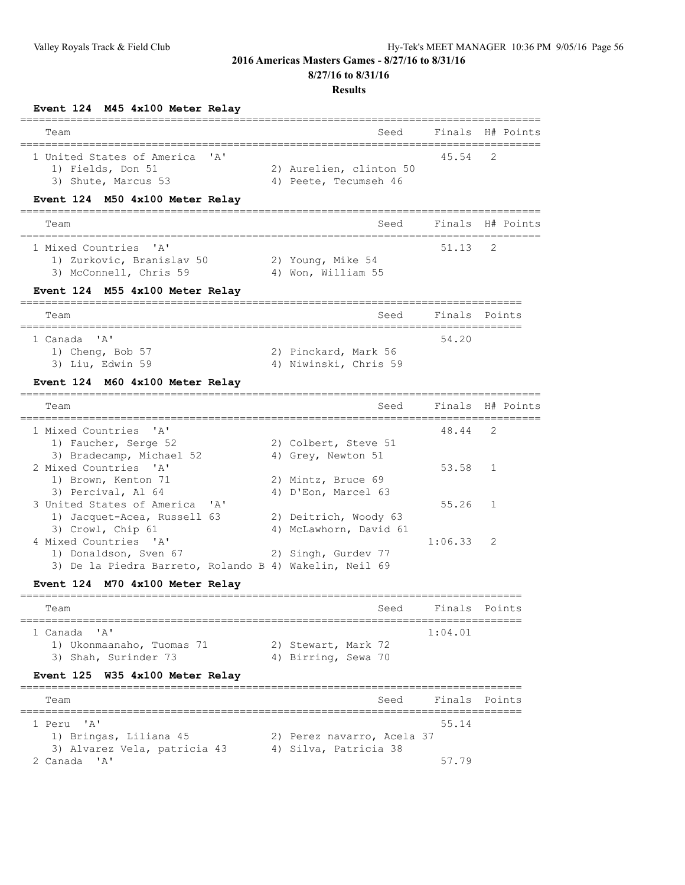**8/27/16 to 8/31/16**

#### **Results**

## **Event 124 M45 4x100 Meter Relay**

| Event 124 M45 4x100 Meter Relay                                                                                  |                                                  |                          |                                   |
|------------------------------------------------------------------------------------------------------------------|--------------------------------------------------|--------------------------|-----------------------------------|
| Team                                                                                                             | Seed                                             |                          | Finals H# Points                  |
| 1 United States of America<br>$\mathsf{A}$<br>1) Fields, Don 51<br>3) Shute, Marcus 53                           | 2) Aurelien, clinton 50<br>4) Peete, Tecumseh 46 | 45.54                    | ============================<br>2 |
| Event 124 M50 4x100 Meter Relay                                                                                  |                                                  |                          |                                   |
| Team                                                                                                             | Seed                                             |                          | Finals H# Points                  |
| 1 Mixed Countries 'A'<br>1) Zurkovic, Branislav 50<br>3) McConnell, Chris 59<br>Event 124 M55 4x100 Meter Relay  | 2) Young, Mike 54<br>4) Won, William 55          | $51.13$ 2                |                                   |
| Team                                                                                                             | Seed                                             |                          | Finals Points                     |
| 1 Canada<br>$^{\prime}$ A $^{\prime}$<br>1) Cheng, Bob 57<br>3) Liu, Edwin 59<br>Event 124 M60 4x100 Meter Relay | 2) Pinckard, Mark 56<br>4) Niwinski, Chris 59    | 54.20                    |                                   |
| Team                                                                                                             | Seed                                             |                          | Finals H# Points                  |
| 1 Mixed Countries 'A'<br>1) Faucher, Serge 52<br>3) Bradecamp, Michael 52                                        | 2) Colbert, Steve 51<br>4) Grey, Newton 51       | ---------------<br>48.44 | 2                                 |

| s, pradcedmp, hrchact se<br>3 United States of America 'A'<br>1) Jacquet-Acea, Russell 63 | $\frac{1}{2}$ $\frac{1}{2}$ $\frac{1}{2}$ $\frac{1}{2}$ $\frac{1}{2}$ $\frac{1}{2}$ $\frac{1}{2}$ $\frac{1}{2}$ $\frac{1}{2}$<br>2) Mintz, Bruce 69<br>4) D'Eon, Marcel 63<br>2) Deitrich, Woody 63<br>4) McLawhorn, David 61<br>2) Singh, Gurdev 77<br>3) De la Piedra Barreto, Rolando B 4) Wakelin, Neil 69 | 53.58 1<br>$55.26$ 1<br>$1:06.33$ 2 |
|-------------------------------------------------------------------------------------------|----------------------------------------------------------------------------------------------------------------------------------------------------------------------------------------------------------------------------------------------------------------------------------------------------------------|-------------------------------------|

## **Event 124 M70 4x100 Meter Relay**

| Team                                                              |                                            | Seed | Finals Points |  |
|-------------------------------------------------------------------|--------------------------------------------|------|---------------|--|
| 1 Canada 'A'<br>1) Ukonmaanaho, Tuomas 71<br>3) Shah, Surinder 73 | 2) Stewart, Mark 72<br>4) Birring, Sewa 70 |      | 1:04.01       |  |

## **Event 125 W35 4x100 Meter Relay**

| Team                         | Finals Points<br>Seed      |
|------------------------------|----------------------------|
| 1 Peru 'A'                   | 55.14                      |
| 1) Bringas, Liliana 45       | 2) Perez navarro, Acela 37 |
| 3) Alvarez Vela, patricia 43 | 4) Silva, Patricia 38      |
| 2 Canada 'A'                 | 57 79                      |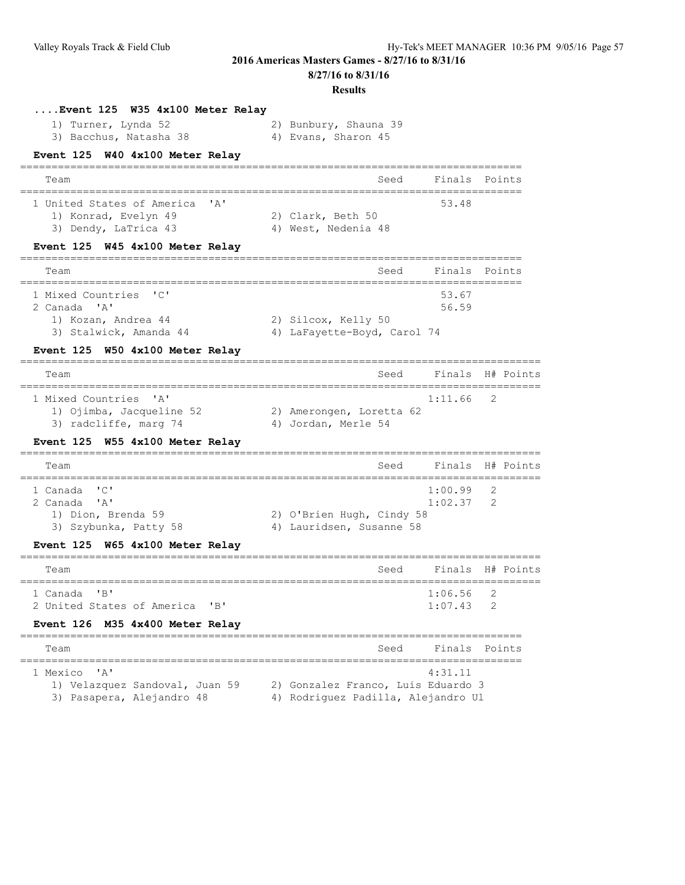**8/27/16 to 8/31/16**

| 1) Turner, Lynda 52<br>3) Bacchus, Natasha 38                                                                                     | 2) Bunbury, Shauna 39<br>4) Evans, Sharon 45                                                |                                         |                                |
|-----------------------------------------------------------------------------------------------------------------------------------|---------------------------------------------------------------------------------------------|-----------------------------------------|--------------------------------|
| W40 4x100 Meter Relay<br><b>Event 125</b>                                                                                         |                                                                                             |                                         |                                |
| Team                                                                                                                              | Seed                                                                                        | Finals                                  | Points                         |
| 1 United States of America<br>$\mathbf{A}$<br>1) Konrad, Evelyn 49<br>3) Dendy, LaTrica 43                                        | 2) Clark, Beth 50<br>4) West, Nedenia 48                                                    | 53.48                                   |                                |
| Event 125 W45 4x100 Meter Relay                                                                                                   |                                                                                             |                                         |                                |
| Team                                                                                                                              | Seed                                                                                        | Finals                                  | Points                         |
| 1 Mixed Countries<br>$\mathsf{L} \cup \mathsf{L}$<br>2 Canada 'A'<br>1) Kozan, Andrea 44                                          | 2) Silcox, Kelly 50                                                                         | 53.67<br>56.59                          |                                |
| 3) Stalwick, Amanda 44                                                                                                            | 4) LaFayette-Boyd, Carol 74                                                                 |                                         |                                |
| W50 4x100 Meter Relay<br><b>Event 125</b>                                                                                         |                                                                                             |                                         |                                |
| Team                                                                                                                              | Seed                                                                                        |                                         | Finals H# Points               |
| 1 Mixed Countries<br>$^{\prime}$ A $^{\prime}$<br>1) Ojimba, Jacqueline 52<br>3) radcliffe, marg 74                               | 2) Amerongen, Loretta 62<br>4) Jordan, Merle 54                                             | 1:11.66                                 | 2                              |
| Event 125 W55 4x100 Meter Relay                                                                                                   |                                                                                             |                                         |                                |
| Team                                                                                                                              | Seed                                                                                        |                                         | Finals H# Points               |
| ======================<br>1 Canada<br>"C"<br>$^{\prime}$ A $^{\prime}$<br>2 Canada<br>1) Dion, Brenda 59<br>3) Szybunka, Patty 58 | ==================================<br>2) O'Brien Hugh, Cindy 58<br>4) Lauridsen, Susanne 58 | ===========<br>1:00.99<br>1:02.37       | =======<br>2<br>$\overline{2}$ |
| Event 125 W65 4x100 Meter Relay                                                                                                   |                                                                                             |                                         |                                |
| ====================<br>Team                                                                                                      | Seed                                                                                        | ----------------------------<br>Finals  | H# Points                      |
| "B"<br>1 Canada<br>2 United States of America<br>"B"<br>Event 126 M35 4x400 Meter Relay                                           |                                                                                             | =================<br>1:06.56<br>1:07.43 | 2<br>2                         |
| Team                                                                                                                              | Seed                                                                                        |                                         | Finals Points                  |
| ' A'<br>1 Mexico<br>1) Velazquez Sandoval, Juan 59<br>3) Pasapera, Alejandro 48                                                   | 2) Gonzalez Franco, Luis Eduardo 3<br>4) Rodriguez Padilla, Alejandro Ul                    | 4:31.11                                 |                                |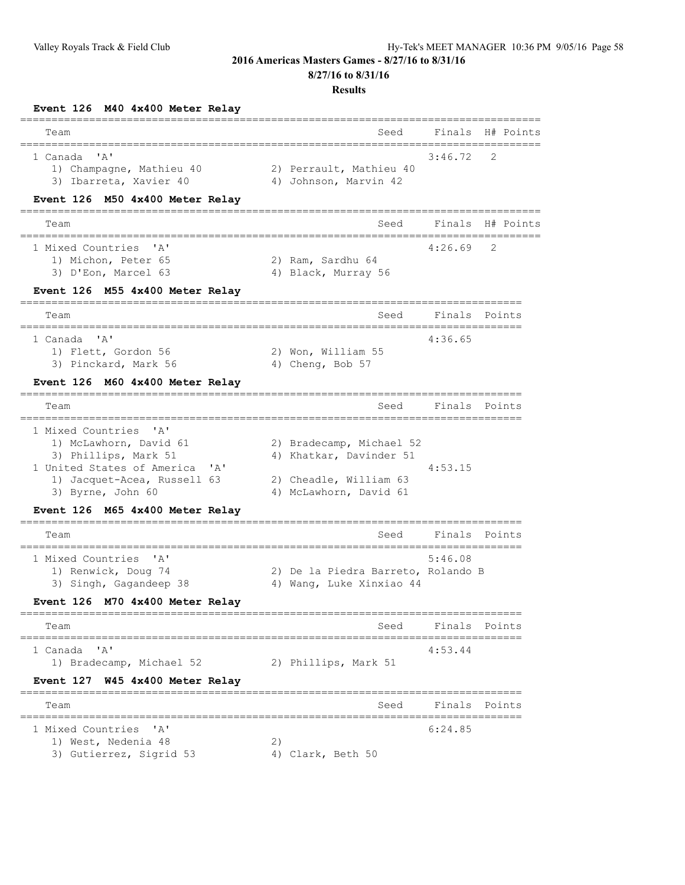**8/27/16 to 8/31/16**

#### **Results**

**Event 126 M40 4x400 Meter Relay**

| ==============<br>Team                                                                                                                                                                   |    | ----------------------<br>Seed                                                                          | Finals                         | H# Points |
|------------------------------------------------------------------------------------------------------------------------------------------------------------------------------------------|----|---------------------------------------------------------------------------------------------------------|--------------------------------|-----------|
| ' A'<br>1 Canada<br>1) Champagne, Mathieu 40<br>3) Ibarreta, Xavier 40                                                                                                                   |    | 2) Perrault, Mathieu 40<br>4) Johnson, Marvin 42                                                        | 3:46.72                        | 2         |
| M50 4x400 Meter Relay<br><b>Event 126</b>                                                                                                                                                |    |                                                                                                         |                                |           |
| Team                                                                                                                                                                                     |    | Seed                                                                                                    | Finals                         | H# Points |
| 1 Mixed Countries<br>$^{\prime}$ A $^{\prime}$<br>1) Michon, Peter 65<br>3) D'Eon, Marcel 63                                                                                             |    | 2) Ram, Sardhu 64<br>4) Black, Murray 56                                                                | ================<br>4:26.69    | 2         |
| M55 4x400 Meter Relay<br><b>Event 126</b>                                                                                                                                                |    |                                                                                                         |                                |           |
| Team                                                                                                                                                                                     |    | Seed                                                                                                    | Finals                         | Points    |
| ==========<br>$^{\prime}$ A $^{\prime}$<br>1 Canada<br>1) Flett, Gordon 56<br>3) Pinckard, Mark 56                                                                                       |    | 2) Won, William 55<br>4) Cheng, Bob 57                                                                  | ___________________<br>4:36.65 |           |
| M60 4x400 Meter Relay<br><b>Event 126</b>                                                                                                                                                |    |                                                                                                         |                                |           |
| Team<br>====================                                                                                                                                                             |    | Seed<br>==========================                                                                      | Finals                         | Points    |
| 1 Mixed Countries<br>$^{\prime}$ A $^{\prime}$<br>1) McLawhorn, David 61<br>3) Phillips, Mark 51<br>1 United States of America<br>A'<br>1) Jacquet-Acea, Russell 63<br>3) Byrne, John 60 |    | 2) Bradecamp, Michael 52<br>4) Khatkar, Davinder 51<br>2) Cheadle, William 63<br>4) McLawhorn, David 61 | 4:53.15                        |           |
| M65 4x400 Meter Relay<br><b>Event 126</b>                                                                                                                                                |    |                                                                                                         |                                |           |
| Team                                                                                                                                                                                     |    | Seed                                                                                                    | Finals                         | Points    |
| ----------------------------<br>1 Mixed Countries<br>' A'<br>1) Renwick, Doug 74<br>3) Singh, Gagandeep 38                                                                               |    | 2) De la Piedra Barreto, Rolando B<br>4) Wang, Luke Xinxiao 44                                          | 5:46.08                        |           |
| Event 126 M70 4x400 Meter Relay                                                                                                                                                          |    |                                                                                                         |                                |           |
| Team<br>======                                                                                                                                                                           |    | Seed                                                                                                    | Finals                         | Points    |
| 1 Canada 'A'<br>1) Bradecamp, Michael 52                                                                                                                                                 |    | 2) Phillips, Mark 51                                                                                    | 4:53.44                        |           |
| W45 4x400 Meter Relay<br><b>Event 127</b>                                                                                                                                                |    |                                                                                                         |                                |           |
| Team                                                                                                                                                                                     |    | Seed                                                                                                    | Finals                         | Points    |
| 1 Mixed Countries 'A'<br>1) West, Nedenia 48<br>3) Gutierrez, Sigrid 53                                                                                                                  | 2) | 4) Clark, Beth 50                                                                                       | 6:24.85                        |           |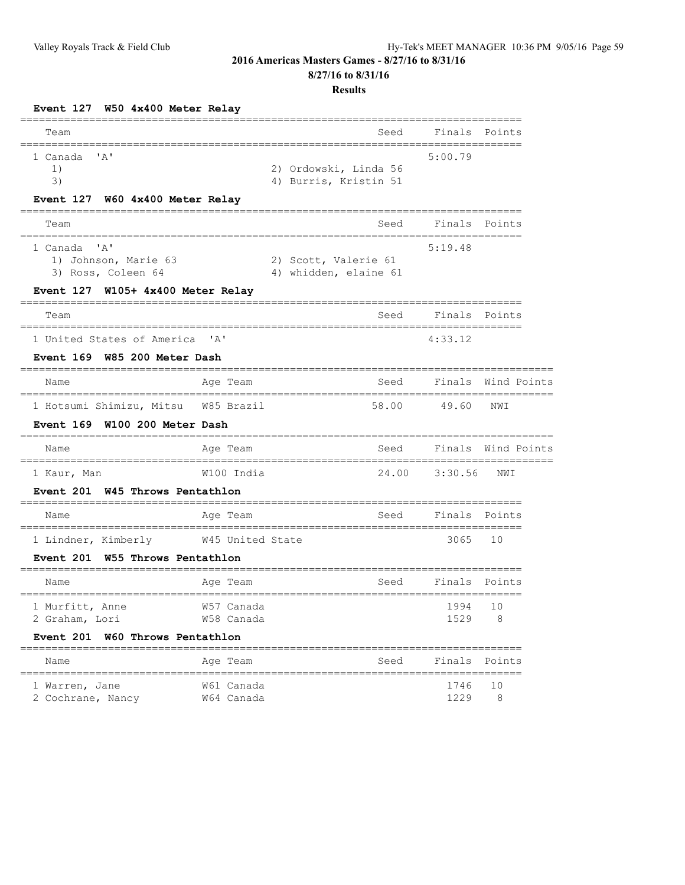## **8/27/16 to 8/31/16**

| Event 127 W50 4x400 Meter Relay                                                              |                           |                                                |                                       |                       |
|----------------------------------------------------------------------------------------------|---------------------------|------------------------------------------------|---------------------------------------|-----------------------|
| Team                                                                                         |                           | Seed                                           | Finals                                | Points                |
| 1 Canada<br>'A'<br>1)<br>3)<br>Event 127 W60 4x400 Meter Relay                               |                           | 2) Ordowski, Linda 56<br>4) Burris, Kristin 51 | 5:00.79                               |                       |
| Team                                                                                         |                           | Seed                                           | Finals                                | Points                |
| ' A'<br>1 Canada<br>1) Johnson, Marie 63<br>3) Ross, Coleen 64                               |                           | 2) Scott, Valerie 61<br>4) whidden, elaine 61  | 5:19.48                               |                       |
| Event 127 W105+ 4x400 Meter Relay                                                            |                           |                                                |                                       |                       |
| Team<br>===================                                                                  |                           | Seed                                           | Finals<br>=========================== | Points                |
| 1 United States of America<br>Event 169 W85 200 Meter Dash                                   | $^{\prime}$ A $^{\prime}$ |                                                | 4:33.12                               |                       |
| Name                                                                                         | Age Team                  | Seed                                           | Finals                                | Wind Points           |
| =====================<br>1 Hotsumi Shimizu, Mitsu<br>W100 200 Meter Dash<br><b>Event 169</b> | W85 Brazil                | 58.00                                          | 49.60                                 | NWI                   |
| Name                                                                                         | Age Team                  | Seed                                           | Finals                                | Wind Points           |
| 1 Kaur, Man<br><b>Event 201</b><br>W45 Throws Pentathlon                                     | W100 India                | 24.00                                          | 3:30.56                               | NWI                   |
| Name                                                                                         | Age Team                  | Seed                                           | Finals                                | Points                |
| 1 Lindner, Kimberly<br><b>Event 201</b><br>W55 Throws Pentathlon                             | W45 United State          |                                                | 3065                                  | ==========<br>10      |
| Name                                                                                         | :==========<br>Age Team   | Seed                                           | Finals                                | Points                |
| 1 Murfitt, Anne<br>2 Graham, Lori                                                            | W57 Canada<br>W58 Canada  |                                                | ----------------<br>1994<br>1529      | 10<br>8               |
| W60 Throws Pentathlon<br><b>Event 201</b><br>Name                                            | Age Team                  | Seed                                           | Finals                                | Points                |
| ================<br>1 Warren, Jane<br>2 Cochrane, Nancy                                      | W61 Canada<br>W64 Canada  | ====================                           | 1746<br>1229                          | ==========<br>10<br>8 |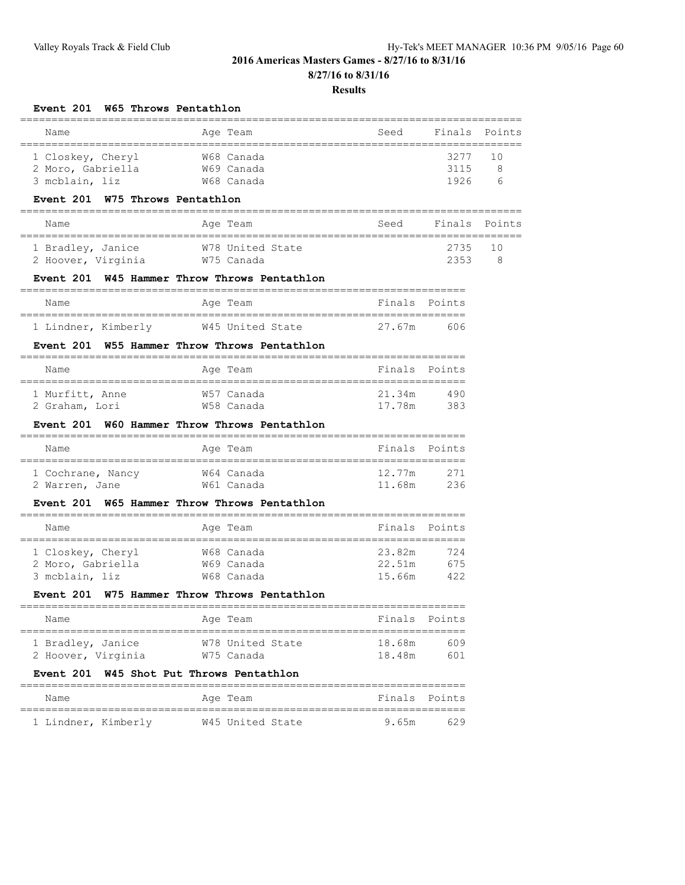## **8/27/16 to 8/31/16**

| Event 201 W65 Throws Pentathlon                                                      |                                                                                                                                                                                                                     |        |                                                                                                                                                                                                              |
|--------------------------------------------------------------------------------------|---------------------------------------------------------------------------------------------------------------------------------------------------------------------------------------------------------------------|--------|--------------------------------------------------------------------------------------------------------------------------------------------------------------------------------------------------------------|
| Age Team                                                                             | Seed                                                                                                                                                                                                                | Finals | Points                                                                                                                                                                                                       |
| W68 Canada                                                                           |                                                                                                                                                                                                                     | 3277   | 10                                                                                                                                                                                                           |
| W69 Canada                                                                           |                                                                                                                                                                                                                     | 3115   | 8                                                                                                                                                                                                            |
|                                                                                      |                                                                                                                                                                                                                     |        | 6                                                                                                                                                                                                            |
|                                                                                      |                                                                                                                                                                                                                     |        |                                                                                                                                                                                                              |
| Age Team                                                                             | Seed                                                                                                                                                                                                                | Finals | Points                                                                                                                                                                                                       |
| W78 United State                                                                     |                                                                                                                                                                                                                     | 2735   | 10                                                                                                                                                                                                           |
|                                                                                      |                                                                                                                                                                                                                     |        | 8                                                                                                                                                                                                            |
| -------------------------------------                                                |                                                                                                                                                                                                                     |        |                                                                                                                                                                                                              |
| Age Team                                                                             |                                                                                                                                                                                                                     |        |                                                                                                                                                                                                              |
| W45 United State                                                                     | 27.67m                                                                                                                                                                                                              | 606    |                                                                                                                                                                                                              |
| W55 Hammer Throw Throws Pentathlon                                                   |                                                                                                                                                                                                                     |        |                                                                                                                                                                                                              |
| Age Team                                                                             |                                                                                                                                                                                                                     |        |                                                                                                                                                                                                              |
| W57 Canada                                                                           | 21.34m                                                                                                                                                                                                              | 490    |                                                                                                                                                                                                              |
|                                                                                      |                                                                                                                                                                                                                     | 383    |                                                                                                                                                                                                              |
|                                                                                      |                                                                                                                                                                                                                     |        |                                                                                                                                                                                                              |
| Age Team                                                                             |                                                                                                                                                                                                                     |        |                                                                                                                                                                                                              |
| W64 Canada                                                                           | 12.77m                                                                                                                                                                                                              | 271    |                                                                                                                                                                                                              |
| W61 Canada                                                                           | 11.68m                                                                                                                                                                                                              | 236    |                                                                                                                                                                                                              |
| Event 201 W65 Hammer Throw Throws Pentathlon<br>____________________________________ |                                                                                                                                                                                                                     |        |                                                                                                                                                                                                              |
| Age Team                                                                             |                                                                                                                                                                                                                     |        |                                                                                                                                                                                                              |
| W68 Canada                                                                           | 23.82m                                                                                                                                                                                                              | 724    |                                                                                                                                                                                                              |
| W69 Canada                                                                           | 22.51m                                                                                                                                                                                                              | 675    |                                                                                                                                                                                                              |
|                                                                                      |                                                                                                                                                                                                                     |        |                                                                                                                                                                                                              |
|                                                                                      |                                                                                                                                                                                                                     |        |                                                                                                                                                                                                              |
| Age Team                                                                             | Finals                                                                                                                                                                                                              | Points |                                                                                                                                                                                                              |
| W78 United State                                                                     | 18.68m                                                                                                                                                                                                              | 609    |                                                                                                                                                                                                              |
| W75 Canada                                                                           | 18.48m                                                                                                                                                                                                              | 601    |                                                                                                                                                                                                              |
| W45 Shot Put Throws Pentathlon                                                       |                                                                                                                                                                                                                     |        |                                                                                                                                                                                                              |
| Age Team                                                                             | Finals                                                                                                                                                                                                              | Points |                                                                                                                                                                                                              |
|                                                                                      |                                                                                                                                                                                                                     |        |                                                                                                                                                                                                              |
|                                                                                      | W68 Canada<br>W75 Throws Pentathlon<br>W75 Canada<br>Event 201 W45 Hammer Throw Throws Pentathlon<br>W58 Canada<br>Event 201 W60 Hammer Throw Throws Pentathlon<br>W68 Canada<br>W75 Hammer Throw Throws Pentathlon | 15.66m | Results<br>1926<br>2353<br>Finals Points<br>Finals Points<br>17.78m<br>______________________________<br>Finals Points<br>______________________________<br>Finals Points<br>========================<br>422 |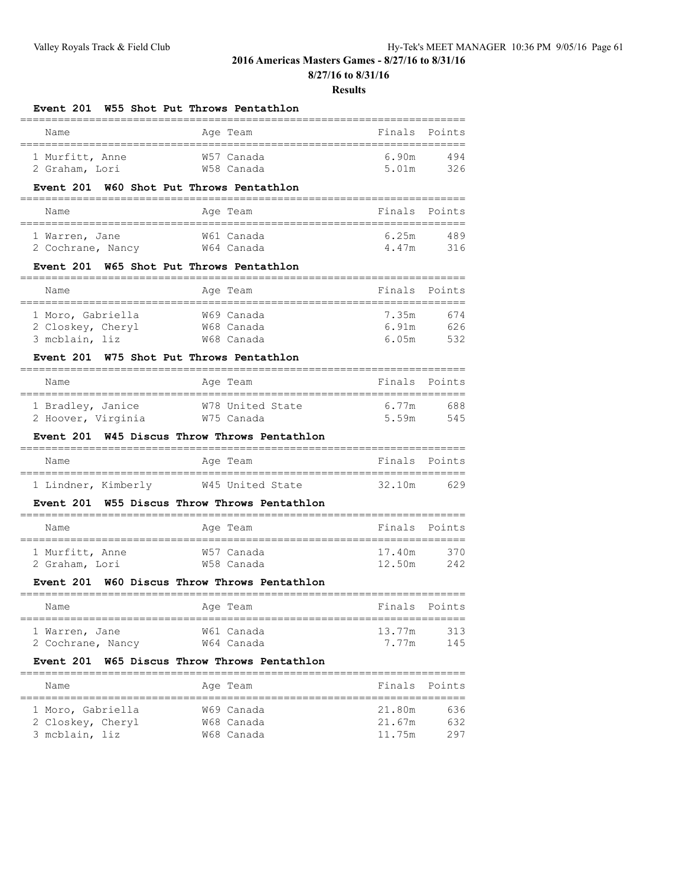**8/27/16 to 8/31/16**

#### **Results**

#### **Event 201 W55 Shot Put Throws Pentathlon**

| Name            |  | Age Team   | Finals Points |     |  |  |  |  |
|-----------------|--|------------|---------------|-----|--|--|--|--|
|                 |  |            |               |     |  |  |  |  |
| 1 Murfitt, Anne |  | W57 Canada | 690m          | 494 |  |  |  |  |
| 2 Graham, Lori  |  | W58 Canada | 5 01m         | 326 |  |  |  |  |

## **Event 201 W60 Shot Put Throws Pentathlon**

| Name              |  | Age Team   | Finals Points |     |  |  |  |  |
|-------------------|--|------------|---------------|-----|--|--|--|--|
|                   |  |            |               |     |  |  |  |  |
| 1 Warren, Jane    |  | W61 Canada | 6.25m         | 489 |  |  |  |  |
| 2 Cochrane, Nancy |  | W64 Canada | 4.47m         | 316 |  |  |  |  |

## **Event 201 W65 Shot Put Throws Pentathlon**

| Name                                                     |  | Age Team                               | Finals Points           |                   |
|----------------------------------------------------------|--|----------------------------------------|-------------------------|-------------------|
| 1 Moro, Gabriella<br>2 Closkey, Cheryl<br>3 mcblain, liz |  | W69 Canada<br>W68 Canada<br>W68 Canada | 7.35m<br>6.91m<br>6.05m | 674<br>626<br>532 |

## **Event 201 W75 Shot Put Throws Pentathlon**

| Name               | Age Team         | Finals Points |     |
|--------------------|------------------|---------------|-----|
| 1 Bradley, Janice  | W78 United State | 6.77m         | 688 |
| 2 Hoover, Virginia | W75 Canada       | 5.59m         | 545 |

#### **Event 201 W45 Discus Throw Throws Pentathlon**

| Name                | Age Team         | Finals Points |     |
|---------------------|------------------|---------------|-----|
| 1 Lindner, Kimberly | W45 United State | 32.10m        | 629 |

#### **Event 201 W55 Discus Throw Throws Pentathlon** =======================================================================

| Name            | Age Team   | Finals Points |     |
|-----------------|------------|---------------|-----|
| 1 Murfitt, Anne | W57 Canada | 17.40m        | 370 |
| 2 Graham, Lori  | W58 Canada | 12.50m        | 242 |

## **Event 201 W60 Discus Throw Throws Pentathlon**

| Name              | Age Team   | Finals Points |     |
|-------------------|------------|---------------|-----|
| 1 Warren, Jane    | W61 Canada | 13.77m        | 313 |
| 2 Cochrane, Nancy | W64 Canada | 7 77m         | 145 |

#### **Event 201 W65 Discus Throw Throws Pentathlon**

| Name              | Age Team   | Finals Points |     |
|-------------------|------------|---------------|-----|
|                   |            |               |     |
| 1 Moro, Gabriella | W69 Canada | 21.80m        | 636 |
| 2 Closkey, Cheryl | W68 Canada | 21.67m        | 632 |
| 3 mcblain, liz    | W68 Canada | 11.75m        | 297 |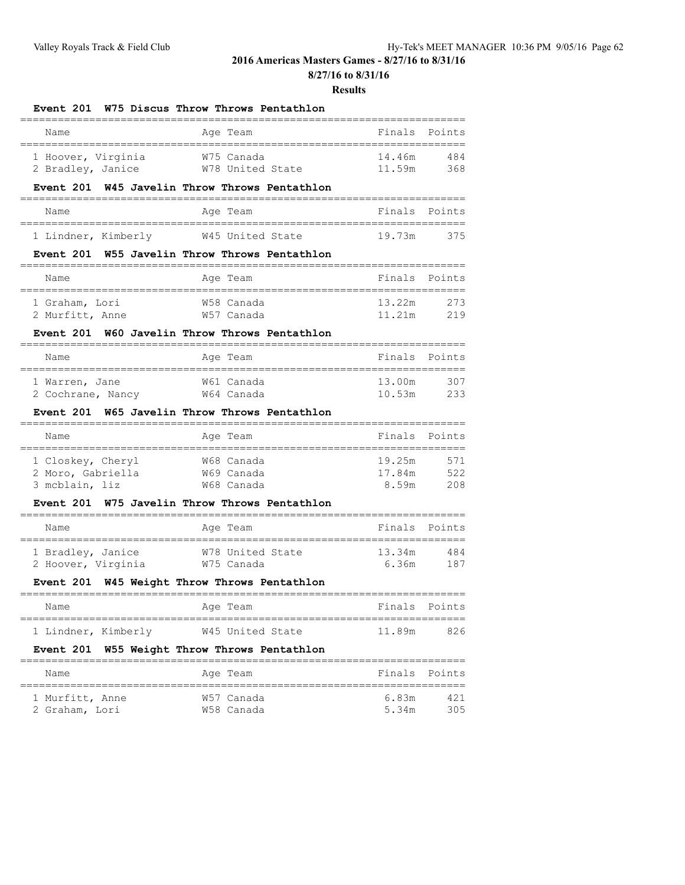**8/27/16 to 8/31/16**

#### **Results**

#### **Event 201 W75 Discus Throw Throws Pentathlon**

| Name               |  | Age Team         | Finals Points |      |  |  |  |
|--------------------|--|------------------|---------------|------|--|--|--|
|                    |  |                  |               |      |  |  |  |
| 1 Hoover, Virginia |  | W75 Canada       | 14.46m        | 484  |  |  |  |
| 2 Bradley, Janice  |  | W78 United State | 11.59m        | 368. |  |  |  |

#### **Event 201 W45 Javelin Throw Throws Pentathlon**

| Name                |  | Age Team         |        | Finals Points |
|---------------------|--|------------------|--------|---------------|
|                     |  |                  |        |               |
| 1 Lindner, Kimberly |  | W45 United State | 19.73m | 375           |

## **Event 201 W55 Javelin Throw Throws Pentathlon**

| Name            | Age Team   | Finals Points |     |
|-----------------|------------|---------------|-----|
|                 |            |               |     |
| 1 Graham, Lori  | W58 Canada | 13.22m        | 273 |
| 2 Murfitt, Anne | W57 Canada | 11.21m        | 219 |

## **Event 201 W60 Javelin Throw Throws Pentathlon**

| Name              | Age Team   | Finals Points |     |
|-------------------|------------|---------------|-----|
|                   |            |               |     |
| 1 Warren, Jane    | W61 Canada | 13.00m        | 307 |
| 2 Cochrane, Nancy | W64 Canada | 10.53m        | ク33 |

#### **Event 201 W65 Javelin Throw Throws Pentathlon**

| Name                                                     | Age Team |                                        | Finals Points             |                   |
|----------------------------------------------------------|----------|----------------------------------------|---------------------------|-------------------|
| 1 Closkey, Cheryl<br>2 Moro, Gabriella<br>3 mcblain, liz |          | W68 Canada<br>W69 Canada<br>W68 Canada | 19.25m<br>17.84m<br>8 59m | 571<br>522<br>208 |

#### **Event 201 W75 Javelin Throw Throws Pentathlon**

| Name               | Age Team         | Finals Points |     |
|--------------------|------------------|---------------|-----|
| 1 Bradley, Janice  | W78 United State | 13.34m        | 484 |
| 2 Hoover, Virginia | W75 Canada       | 6.36m         | 187 |

=======================================================================

## **Event 201 W45 Weight Throw Throws Pentathlon**

| Name                | Age Team         | Finals Points |     |
|---------------------|------------------|---------------|-----|
| 1 Lindner, Kimberly | W45 United State | 11.89m        | 826 |

## **Event 201 W55 Weight Throw Throws Pentathlon**

| Name            | Age Team   | Finals Points |     |
|-----------------|------------|---------------|-----|
| 1 Murfitt, Anne | W57 Canada | 6.83m         | 421 |
| 2 Graham, Lori  | W58 Canada | 5 34m         | 305 |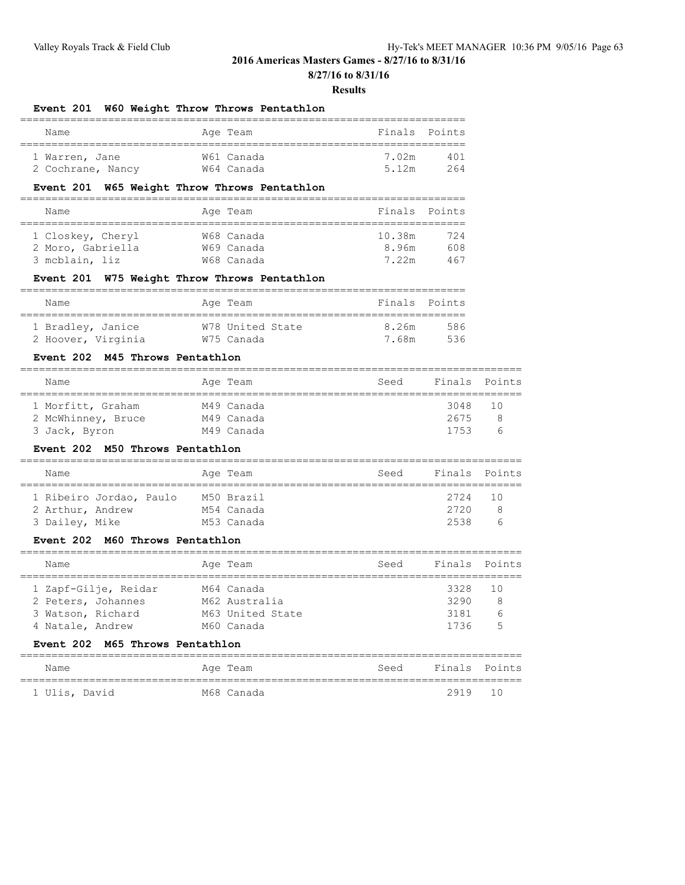**8/27/16 to 8/31/16**

#### **Results**

## **Event 201 W60 Weight Throw Throws Pentathlon** ======================================================================= Name **Age Team** Age Team **Finals** Points ======================================================================= 1 Warren, Jane W61 Canada 7.02m 401 2 Cochrane, Nancy W64 Canada 5.12m 264 **Event 201 W65 Weight Throw Throws Pentathlon** ======================================================================= Name Age Team Age Team Finals Points ======================================================================= 1 Closkey, Cheryl W68 Canada 10.38m 724 2 Moro, Gabriella W69 Canada 8.96m 608 3 mcblain, liz W68 Canada 7.22m 467 **Event 201 W75 Weight Throw Throws Pentathlon** ======================================================================= Name **Age Team** Age Team Finals Points ======================================================================= 1 Bradley, Janice W78 United State 8.26m 586 2 Hoover, Virginia W75 Canada 7.68m 536 **Event 202 M45 Throws Pentathlon** ================================================================================ Name **Age Team** Age Team Seed Finals Points ================================================================================ 1 Morfitt, Graham M49 Canada 3048 10 2 McWhinney, Bruce M49 Canada 2675 8 3 Jack, Byron 1753 M49 Canada 1753 6 **Event 202 M50 Throws Pentathlon** ================================================================================ Name **Age Team** Age Team Seed Finals Points ================================================================================ 1 Ribeiro Jordao, Paulo M50 Brazil 2724 10 2 Arthur, Andrew M54 Canada 2720 8 3 Dailey, Mike M53 Canada 2538 6 **Event 202 M60 Throws Pentathlon** ================================================================================ Name **Age Team** Age Team Seed Finals Points ================================================================================ 1 Zapf-Gilje, Reidar M64 Canada 3328 10 2 Peters, Johannes M62 Australia 3290 8 3 Watson, Richard M63 United State 3181 6 4 Natale, Andrew 1736 5 1736 5 **Event 202 M65 Throws Pentathlon** ================================================================================ Name Mage Team Age Team Seed Finals Points ================================================================================ 1 Ulis, David M68 Canada 2919 10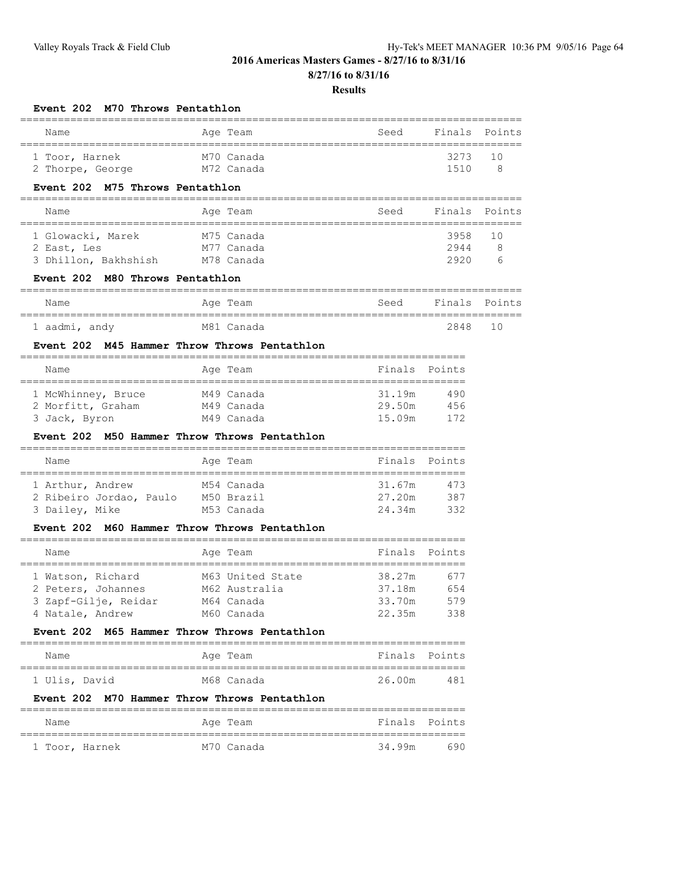**8/27/16 to 8/31/16**

## **Results**

| Event 202 M70 Throws Pentathlon |                                              |                                         |               |        |
|---------------------------------|----------------------------------------------|-----------------------------------------|---------------|--------|
| Name<br>_______________________ | Age Team<br>=====================            | Seed<br>=============================== | Finals        | Points |
| 1 Toor, Harnek                  | M70 Canada                                   |                                         | 3273          | 10     |
| 2 Thorpe, George                | M72 Canada                                   |                                         | 1510          | 8      |
| Event 202 M75 Throws Pentathlon |                                              |                                         |               |        |
| Name                            | Age Team                                     | Seed                                    | Finals        | Points |
| 1 Glowacki, Marek               | M75 Canada                                   |                                         | 3958          | 10     |
| 2 East, Les                     | M77 Canada                                   |                                         | 2944          | 8      |
| 3 Dhillon, Bakhshish M78 Canada |                                              |                                         | 2920          | 6      |
| Event 202 M80 Throws Pentathlon |                                              |                                         |               |        |
| Name                            | Age Team                                     | Seed                                    | Finals        | Points |
| 1 aadmi, andy                   | M81 Canada                                   |                                         | 2848          | 10     |
|                                 | Event 202 M45 Hammer Throw Throws Pentathlon |                                         |               |        |
| Name                            | Age Team                                     |                                         | Finals Points |        |
| 1 McWhinney, Bruce              | M49 Canada                                   | 31.19m                                  | 490           |        |
| 2 Morfitt, Graham               | M49 Canada                                   | 29.50m                                  | 456           |        |
| 3 Jack, Byron                   | M49 Canada                                   | 15.09m                                  | 172           |        |
|                                 | Event 202 M50 Hammer Throw Throws Pentathlon |                                         |               |        |
| Name                            | Age Team                                     | Finals                                  | Points        |        |
| 1 Arthur, Andrew                | M54 Canada                                   | 31.67m                                  | 473           |        |
| 2 Ribeiro Jordao, Paulo         | M50 Brazil                                   | 27.20m                                  | 387           |        |
| 3 Dailey, Mike                  | M53 Canada                                   | 24.34m                                  | 332           |        |
|                                 | Event 202 M60 Hammer Throw Throws Pentathlon |                                         |               |        |
| Name                            | Age Team                                     | Finals                                  | Points        |        |
| 1 Watson, Richard               | M63 United State                             | 38.27m                                  | 677           |        |
| 2 Peters, Johannes              | M62 Australia                                | 37.18m                                  | 654           |        |
| 3 Zapf-Gilje, Reidar            | M64 Canada                                   | 33.70m                                  | 579           |        |
| 4 Natale, Andrew                | M60 Canada                                   | 22.35m                                  | 338           |        |
|                                 | Event 202 M65 Hammer Throw Throws Pentathlon |                                         |               |        |
| Name                            | Age Team                                     |                                         | Finals Points |        |
| 1 Ulis, David                   | M68 Canada                                   | 26.00m                                  | 481           |        |
|                                 | Event 202 M70 Hammer Throw Throws Pentathlon |                                         |               |        |
| Name                            | Age Team                                     |                                         | Finals Points |        |
|                                 |                                              |                                         |               |        |

1 Toor, Harnek M70 Canada 34.99m 690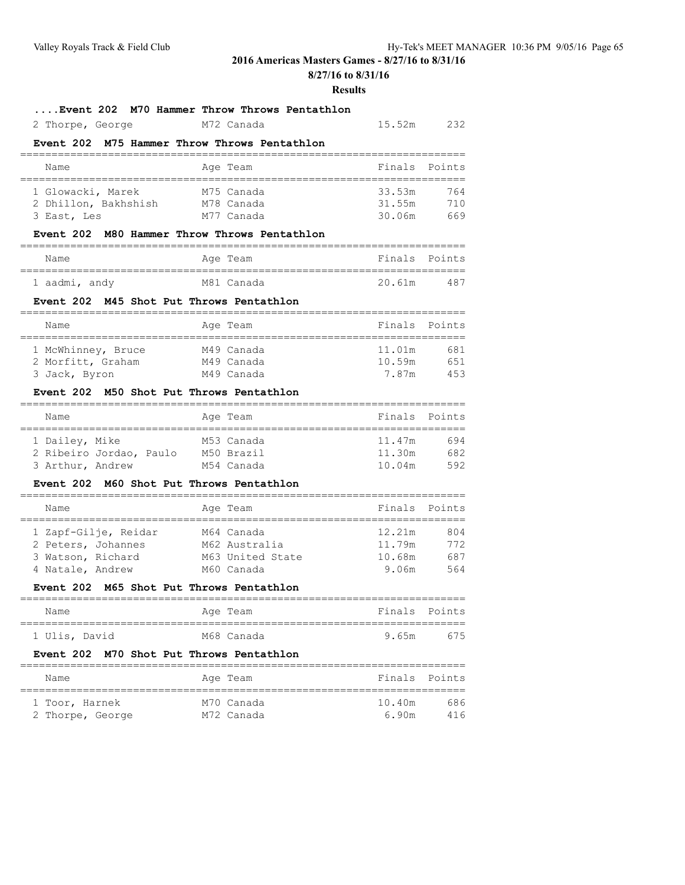**8/27/16 to 8/31/16**

#### **Results**

15.52m 232

## **....Event 202 M70 Hammer Throw Throws Pentathlon**

| 2 Thorpe, George |  | M72 Canada |  |
|------------------|--|------------|--|
|------------------|--|------------|--|

### **Event 202 M75 Hammer Throw Throws Pentathlon**

| Name                                                     |  | Age Team                               | Finals Points              |                   |  |  |  |  |
|----------------------------------------------------------|--|----------------------------------------|----------------------------|-------------------|--|--|--|--|
| 1 Glowacki, Marek<br>2 Dhillon, Bakhshish<br>3 East, Les |  | M75 Canada<br>M78 Canada<br>M77 Canada | 33.53m<br>31.55m<br>30.06m | 764<br>710<br>669 |  |  |  |  |

#### **Event 202 M80 Hammer Throw Throws Pentathlon**

| Name          |  | Age Team   | Finals Points |     |
|---------------|--|------------|---------------|-----|
| 1 aadmi, andy |  | M81 Canada | 20.61m        | 487 |

#### **Event 202 M45 Shot Put Throws Pentathlon**

| Name                                    |  | Age Team                 | Finals Points    |            |  |  |  |  |  |
|-----------------------------------------|--|--------------------------|------------------|------------|--|--|--|--|--|
| 1 McWhinney, Bruce<br>2 Morfitt, Graham |  | M49 Canada<br>M49 Canada | 11.01m<br>10.59m | 681<br>651 |  |  |  |  |  |
| 3 Jack, Byron                           |  | M49 Canada               | 7.87m            | 453        |  |  |  |  |  |

### **Event 202 M50 Shot Put Throws Pentathlon**

| Name                    |  | Age Team   | Finals Points |     |
|-------------------------|--|------------|---------------|-----|
| 1 Dailey, Mike          |  | M53 Canada | 11.47m        | 694 |
| 2 Ribeiro Jordao, Paulo |  | M50 Brazil | 11.30m        | 682 |
| 3 Arthur, Andrew        |  | M54 Canada | 10.04m        | 592 |

#### **Event 202 M60 Shot Put Throws Pentathlon**

| Name              |                      |  | Age Team         |        | Finals Points |  |  |  |
|-------------------|----------------------|--|------------------|--------|---------------|--|--|--|
|                   |                      |  |                  |        |               |  |  |  |
|                   | 1 Zapf-Gilje, Reidar |  | M64 Canada       | 12.21m | 804           |  |  |  |
|                   | 2 Peters, Johannes   |  | M62 Australia    | 11.79m | 772           |  |  |  |
| 3 Watson, Richard |                      |  | M63 United State | 10.68m | 687           |  |  |  |
| 4 Natale, Andrew  |                      |  | M60 Canada       | 9.06m  | 564           |  |  |  |

#### **Event 202 M65 Shot Put Throws Pentathlon**

| Name          | Age Team   | Finals Points |     |
|---------------|------------|---------------|-----|
| 1 Ulis, David | M68 Canada | 9.65m         | 675 |

#### **Event 202 M70 Shot Put Throws Pentathlon**

| Name             | Age Team   | Finals Points |
|------------------|------------|---------------|
| 1 Toor, Harnek   | M70 Canada | 10.40m<br>686 |
| 2 Thorpe, George | M72 Canada | 6.90m<br>416  |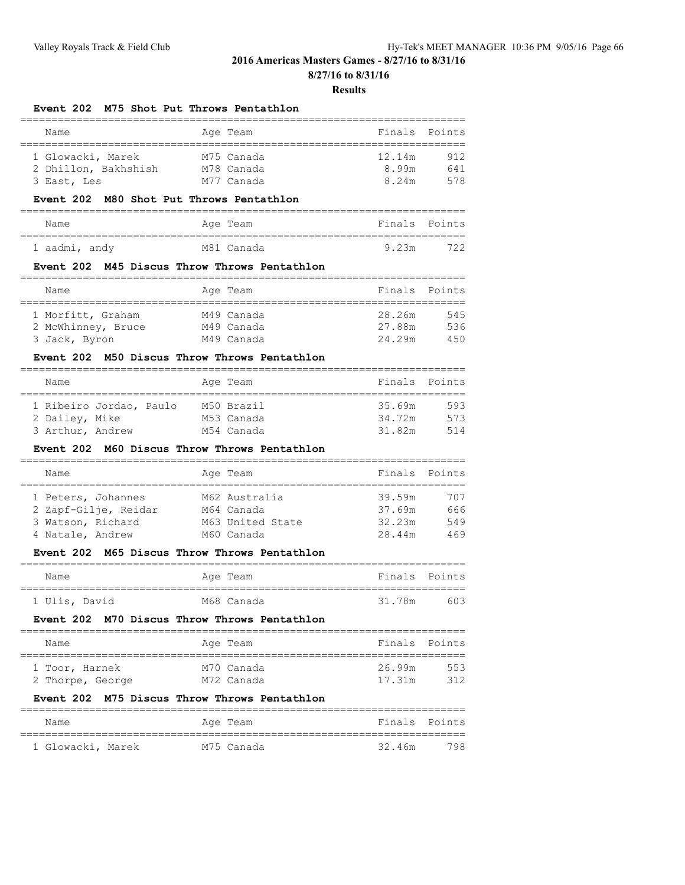**8/27/16 to 8/31/16**

#### **Results**

## **Event 202 M75 Shot Put Throws Pentathlon**

| Name                 |  | Age Team   | Finals Points |     |  |  |  |  |
|----------------------|--|------------|---------------|-----|--|--|--|--|
|                      |  |            |               |     |  |  |  |  |
| 1 Glowacki, Marek    |  | M75 Canada | 12.14m        | 912 |  |  |  |  |
| 2 Dhillon, Bakhshish |  | M78 Canada | 8.99m         | 641 |  |  |  |  |
| 3 East, Les          |  | M77 Canada | 8 24m         | 578 |  |  |  |  |

#### **Event 202 M80 Shot Put Throws Pentathlon**

| Name          |  | Age Team   | Finals Points |     |
|---------------|--|------------|---------------|-----|
|               |  |            |               |     |
| 1 aadmi, andy |  | M81 Canada | 9.23m         | 722 |

## **Event 202 M45 Discus Throw Throws Pentathlon**

| Name                                    |  | Age Team                 | Finals Points    |            |  |  |  |  |  |
|-----------------------------------------|--|--------------------------|------------------|------------|--|--|--|--|--|
| 1 Morfitt, Graham<br>2 McWhinney, Bruce |  | M49 Canada<br>M49 Canada | 28.26m<br>27.88m | 545<br>536 |  |  |  |  |  |
| 3 Jack, Byron                           |  | M49 Canada               | 24.29m           | 450        |  |  |  |  |  |

## **Event 202 M50 Discus Throw Throws Pentathlon**

| Name                                      |  |  |  | Age Team                 |                  | Finals Points |  |  |  |
|-------------------------------------------|--|--|--|--------------------------|------------------|---------------|--|--|--|
| 1 Ribeiro Jordao, Paulo<br>2 Dailey, Mike |  |  |  | M50 Brazil<br>M53 Canada | 35.69m<br>34.72m | 593<br>573    |  |  |  |
| 3 Arthur, Andrew                          |  |  |  | M54 Canada               | 31.82m           | 514           |  |  |  |

## **Event 202 M60 Discus Throw Throws Pentathlon**

| Name                                                                                |  | Age Team                                                      | Finals Points                        |                          |  |  |  |  |
|-------------------------------------------------------------------------------------|--|---------------------------------------------------------------|--------------------------------------|--------------------------|--|--|--|--|
| 1 Peters, Johannes<br>2 Zapf-Gilje, Reidar<br>3 Watson, Richard<br>4 Natale, Andrew |  | M62 Australia<br>M64 Canada<br>M63 United State<br>M60 Canada | 39.59m<br>37.69m<br>32.23m<br>28.44m | 707<br>666<br>549<br>469 |  |  |  |  |

## **Event 202 M65 Discus Throw Throws Pentathlon**

| Name          |  | Age Team   | Finals Points |     |
|---------------|--|------------|---------------|-----|
| 1 Ulis, David |  | M68 Canada | 31.78m        | 603 |

#### **Event 202 M70 Discus Throw Throws Pentathlon**

| Name             | Age Team   | Finals Points |     |
|------------------|------------|---------------|-----|
| 1 Toor, Harnek   | M70 Canada | 26.99m        | 553 |
| 2 Thorpe, George | M72 Canada | 17.31m        | 312 |

## **Event 202 M75 Discus Throw Throws Pentathlon**

| Name              | Age Team   | Finals Points |     |
|-------------------|------------|---------------|-----|
|                   |            |               |     |
| 1 Glowacki, Marek | M75 Canada | 32.46m        | 798 |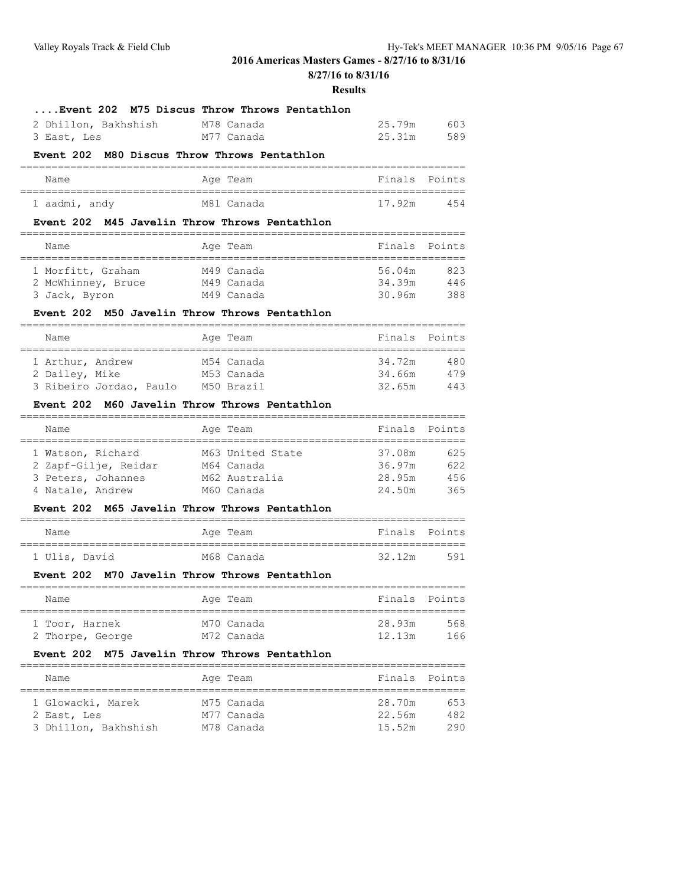**8/27/16 to 8/31/16**

## **Results**

| Event 202 M75 Discus Throw Throws Pentathlon           |                                                                   |                                    |        |
|--------------------------------------------------------|-------------------------------------------------------------------|------------------------------------|--------|
| 2 Dhillon, Bakhshish                                   | M78 Canada                                                        | 25.79m                             | 603    |
| 3 East, Les                                            | M77 Canada                                                        | 25.31m                             | 589    |
| Event 202 M80 Discus Throw Throws Pentathlon           |                                                                   |                                    |        |
| Name                                                   | Age Team                                                          | Finals                             | Points |
| 1 aadmi, andy                                          | M81 Canada                                                        | 17.92m                             | 454    |
| Event 202 M45 Javelin Throw Throws Pentathlon          |                                                                   |                                    |        |
| Name<br>-------------------------------------          | Age Team                                                          | Finals<br>:=====================   | Points |
| 1 Morfitt, Graham                                      | M49 Canada                                                        | 56.04m                             | 823    |
| 2 McWhinney, Bruce M49 Canada                          |                                                                   | 34.39m                             | 446    |
| 3 Jack, Byron                                          | M49 Canada                                                        | 30.96m                             | 388    |
| Event 202 M50 Javelin Throw Throws Pentathlon          |                                                                   |                                    |        |
| Name                                                   | Age Team                                                          | Finals<br>======================== | Points |
| 1 Arthur, Andrew                                       | M54 Canada                                                        | 34.72m                             | 480    |
| 2 Dailey, Mike                                         | M53 Canada                                                        | 34.66m                             | 479    |
| 3 Ribeiro Jordao, Paulo M50 Brazil                     |                                                                   | 32.65m                             | 443    |
| <b>Event 202</b>                                       | M60 Javelin Throw Throws Pentathlon<br>========================== |                                    |        |
| Name                                                   | Age Team                                                          | Finals                             | Points |
| ---------------------------------<br>1 Watson, Richard | -------------<br>M63 United State                                 | 37.08m                             | 625    |
| 2 Zapf-Gilje, Reidar                                   | M64 Canada                                                        | 36.97m                             | 622    |
| 3 Peters, Johannes                                     | M62 Australia                                                     | 28.95m                             | 456    |
| 4 Natale, Andrew                                       | M60 Canada                                                        | 24.50m                             | 365    |
| <b>Event 202</b>                                       | M65 Javelin Throw Throws Pentathlon                               |                                    |        |
| Name                                                   | Age Team                                                          | Finals                             | Points |
| 1 Ulis, David                                          | M68 Canada                                                        | 32.12m                             | 591    |
| Event 202                                              | M70 Javelin Throw Throws Pentathlon                               |                                    |        |
| Name                                                   | Age Team                                                          | Finals                             | Points |

| Name                               | Age Team                 | Finals Points    |            |
|------------------------------------|--------------------------|------------------|------------|
| 1 Toor, Harnek<br>2 Thorpe, George | M70 Canada<br>M72 Canada | 28.93m<br>12.13m | 568<br>166 |

## **Event 202 M75 Javelin Throw Throws Pentathlon**

| Name                                | Age Team                 | Finals Points    |            |
|-------------------------------------|--------------------------|------------------|------------|
| 1 Glowacki, Marek                   | M75 Canada               | 28.70m           | 653        |
| 2 East, Les<br>3 Dhillon, Bakhshish | M77 Canada<br>M78 Canada | 22.56m<br>15.52m | 482<br>290 |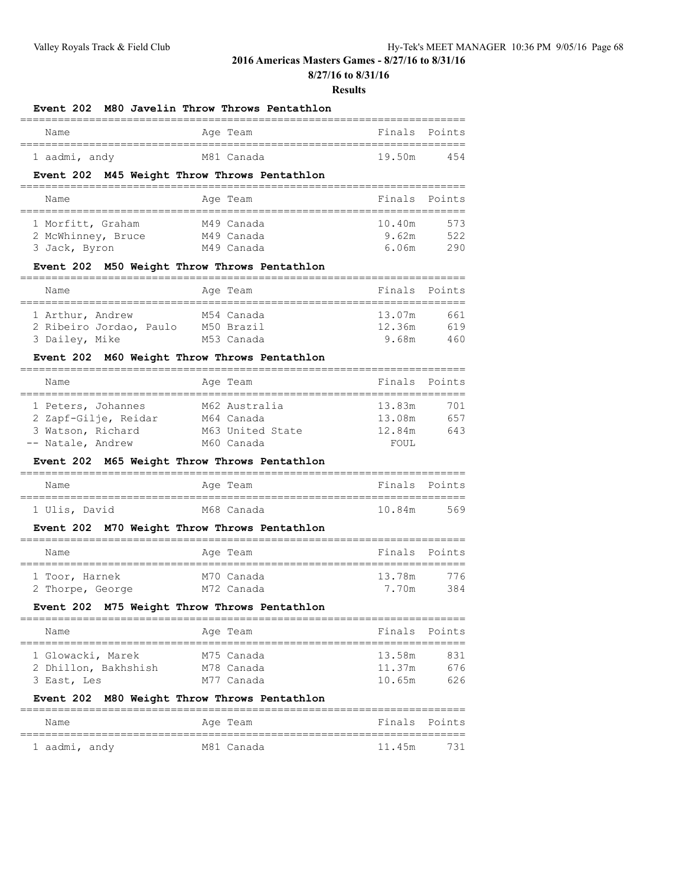**8/27/16 to 8/31/16**

#### **Results**

#### **Event 202 M80 Javelin Throw Throws Pentathlon**

| Name          |  | Age Team   | Finals Points |     |
|---------------|--|------------|---------------|-----|
| 1 aadmi, andy |  | M81 Canada | 19.50m        | 454 |

## **Event 202 M45 Weight Throw Throws Pentathlon**

| Name                                    | Age Team                 | Finals Points                 |  |  |  |  |  |  |  |
|-----------------------------------------|--------------------------|-------------------------------|--|--|--|--|--|--|--|
| 1 Morfitt, Graham<br>2 McWhinney, Bruce | M49 Canada<br>M49 Canada | 10.40m<br>573<br>522<br>9.62m |  |  |  |  |  |  |  |
| 3 Jack, Byron                           | M49 Canada               | 290<br>6.06m                  |  |  |  |  |  |  |  |

## **Event 202 M50 Weight Throw Throws Pentathlon**

| Name                    |  | Age Team   | Finals Points |     |
|-------------------------|--|------------|---------------|-----|
| 1 Arthur, Andrew        |  | M54 Canada | 13.07m        | 661 |
| 2 Ribeiro Jordao, Paulo |  | M50 Brazil | 12.36m        | 619 |
| 3 Dailey, Mike          |  | M53 Canada | 9.68m         | 460 |

## **Event 202 M60 Weight Throw Throws Pentathlon**

| Name                 | Age Team         | Finals Points |     |
|----------------------|------------------|---------------|-----|
|                      |                  |               |     |
| 1 Peters, Johannes   | M62 Australia    | 13.83m        | 701 |
| 2 Zapf-Gilje, Reidar | M64 Canada       | 13.08m        | 657 |
| 3 Watson, Richard    | M63 United State | 12.84m        | 643 |
| -- Natale, Andrew    | M60 Canada       | FOUL.         |     |

## **Event 202 M65 Weight Throw Throws Pentathlon**

| Name          |  | Age Team   | Finals Points |     |
|---------------|--|------------|---------------|-----|
|               |  |            |               |     |
| 1 Ulis, David |  | M68 Canada | 10.84m        | 569 |

#### **Event 202 M70 Weight Throw Throws Pentathlon**

| Name             | Age Team   | Finals Points |
|------------------|------------|---------------|
| 1 Toor, Harnek   | M70 Canada | 13.78m<br>776 |
| 2 Thorpe, George | M72 Canada | 384<br>7 70m  |

#### **Event 202 M75 Weight Throw Throws Pentathlon**

| Name |                                                          |  |                                                    |                         |  |  |  |  |  |
|------|----------------------------------------------------------|--|----------------------------------------------------|-------------------------|--|--|--|--|--|
|      |                                                          |  |                                                    |                         |  |  |  |  |  |
|      |                                                          |  |                                                    | 831                     |  |  |  |  |  |
|      |                                                          |  | 11.37m                                             | 676                     |  |  |  |  |  |
|      |                                                          |  | 10.65m                                             | 626                     |  |  |  |  |  |
|      | 1 Glowacki, Marek<br>2 Dhillon, Bakhshish<br>3 East, Les |  | Age Team<br>M75 Canada<br>M78 Canada<br>M77 Canada | Finals Points<br>13.58m |  |  |  |  |  |

#### **Event 202 M80 Weight Throw Throws Pentathlon**

| Name          |  | Age Team   | Finals Points |  |
|---------------|--|------------|---------------|--|
| 1 aadmi, andy |  | M81 Canada | 11.45m 731    |  |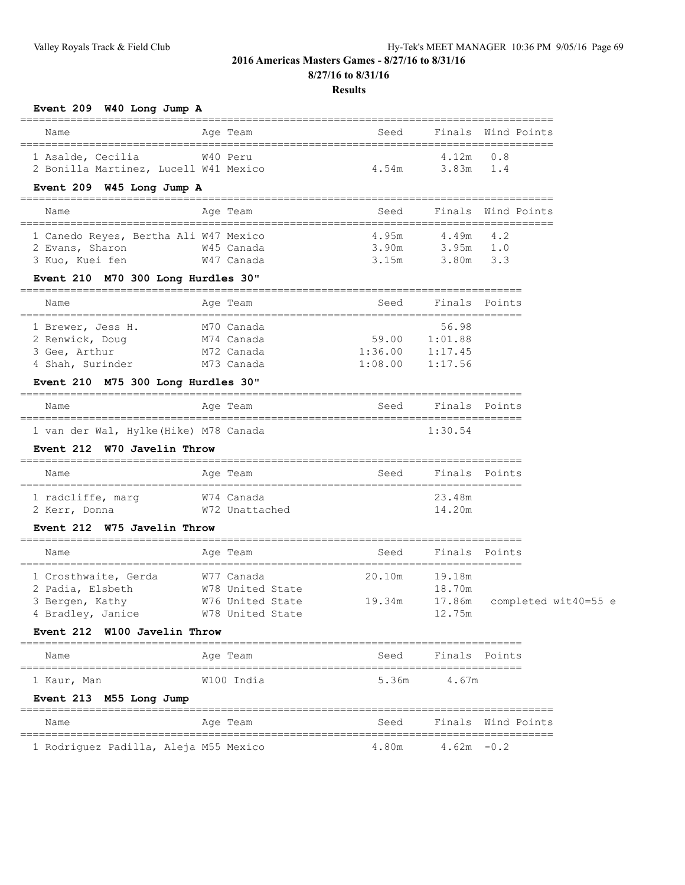## **Results**

**Event 209 W40 Long Jump A**

| Name                                  | Age Team         | Seed          |               | Finals Wind Points   |
|---------------------------------------|------------------|---------------|---------------|----------------------|
| 1 Asalde, Cecilia                     | W40 Peru         |               | 4.12m         | 0.8                  |
| 2 Bonilla Martinez, Lucell W41 Mexico |                  | 4.54m         | 3.83m         | 1.4                  |
| Event 209 W45 Long Jump A             |                  |               |               |                      |
| Name                                  | Age Team         | Seed          |               | Finals Wind Points   |
| 1 Canedo Reyes, Bertha Ali W47 Mexico |                  | 4.95m         | 4.49m         | 4.2                  |
| 2 Evans, Sharon                       | W45 Canada       | 3.90m         | 3.95m 1.0     |                      |
| 3 Kuo, Kuei fen                       | W47 Canada       | 3.15m         | 3.80m 3.3     |                      |
| Event 210 M70 300 Long Hurdles 30"    |                  |               |               |                      |
| Name                                  | Age Team         | Seed          | Finals Points |                      |
| 1 Brewer, Jess H.                     | M70 Canada       |               | 56.98         |                      |
| 2 Renwick, Doug                       | M74 Canada       | 59.00 1:01.88 |               |                      |
| 3 Gee, Arthur                         | M72 Canada       | 1:36.00       | 1:17.45       |                      |
| 4 Shah, Surinder                      | M73 Canada       | 1:08.00       | 1:17.56       |                      |
| Event 210 M75 300 Long Hurdles 30"    |                  |               |               |                      |
| Name                                  | Age Team         | Seed          | Finals Points |                      |
| 1 van der Wal, Hylke(Hike) M78 Canada |                  |               | 1:30.54       |                      |
| Event 212 W70 Javelin Throw           |                  |               |               |                      |
| Name                                  | Age Team         | Seed          | Finals Points |                      |
| 1 radcliffe, marg                     | W74 Canada       |               | 23.48m        |                      |
| 2 Kerr, Donna                         | W72 Unattached   |               | 14.20m        |                      |
| Event 212 W75 Javelin Throw           |                  |               |               |                      |
| Name                                  | Age Team         | Seed          | Finals        | Points               |
| 1 Crosthwaite, Gerda                  | W77 Canada       | 20.10m        | 19.18m        |                      |
| 2 Padia, Elsbeth                      | W78 United State |               | 18.70m        |                      |
| 3 Bergen, Kathy                       | W76 United State | 19.34m        | 17.86m        | completed wit40=55 e |
| 4 Bradley, Janice M78 United State    |                  |               | 12.75m        |                      |
| Event 212 W100 Javelin Throw          |                  |               |               |                      |
| Name                                  | Age Team         | Seed          | Finals Points |                      |
| 1 Kaur, Man                           | W100 India       | 5.36m         | 4.67m         |                      |
| Event 213 M55 Long Jump               |                  |               |               |                      |
| Name                                  | Age Team         | Seed          |               | Finals Wind Points   |
| 1 Rodriguez Padilla, Aleja M55 Mexico |                  | 4.80m         | $4.62m - 0.2$ |                      |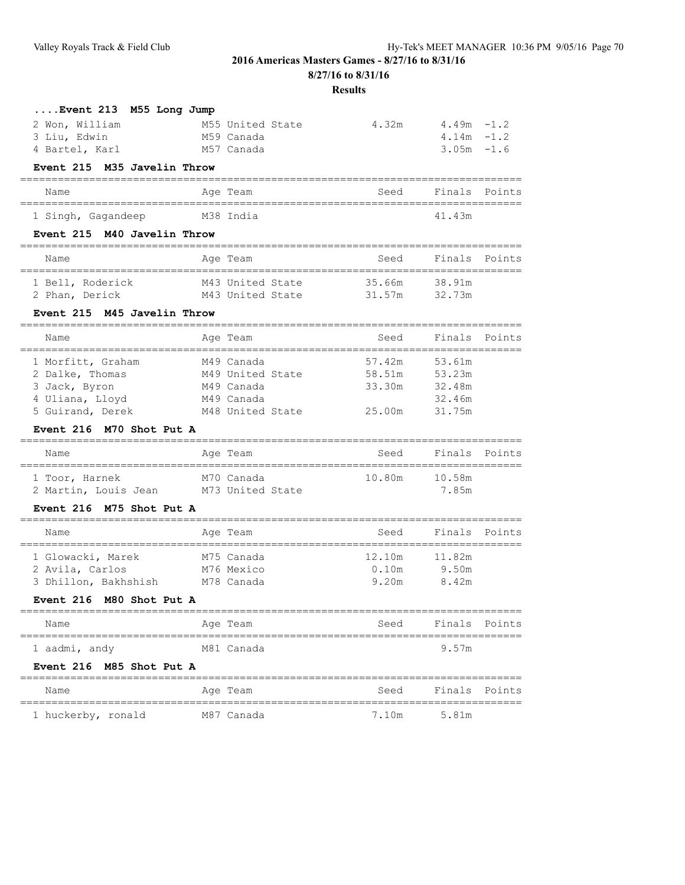**8/27/16 to 8/31/16**

#### **Results**

| $\ldots$ . Event 213 $M55$ Long Jump |                  |       |               |
|--------------------------------------|------------------|-------|---------------|
| 2 Won, William                       | M55 United State | 4.32m | $4.49m - 1.2$ |
| 3 Liu, Edwin                         | M59 Canada       |       | $4.14m - 1.2$ |
| 4 Bartel, Karl                       | M57 Canada       |       | $3.05m - 1.6$ |

#### **Event 215 M35 Javelin Throw**

| Name | Age<br>Team | Seed | Fina.<br>$\mathbf{C}$<br>------ | $P \cap i$<br>-----<br>- - |
|------|-------------|------|---------------------------------|----------------------------|

| Singh<br>- | Gagandeer<br>------- | M38 | 4<br>$\prec$ $\sim$<br>4 J.II<br>. . |
|------------|----------------------|-----|--------------------------------------|

## **Event 215 M40 Javelin Throw**

| Name           |                  | Age Team         |  | Seed   |        | Finals Points |
|----------------|------------------|------------------|--|--------|--------|---------------|
|                | 1 Bell, Roderick | M43 United State |  | 35 66m | 38.91m |               |
| 2 Phan, Derick |                  | M43 United State |  | 31.57m | 32.73m |               |

## **Event 215 M45 Javelin Throw**

| Name              | Age Team         | Seed   | Finals Points |  |
|-------------------|------------------|--------|---------------|--|
| 1 Morfitt, Graham | M49 Canada       | 57.42m | 53.61m        |  |
| 2 Dalke, Thomas   | M49 United State | 58.51m | 53.23m        |  |
| 3 Jack, Byron     | M49 Canada       | 33.30m | 32.48m        |  |
| 4 Uliana, Lloyd   | M49 Canada       |        | 32.46m        |  |
| 5 Guirand, Derek  | M48 United State | 25.00m | 31.75m        |  |

## **Event 216 M70 Shot Put A**

| Name                                   | Age Team                       | Seed   | Finals Points   |  |  |  |  |  |
|----------------------------------------|--------------------------------|--------|-----------------|--|--|--|--|--|
| 1 Toor, Harnek<br>2 Martin, Louis Jean | M70 Canada<br>M73 United State | 10.80m | 10.58m<br>7 85m |  |  |  |  |  |

## **Event 216 M75 Shot Put A**

| Name                 |  | Age Team   | Seed   | Finals Points |  |  |  |  |
|----------------------|--|------------|--------|---------------|--|--|--|--|
|                      |  |            |        |               |  |  |  |  |
| 1 Glowacki, Marek    |  | M75 Canada | 12.10m | 11.82m        |  |  |  |  |
| 2 Avila, Carlos      |  | M76 Mexico | 0.10m  | 9.50m         |  |  |  |  |
| 3 Dhillon, Bakhshish |  | M78 Canada | 9.20m  | 8.42m         |  |  |  |  |

## **Event 216 M80 Shot Put A**

| Name          | Age Team   | Finals Points<br>Seed |
|---------------|------------|-----------------------|
| 1 aadmi, andy | M81 Canada | 9.57m                 |

## **Event 216 M85 Shot Put A**

| Name               | Age Team   | Seed  | Finals Points |  |
|--------------------|------------|-------|---------------|--|
| 1 huckerby, ronald | M87 Canada | 7.10m | 5.81m         |  |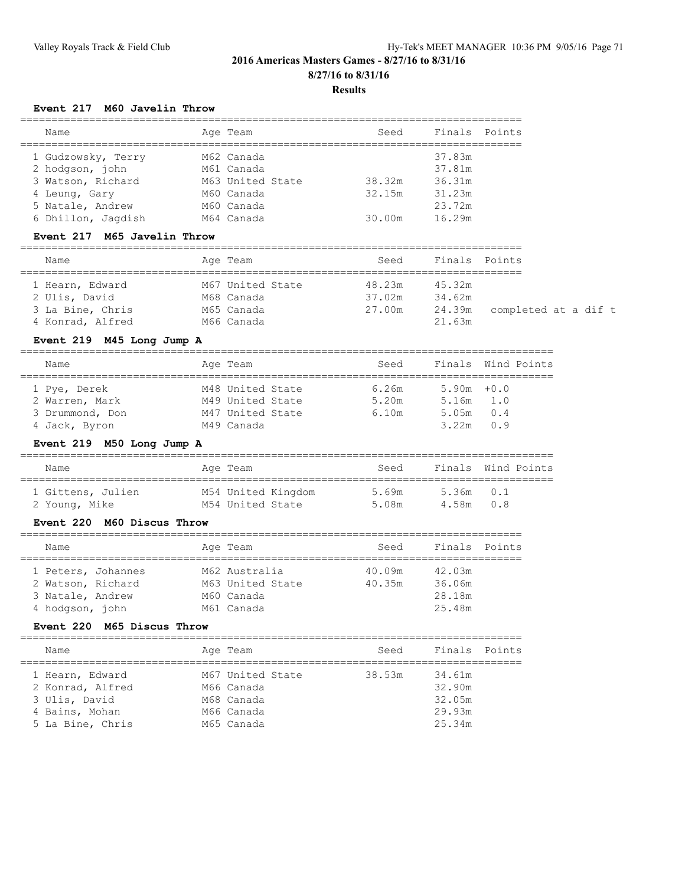## **Results**

## **Event 217 M60 Javelin Throw**

| Name               | Age Team         | Seed   | Finals | Points |
|--------------------|------------------|--------|--------|--------|
| 1 Gudzowsky, Terry | M62 Canada       |        | 37.83m |        |
| 2 hodgson, john    | M61 Canada       |        | 37.81m |        |
| 3 Watson, Richard  | M63 United State | 38.32m | 36.31m |        |
| 4 Leung, Gary      | M60 Canada       | 32.15m | 31.23m |        |
| 5 Natale, Andrew   | M60 Canada       |        | 23.72m |        |
| 6 Dhillon, Jaqdish | M64 Canada       | 30.00m | 16.29m |        |

## **Event 217 M65 Javelin Throw**

| Name                             | Age Team                       | Seed             | Finals Points    |                      |
|----------------------------------|--------------------------------|------------------|------------------|----------------------|
| 1 Hearn, Edward<br>2 Ulis, David | M67 United State<br>M68 Canada | 48.23m<br>37.02m | 45.32m<br>34.62m |                      |
| 3 La Bine, Chris                 | M65 Canada                     | 27.00m           | 24.39m           | completed at a dif t |
| 4 Konrad, Alfred                 | M66 Canada                     |                  | 21.63m           |                      |

## **Event 219 M45 Long Jump A**

| Name            | Age Team         | Seed  |               | Finals Wind Points |  |  |  |
|-----------------|------------------|-------|---------------|--------------------|--|--|--|
|                 |                  |       |               |                    |  |  |  |
| 1 Pye, Derek    | M48 United State | 6.26m | $5.90m + 0.0$ |                    |  |  |  |
| 2 Warren, Mark  | M49 United State | 5.20m | $5.16m$ $1.0$ |                    |  |  |  |
| 3 Drummond, Don | M47 United State | 6.10m | 5.05m         | 0.4                |  |  |  |
| 4 Jack, Byron   | M49 Canada       |       | 3.22m         | n 9                |  |  |  |

## **Event 219 M50 Long Jump A**

| Name              | Age Team           | Seed  |           | Finals Wind Points |
|-------------------|--------------------|-------|-----------|--------------------|
| 1 Gittens, Julien | M54 United Kingdom | 5.69m | 5.36m 0.1 |                    |
| 2 Young, Mike     | M54 United State   | 5.08m | 4.58m 0.8 |                    |

## **Event 220 M60 Discus Throw**

| Name              |                    |  | Age Team         | Seed   | Finals Points |  |  |  |
|-------------------|--------------------|--|------------------|--------|---------------|--|--|--|
|                   |                    |  |                  |        |               |  |  |  |
|                   | 1 Peters, Johannes |  | M62 Australia    | 40.09m | 42.03m        |  |  |  |
| 2 Watson, Richard |                    |  | M63 United State | 40.35m | 36.06m        |  |  |  |
| 3 Natale, Andrew  |                    |  | M60 Canada       |        | 28.18m        |  |  |  |
| 4 hodgson, john   |                    |  | M61 Canada       |        | 25.48m        |  |  |  |

## **Event 220 M65 Discus Throw**

| Name             | Age Team         | Seed   | Finals Points |  |
|------------------|------------------|--------|---------------|--|
| 1 Hearn, Edward  | M67 United State | 38.53m | 34.61m        |  |
| 2 Konrad, Alfred | M66 Canada       |        | 32.90m        |  |
| 3 Ulis, David    | M68 Canada       |        | 32.05m        |  |
| 4 Bains, Mohan   | M66 Canada       |        | 29.93m        |  |
| 5 La Bine, Chris | M65 Canada       |        | 25.34m        |  |
|                  |                  |        |               |  |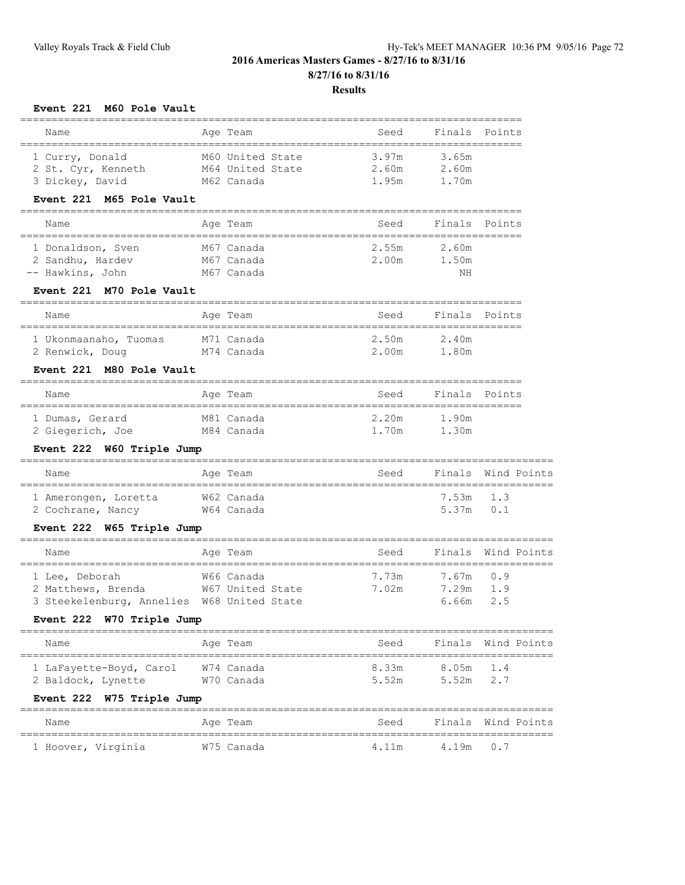## **Results**

## **Event 221 M60 Pole Vault**

| ============================                                                                                    |                                                    |                                                     |                         |                                                       |
|-----------------------------------------------------------------------------------------------------------------|----------------------------------------------------|-----------------------------------------------------|-------------------------|-------------------------------------------------------|
| Name<br>======================================                                                                  | Age Team                                           | Seed                                                | Finals                  | Points                                                |
| 1 Curry, Donald<br>2 St. Cyr, Kenneth<br>3 Dickey, David                                                        | M60 United State<br>M64 United State<br>M62 Canada | ------------------------<br>3.97m<br>2.60m<br>1.95m | 3.65m<br>2.60m<br>1.70m |                                                       |
| Event 221 M65 Pole Vault<br>__________________________________                                                  |                                                    |                                                     |                         |                                                       |
| Name<br>______________________________________                                                                  | Age Team                                           | Seed                                                | Finals                  | Points                                                |
| 1 Donaldson, Sven<br>2 Sandhu, Hardev<br>-- Hawkins, John<br>Event 221 M70 Pole Vault                           | M67 Canada<br>M67 Canada<br>M67 Canada             | 2.55m<br>2.00m                                      | 2.60m<br>1.50m<br>NH    |                                                       |
| Name                                                                                                            | Age Team                                           | Seed                                                | Finals Points           |                                                       |
| 1 Ukonmaanaho, Tuomas<br>2 Renwick, Doug M74 Canada<br>Event 221 M80 Pole Vault                                 | M71 Canada                                         | 2.50m<br>2.00m                                      | 2.40m<br>1.80m          |                                                       |
| Name                                                                                                            | Age Team                                           | Seed                                                | Finals                  | Points                                                |
|                                                                                                                 |                                                    |                                                     |                         |                                                       |
| 1 Dumas, Gerard<br>2 Giegerich, Joe                                                                             | M81 Canada<br>M84 Canada                           | 2.20m<br>1.70m                                      | 1.90m<br>1.30m          |                                                       |
| Event 222 W60 Triple Jump                                                                                       | =================                                  |                                                     |                         |                                                       |
| Name                                                                                                            | Age Team                                           | Seed                                                |                         | Finals Wind Points                                    |
| 1 Amerongen, Loretta<br>2 Cochrane, Nancy                                                                       | W62 Canada<br>W64 Canada                           |                                                     | 7.53m<br>5.37m          | 1.3<br>0.1                                            |
| Event 222 W65 Triple Jump                                                                                       |                                                    |                                                     |                         |                                                       |
| Name<br>================                                                                                        | Age Team<br>===============                        | Seed                                                |                         | Finals Wind Points<br>=============================== |
| 1 Lee, Deborah<br>2 Matthews, Brenda<br>3 Steekelenburg, Annelies W68 United State<br>Event 222 W70 Triple Jump | W66 Canada<br>W67 United State                     | 7.73m<br>7.02m                                      | 7.67m<br>7.29m<br>6.66m | 0.9<br>1.9<br>2.5                                     |
| Name                                                                                                            | Age Team                                           | Seed                                                | Finals                  | Wind Points                                           |
| 1 LaFayette-Boyd, Carol<br>2 Baldock, Lynette                                                                   | W74 Canada<br>W70 Canada                           | 8.33m<br>5.52m                                      | 8.05m<br>5.52m          | 1.4<br>2.7                                            |
| Event 222 W75 Triple Jump                                                                                       |                                                    |                                                     |                         |                                                       |
| $NT \cap r$                                                                                                     |                                                    |                                                     |                         | Mind Dointe                                           |

Name Age Team Seed Finals Wind Points ===================================================================================== 1 Hoover, Virginia W75 Canada 4.11m 4.19m 0.7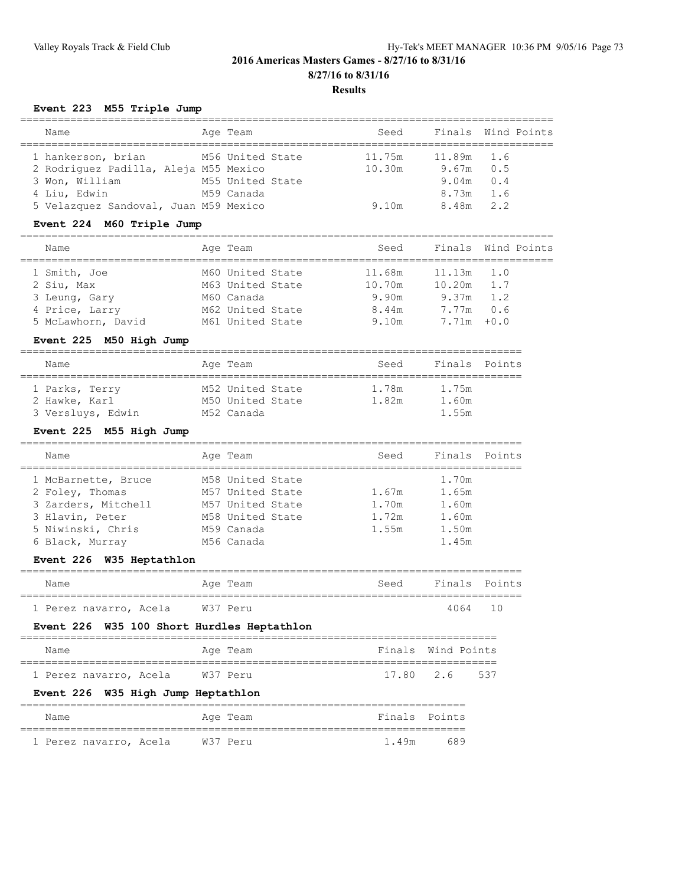# **2016 Americas Masters Games - 8/27/16 to 8/31/16 8/27/16 to 8/31/16 Results**

================================================================================

## **Event 223 M55 Triple Jump**

| Name                                  | Age Team         | Seed   |             | Finals Wind Points |
|---------------------------------------|------------------|--------|-------------|--------------------|
| 1 hankerson, brian                    | M56 United State | 11.75m | 11.89m 1.6  |                    |
| 2 Rodriquez Padilla, Aleja M55 Mexico |                  | 10.30m | $9.67m$ 0.5 |                    |
| 3 Won, William                        | M55 United State |        | $9.04m$ 0.4 |                    |
| 4 Liu, Edwin                          | M59 Canada       |        | $8.73m$ 1.6 |                    |
| 5 Velazquez Sandoval, Juan M59 Mexico |                  | 9.10m  | 8.48m 2.2   |                    |
|                                       |                  |        |             |                    |

## **Event 224 M60 Triple Jump**

| Name               | Age Team         | Seed   |                | Finals Wind Points |
|--------------------|------------------|--------|----------------|--------------------|
| 1 Smith, Joe       | M60 United State | 11.68m | $11.13m$ $1.0$ |                    |
| 2 Siu, Max         | M63 United State | 10.70m | 10.20m         | 1.7                |
| 3 Leung, Gary      | M60 Canada       | 9.90m  | $9.37m$ 1.2    |                    |
| 4 Price, Larry     | M62 United State | 8.44m  | $7.77m$ 0.6    |                    |
| 5 McLawhorn, David | M61 United State | 9.10m  | $7.71m + 0.0$  |                    |
|                    |                  |        |                |                    |

## **Event 225 M50 High Jump**

| Name                            | Age Team                             | Seed           | Finals Points  |  |
|---------------------------------|--------------------------------------|----------------|----------------|--|
| 1 Parks, Terry<br>2 Hawke, Karl | M52 United State<br>M50 United State | 1.78m<br>1.82m | 1.75m<br>1.60m |  |
| 3 Versluys, Edwin               | M52 Canada                           |                | 1.55m          |  |

## **Event 225 M55 High Jump**

| Name                | Age Team         |  | Seed  | Finals Points |  |
|---------------------|------------------|--|-------|---------------|--|
| 1 McBarnette, Bruce | M58 United State |  |       | 1.70m         |  |
| 2 Foley, Thomas     | M57 United State |  | 1.67m | 1.65m         |  |
| 3 Zarders, Mitchell | M57 United State |  | 1.70m | 1.60m         |  |
| 3 Hlavin, Peter     | M58 United State |  | 1.72m | 1.60m         |  |
| 5 Niwinski, Chris   | M59 Canada       |  | 1.55m | 1.50m         |  |
| 6 Black, Murray     | M56 Canada       |  |       | 1.45m         |  |

## **Event 226 W35 Heptathlon**

| Name                                       | Age Team |       | Seed Finals Points |  |
|--------------------------------------------|----------|-------|--------------------|--|
| 1 Perez navarro, Acela W37 Peru            |          |       | 4064 10            |  |
| Event 226 W35 100 Short Hurdles Heptathlon |          |       |                    |  |
| Name                                       | Age Team |       | Finals Wind Points |  |
| 1 Perez navarro, Acela W37 Peru            |          |       | 17.80 2.6 537      |  |
| Event 226 W35 High Jump Heptathlon         |          |       |                    |  |
| Name                                       | Age Team |       | Finals Points      |  |
| 1 Perez navarro, Acela                     | W37 Peru | 1.49m | 689                |  |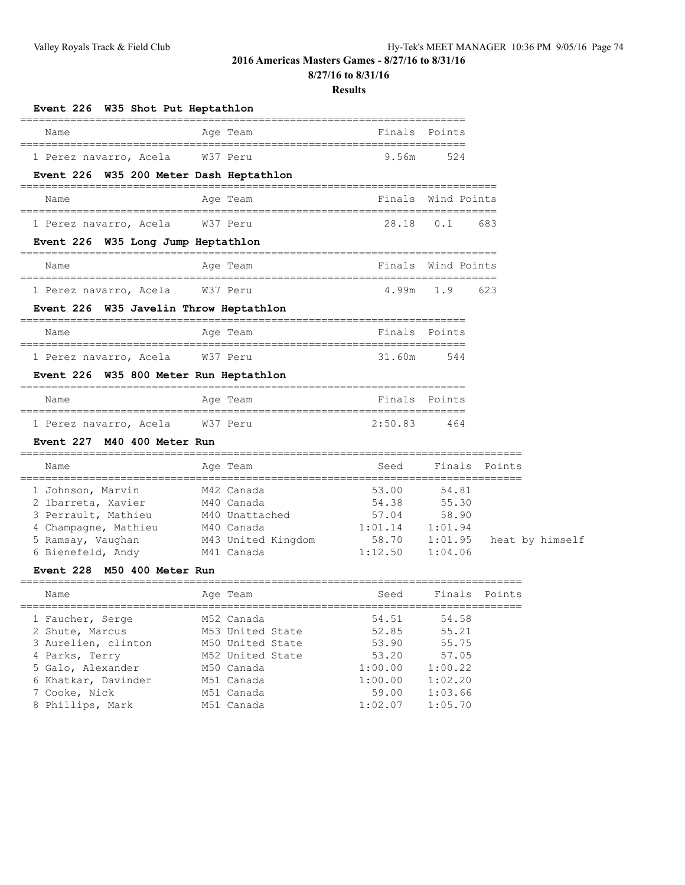# **2016 Americas Masters Games - 8/27/16 to 8/31/16**

**8/27/16 to 8/31/16**

#### **Results**

| Event 226 W35 Shot Put Heptathlon               | ==============                   |                                               |                  |                 |  |
|-------------------------------------------------|----------------------------------|-----------------------------------------------|------------------|-----------------|--|
| Name<br>====================                    | Age Team<br>===========          | Finals<br>----------------------------------- | Points           |                 |  |
| 1 Perez navarro, Acela                          | W37 Peru                         | 9.56m                                         | 524              |                 |  |
| Event 226 W35 200 Meter Dash Heptathlon         |                                  |                                               |                  |                 |  |
| Name                                            | ============<br>Age Team         | =================<br>Finals                   | Wind Points      |                 |  |
| 1 Perez navarro, Acela                          | W37 Peru                         | 28.18                                         | 0.1              | 683             |  |
| Event 226 W35 Long Jump Heptathlon              | =======================          |                                               |                  |                 |  |
| Name                                            | Age Team                         | Finals                                        | Wind Points      |                 |  |
| =====================<br>1 Perez navarro, Acela | W37 Peru                         | 4.99m                                         | 1.9              | 623             |  |
| Event 226 W35 Javelin Throw Heptathlon          | ==========                       |                                               |                  |                 |  |
| Name                                            | Age Team                         | Finals                                        | Points           |                 |  |
| 1 Perez navarro, Acela                          | W37 Peru                         | 31.60m                                        | 544              |                 |  |
| Event 226 W35 800 Meter Run Heptathlon          |                                  |                                               |                  |                 |  |
| Name                                            | Age Team                         |                                               | Finals Points    |                 |  |
| 1 Perez navarro, Acela                          | W37 Peru                         | 2:50.83                                       | 464              |                 |  |
| Event 227 M40 400 Meter Run                     |                                  |                                               |                  |                 |  |
| Name<br>,,,,,,,,,,,,,,,,,,,,,,,,                | Age Team                         | Seed<br>_______________________________       | Finals           | Points          |  |
| 1 Johnson, Marvin                               | M42 Canada                       | 53.00                                         | 54.81            |                 |  |
| 2 Ibarreta, Xavier                              | M40 Canada                       | 54.38                                         | 55.30            |                 |  |
| 3 Perrault, Mathieu                             | M40 Unattached                   | 57.04<br>1:01.14                              | 58.90<br>1:01.94 |                 |  |
| 4 Champagne, Mathieu<br>5 Ramsay, Vaughan       | M40 Canada<br>M43 United Kingdom | 58.70                                         | 1:01.95          | heat by himself |  |
| 6 Bienefeld, Andy                               | M41 Canada                       | 1:12.50                                       | 1:04.06          |                 |  |
| M50 400 Meter Run<br>Event 228                  |                                  |                                               |                  |                 |  |
| Name                                            | Age Team                         | Seed                                          | Finals           | Points          |  |
| 1 Faucher, Serge                                | M52 Canada                       | 54.51                                         | 54.58            |                 |  |
| 2 Shute, Marcus                                 | M53 United State                 | 52.85                                         | 55.21            |                 |  |
| 3 Aurelien, clinton                             | M50 United State                 | 53.90                                         | 55.75            |                 |  |
| 4 Parks, Terry                                  | M52 United State                 | 53.20                                         | 57.05            |                 |  |
| 5 Galo, Alexander                               | M50 Canada                       | 1:00.00                                       | 1:00.22          |                 |  |
| 6 Khatkar, Davinder                             | M51 Canada                       | 1:00.00                                       | 1:02.20          |                 |  |
| 7 Cooke, Nick                                   | M51 Canada                       | 59.00                                         | 1:03.66          |                 |  |
| 8 Phillips, Mark                                | M51 Canada                       | 1:02.07                                       | 1:05.70          |                 |  |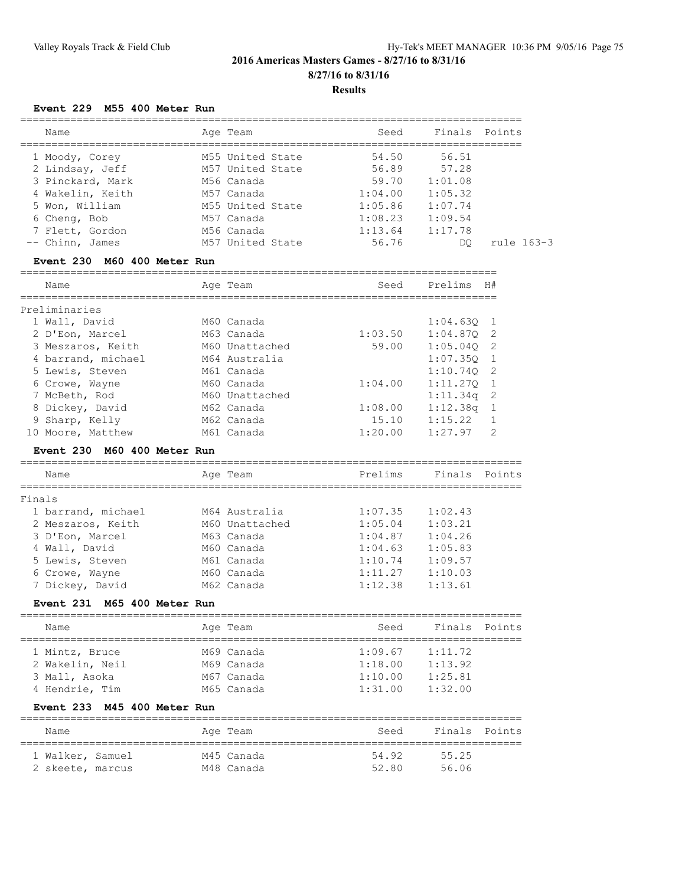# **2016 Americas Masters Games - 8/27/16 to 8/31/16 8/27/16 to 8/31/16 Results**

## **Event 229 M55 400 Meter Run**

| Name             | Age Team         | Seed    |         | Finals Points |
|------------------|------------------|---------|---------|---------------|
| 1 Moody, Corey   | M55 United State | 54.50   | 56.51   |               |
| 2 Lindsay, Jeff  | M57 United State | 56.89   | 57.28   |               |
| 3 Pinckard, Mark | M56 Canada       | 59.70   | 1:01.08 |               |
| 4 Wakelin, Keith | M57 Canada       | 1:04.00 | 1:05.32 |               |
| 5 Won, William   | M55 United State | 1:05.86 | 1:07.74 |               |
| 6 Cheng, Bob     | M57 Canada       | 1:08.23 | 1:09.54 |               |
| 7 Flett, Gordon  | M56 Canada       | 1:13.64 | 1:17.78 |               |
| -- Chinn, James  | M57 United State | 56.76   | DO      | rule 163-3    |
|                  |                  |         |         |               |

## **Event 230 M60 400 Meter Run**

| Name               |  | Age Team       | Seed    | Prelims      | H# |  |  |  |  |
|--------------------|--|----------------|---------|--------------|----|--|--|--|--|
| Preliminaries      |  |                |         |              |    |  |  |  |  |
| 1 Wall, David      |  | M60 Canada     |         | $1:04.630$ 1 |    |  |  |  |  |
| 2 D'Eon, Marcel    |  | M63 Canada     | 1:03.50 | $1:04.870$ 2 |    |  |  |  |  |
| 3 Meszaros, Keith  |  | M60 Unattached | 59.00   | 1:05.040     | -2 |  |  |  |  |
| 4 barrand, michael |  | M64 Australia  |         | 1:07.350     |    |  |  |  |  |
| 5 Lewis, Steven    |  | M61 Canada     |         | 1:10.740     | -2 |  |  |  |  |
| 6 Crowe, Wayne     |  | M60 Canada     | 1:04.00 | 1:11.270     |    |  |  |  |  |
| 7 McBeth, Rod      |  | M60 Unattached |         | 1:11.34q     | -2 |  |  |  |  |
| 8 Dickey, David    |  | M62 Canada     | 1:08.00 | 1:12.38q     |    |  |  |  |  |
| 9 Sharp, Kelly     |  | M62 Canada     | 15.10   | 1:15.22      |    |  |  |  |  |
| 10 Moore, Matthew  |  | M61 Canada     | 1:20.00 | 1:27.97      | 2  |  |  |  |  |

#### **Event 230 M60 400 Meter Run**

| Name               | Age Team       | Prelims | Finals Points |  |
|--------------------|----------------|---------|---------------|--|
| Finals             |                |         |               |  |
| 1 barrand, michael | M64 Australia  | 1:07.35 | 1:02.43       |  |
| 2 Meszaros, Keith  | M60 Unattached | 1:05.04 | 1:03.21       |  |
| 3 D'Eon, Marcel    | M63 Canada     | 1:04.87 | 1:04.26       |  |
| 4 Wall, David      | M60 Canada     | 1:04.63 | 1:05.83       |  |
| 5 Lewis, Steven    | M61 Canada     | 1:10.74 | 1:09.57       |  |
| 6 Crowe, Wayne     | M60 Canada     | 1:11.27 | 1:10.03       |  |
| 7 Dickey, David    | M62 Canada     | 1:12.38 | 1:13.61       |  |
|                    |                |         |               |  |

================================================================================

## **Event 231 M65 400 Meter Run**

| Name            | Age Team   | Seed    | Finals Points |  |  |  |  |  |
|-----------------|------------|---------|---------------|--|--|--|--|--|
|                 |            |         |               |  |  |  |  |  |
| 1 Mintz, Bruce  | M69 Canada | 1:09.67 | 1:11.72       |  |  |  |  |  |
| 2 Wakelin, Neil | M69 Canada | 1:18.00 | 1:13.92       |  |  |  |  |  |
| 3 Mall, Asoka   | M67 Canada | 1:10.00 | 1:25.81       |  |  |  |  |  |
| 4 Hendrie, Tim  | M65 Canada | 1:31.00 | 1:32.00       |  |  |  |  |  |

# **Event 233 M45 400 Meter Run**

| Name             | Age Team   | Seed  | Finals Points |
|------------------|------------|-------|---------------|
| 1 Walker, Samuel | M45 Canada | 54.92 | 55.25         |
| 2 skeete, marcus | M48 Canada | 52.80 | 56.06         |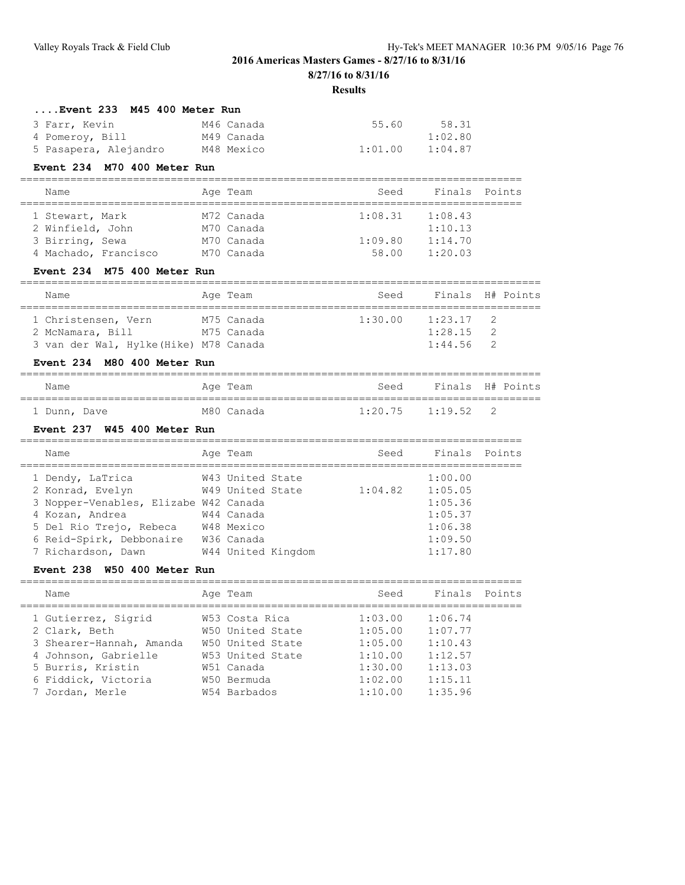# **2016 Americas Masters Games - 8/27/16 to 8/31/16**

**8/27/16 to 8/31/16**

#### **Results**

## **....Event 233 M45 400 Meter Run**

| 3 Farr, Kevin         | M46 Canada | 55.60   | 58.31   |
|-----------------------|------------|---------|---------|
| 4 Pomeroy, Bill       | M49 Canada |         | 1:02.80 |
| 5 Pasapera, Alejandro | M48 Mexico | 1:01.00 | 1:04.87 |

## **Event 234 M70 400 Meter Run**

| Name                 |  | Age Team   | Seed    | Finals Points |  |  |  |  |
|----------------------|--|------------|---------|---------------|--|--|--|--|
|                      |  |            |         |               |  |  |  |  |
| 1 Stewart, Mark      |  | M72 Canada | 1:08.31 | 1:08.43       |  |  |  |  |
| 2 Winfield, John     |  | M70 Canada |         | 1:10.13       |  |  |  |  |
| 3 Birring, Sewa      |  | M70 Canada | 1:09.80 | 1:14.70       |  |  |  |  |
| 4 Machado, Francisco |  | M70 Canada | 58.00   | 1:20.03       |  |  |  |  |

## **Event 234 M75 400 Meter Run**

| Name                                  | Age Team   | Seed    |             | Finals H# Points |
|---------------------------------------|------------|---------|-------------|------------------|
|                                       |            |         |             |                  |
| 1 Christensen, Vern                   | M75 Canada | 1:30.00 | $1:23.17$ 2 |                  |
| 2 McNamara, Bill                      | M75 Canada |         | 1:28.15     |                  |
| 3 van der Wal, Hylke(Hike) M78 Canada |            |         | 1:44.56     |                  |

## **Event 234 M80 400 Meter Run**

| Name         |  | Age Team   | Seed                | Finals H# Points |     |  |
|--------------|--|------------|---------------------|------------------|-----|--|
| 1 Dunn, Dave |  | M80 Canada | $1:20.75$ $1:19.52$ |                  | - 2 |  |

## **Event 237 W45 400 Meter Run**

| Name                                  | Age Team         |                    | Seed    | Finals Points |  |
|---------------------------------------|------------------|--------------------|---------|---------------|--|
| 1 Dendy, LaTrica                      | W43 United State |                    |         | 1:00.00       |  |
| 2 Konrad, Evelyn                      | W49 United State |                    | 1:04.82 | 1:05.05       |  |
| 3 Nopper-Venables, Elizabe W42 Canada |                  |                    |         | 1:05.36       |  |
| 4 Kozan, Andrea                       | W44 Canada       |                    |         | 1:05.37       |  |
| 5 Del Rio Trejo, Rebeca               | W48 Mexico       |                    |         | 1:06.38       |  |
| 6 Reid-Spirk, Debbonaire              | W36 Canada       |                    |         | 1:09.50       |  |
| 7 Richardson, Dawn                    |                  | W44 United Kingdom |         | 1:17.80       |  |
|                                       |                  |                    |         |               |  |

#### **Event 238 W50 400 Meter Run**

| Name                     | Age Team         | Seed    | Finals Points |  |
|--------------------------|------------------|---------|---------------|--|
| 1 Gutierrez, Sigrid      | W53 Costa Rica   | 1:03.00 | 1:06.74       |  |
| 2 Clark, Beth            | W50 United State | 1:05.00 | 1:07.77       |  |
| 3 Shearer-Hannah, Amanda | W50 United State | 1:05.00 | 1:10.43       |  |
| 4 Johnson, Gabrielle     | W53 United State | 1:10.00 | 1:12.57       |  |
| 5 Burris, Kristin        | W51 Canada       | 1:30.00 | 1:13.03       |  |
| 6 Fiddick, Victoria      | W50 Bermuda      | 1:02.00 | 1:15.11       |  |
| 7 Jordan, Merle          | W54 Barbados     | 1:10.00 | 1:35.96       |  |
|                          |                  |         |               |  |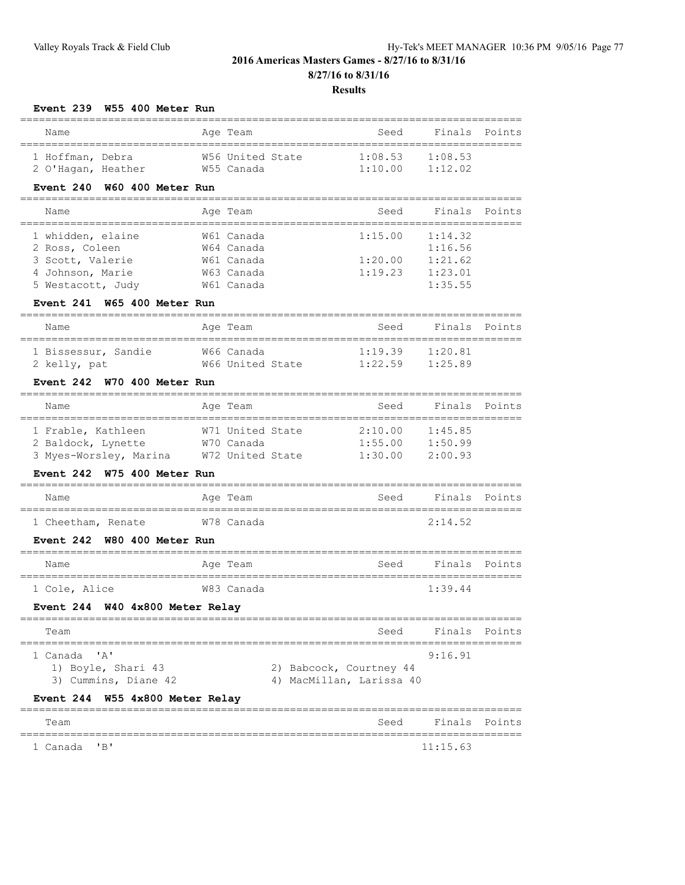# **2016 Americas Masters Games - 8/27/16 to 8/31/16 8/27/16 to 8/31/16**

**Results**

#### **Event 239 W55 400 Meter Run**

| Name               |  |  | Age Team         | Seed           | Finals Points |  |  |  |
|--------------------|--|--|------------------|----------------|---------------|--|--|--|
| 1 Hoffman, Debra   |  |  | W56 United State | 1:08.53        | 1:08.53       |  |  |  |
| 2 O'Hagan, Heather |  |  | W55 Canada       | $1 \cdot 1000$ | 1:12.02       |  |  |  |

## **Event 240 W60 400 Meter Run**

## ================================================================================

| Name              | Age Team   | Seed    |         | Finals Points |
|-------------------|------------|---------|---------|---------------|
| 1 whidden, elaine | W61 Canada | 1:15.00 | 1:14.32 |               |
| 2 Ross, Coleen    | W64 Canada |         | 1:16.56 |               |
| 3 Scott, Valerie  | W61 Canada | 1:20.00 | 1:21.62 |               |
| 4 Johnson, Marie  | W63 Canada | 1:19.23 | 1:23.01 |               |
| 5 Westacott, Judy | W61 Canada |         | 1:35.55 |               |

#### **Event 241 W65 400 Meter Run**

| Name                                |  | Age Team                       | Seed                       | Finals Points      |  |  |  |  |
|-------------------------------------|--|--------------------------------|----------------------------|--------------------|--|--|--|--|
| 1 Bissessur, Sandie<br>2 kelly, pat |  | W66 Canada<br>W66 United State | $1 \cdot 19$ 39<br>1:22.59 | 1:20.81<br>1:25.89 |  |  |  |  |

## **Event 242 W70 400 Meter Run**

| Name                   | Age Team         | Seed    | Finals Points |  |  |  |  |  |
|------------------------|------------------|---------|---------------|--|--|--|--|--|
|                        |                  |         |               |  |  |  |  |  |
| 1 Frable, Kathleen     | W71 United State | 2:10.00 | 1:45.85       |  |  |  |  |  |
| 2 Baldock, Lynette     | W70 Canada       | 1:55.00 | 1:50.99       |  |  |  |  |  |
| 3 Myes-Worsley, Marina | W72 United State | 1:30.00 | 2:00.93       |  |  |  |  |  |

## **Event 242 W75 400 Meter Run**

| Name               |  | Age Team   | Seed | Finals Points |  |
|--------------------|--|------------|------|---------------|--|
| 1 Cheetham, Renate |  | W78 Canada |      | 2:14.52       |  |

## **Event 242 W80 400 Meter Run**

| Name          |  |  | Aqe Team   | Seed | Finals Points |  |  |  |
|---------------|--|--|------------|------|---------------|--|--|--|
| 1 Cole, Alice |  |  | W83 Canada |      | 1:39.44       |  |  |  |

## **Event 244 W40 4x800 Meter Relay**

| Team                 | Seed                     | Finals Points |  |  |  |  |  |
|----------------------|--------------------------|---------------|--|--|--|--|--|
|                      |                          |               |  |  |  |  |  |
| 1 Canada 'A'         |                          | 9:16.91       |  |  |  |  |  |
| 1) Boyle, Shari 43   | 2) Babcock, Courtney 44  |               |  |  |  |  |  |
| 3) Cummins, Diane 42 | 4) MacMillan, Larissa 40 |               |  |  |  |  |  |
|                      |                          |               |  |  |  |  |  |

#### **Event 244 W55 4x800 Meter Relay**

| Team         |  | Seed Finals Points |  |
|--------------|--|--------------------|--|
|              |  |                    |  |
| 1 Canada 'B' |  | 11:15.63           |  |